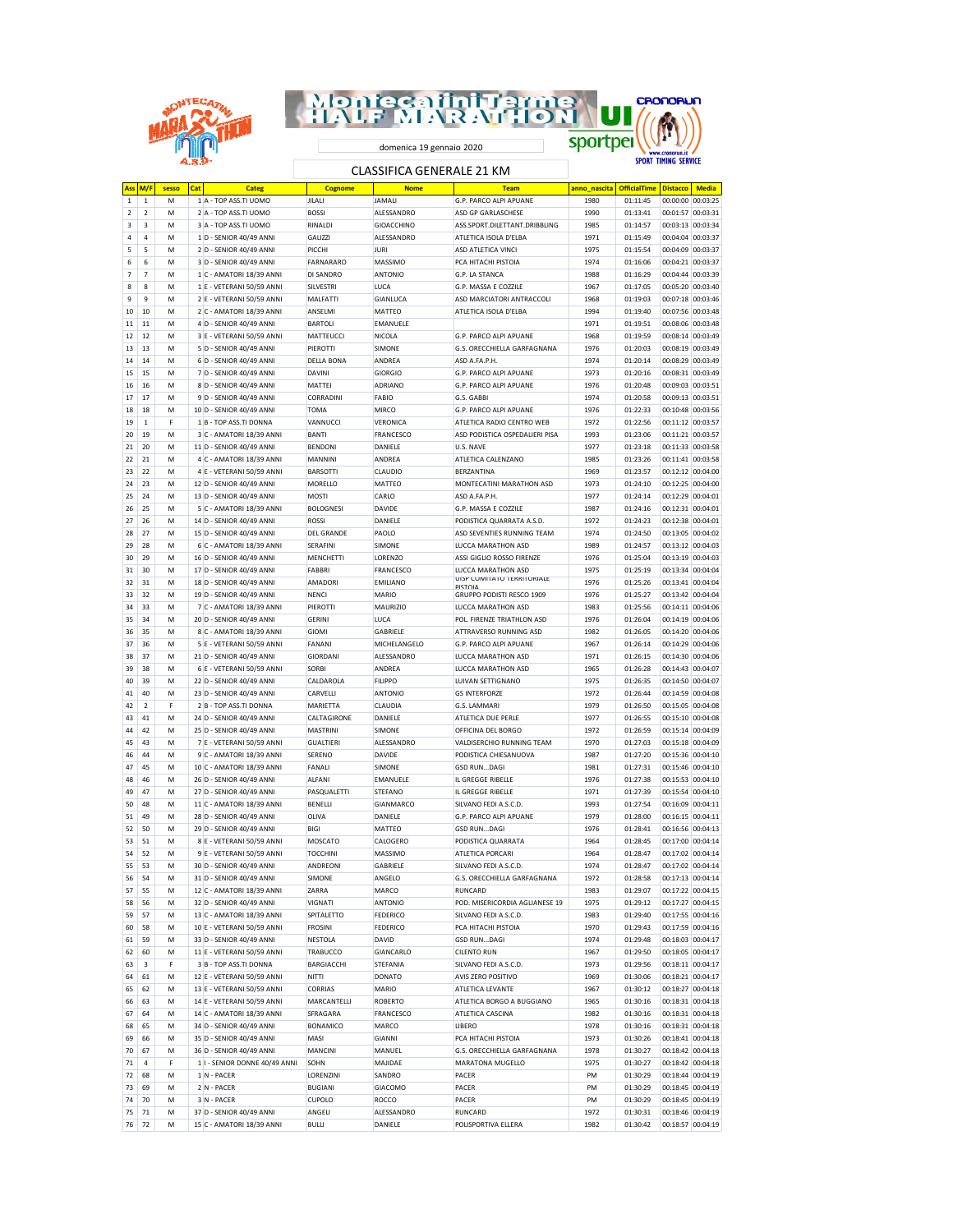| <b>Montecatini Terme</b>   | CRONORUN                    |
|----------------------------|-----------------------------|
| <b>LF MARATHON</b>         |                             |
| domenica 19 gennaio 2020   |                             |
| CLACCIEICA CENIEDALE 71 KM | <b>SPORT TIMING SERVICE</b> |

## CLASSIFICA GENERALE 21 KM

| Ass            | M/F            | sesso | Cat | <b>Categ</b>                  | <b>Cognome</b>    | <b>Nome</b>       | <b>Team</b>                                        | anno nascita | <b>OfficialTime</b> | <b>Distacco</b>   | <b>Media</b>      |
|----------------|----------------|-------|-----|-------------------------------|-------------------|-------------------|----------------------------------------------------|--------------|---------------------|-------------------|-------------------|
| 1              | $\,1\,$        | М     |     | 1 A - TOP ASS.TI UOMO         | JILALI            | <b>JAMALI</b>     | G.P. PARCO ALPI APUANE                             | 1980         | 01:11:45            | 00:00:00 00:03:25 |                   |
| $\overline{2}$ | $\overline{2}$ | M     |     | 2 A - TOP ASS TI UOMO         | <b>BOSSI</b>      | ALESSANDRO        | ASD GP GARLASCHESE                                 | 1990         | 01:13:41            | 00:01:57 00:03:31 |                   |
| 3              | 3              | M     |     | 3 A - TOP ASS.TI UOMO         | RINALDI           | GIOACCHINO        | ASS.SPORT.DILETTANT.DRIBBLING                      | 1985         | 01:14:57            | 00:03:13 00:03:34 |                   |
| $\sqrt{4}$     | $\overline{a}$ | M     |     | 1 D - SENIOR 40/49 ANNI       | <b>GALIZZI</b>    | <b>ALESSANDRO</b> | ATLETICA ISOLA D'ELBA                              | 1971         | 01:15:49            | 00:04:04 00:03:37 |                   |
| 5              | 5              | M     |     | 2 D - SENIOR 40/49 ANNI       | PICCHI            | <b>JURI</b>       | ASD ATLETICA VINCI                                 | 1975         | 01:15:54            | 00:04:09 00:03:37 |                   |
| 6              | 6              | M     |     | 3 D - SENIOR 40/49 ANNI       | FARNARARO         | MASSIMO           | PCA HITACHI PISTOIA                                | 1974         | 01:16:06            | 00:04:21 00:03:37 |                   |
|                |                |       |     |                               |                   |                   |                                                    |              |                     |                   |                   |
| $\overline{7}$ | $\overline{7}$ | M     |     | 1 C - AMATORI 18/39 ANNI      | DI SANDRO         | ANTONIO           | G.P. LA STANCA                                     | 1988         | 01:16:29            | 00:04:44 00:03:39 |                   |
| 8              | 8              | M     |     | 1 E - VETERANI 50/59 ANNI     | SILVESTRI         | LUCA              | G.P. MASSA E COZZILE                               | 1967         | 01:17:05            | 00:05:20 00:03:40 |                   |
| 9              | 9              | M     |     | 2 E - VETERANI 50/59 ANNI     | MALFATTI          | GIANLUCA          | ASD MARCIATORI ANTRACCOLI                          | 1968         | 01:19:03            | 00:07:18 00:03:46 |                   |
| 10             | 10             | M     |     | 2 C - AMATORI 18/39 ANNI      | ANSELMI           | MATTEO            | ATLETICA ISOLA D'ELBA                              | 1994         | 01:19:40            | 00:07:56 00:03:48 |                   |
| 11             | 11             | M     |     | 4 D - SENIOR 40/49 ANNI       | <b>BARTOLI</b>    | <b>EMANUELE</b>   |                                                    | 1971         | 01:19:51            | 00:08:06 00:03:48 |                   |
| 12             | 12             | M     |     | 3 E - VETERANI 50/59 ANNI     | MATTEUCCI         | NICOLA            | G.P. PARCO ALPI APUANE                             | 1968         | 01:19:59            | 00:08:14 00:03:49 |                   |
| 13             | 13             | M     |     | 5 D - SENIOR 40/49 ANNI       | PIEROTTI          | SIMONE            | G.S. ORECCHIELLA GARFAGNANA                        | 1976         | 01:20:03            | 00:08:19 00:03:49 |                   |
| 14             | 14             | M     |     | 6 D - SENIOR 40/49 ANNI       | <b>DELLA BONA</b> | ANDREA            | ASD A.FA.P.H.                                      | 1974         | 01:20:14            | 00:08:29 00:03:49 |                   |
| 15             | 15             | M     |     | 7 D - SENIOR 40/49 ANNI       | <b>DAVINI</b>     | <b>GIORGIO</b>    | G.P. PARCO ALPI APUANE                             | 1973         | 01:20:16            | 00:08:31 00:03:49 |                   |
|                |                |       |     |                               |                   |                   |                                                    |              |                     |                   |                   |
| 16             | 16             | M     |     | 8 D - SENIOR 40/49 ANNI       | <b>MATTEI</b>     | ADRIANO           | G.P. PARCO ALPI APUANE                             | 1976         | 01:20:48            | 00:09:03 00:03:51 |                   |
| 17             | 17             | M     |     | 9 D - SENIOR 40/49 ANNI       | CORRADINI         | FABIO             | G.S. GABBI                                         | 1974         | 01:20:58            | 00:09:13 00:03:51 |                   |
| 18             | 18             | M     |     | 10 D - SENIOR 40/49 ANNI      | <b>TOMA</b>       | MIRCO             | G.P. PARCO ALPI APUANE                             | 1976         | 01:22:33            | 00:10:48 00:03:56 |                   |
| 19             | $\mathbf{1}$   | F     |     | 1 B - TOP ASS.TI DONNA        | VANNUCCI          | VERONICA          | ATLETICA RADIO CENTRO WEB                          | 1972         | 01:22:56            | 00:11:12 00:03:57 |                   |
| 20             | 19             | M     |     | 3 C - AMATORI 18/39 ANNI      | <b>BANTI</b>      | FRANCESCO         | ASD PODISTICA OSPEDALIERI PISA                     | 1993         | 01:23:06            | 00:11:21 00:03:57 |                   |
| 21             | 20             | M     |     | 11 D - SENIOR 40/49 ANNI      | <b>BENDONI</b>    | DANIELE           | U.S. NAVE                                          | 1977         | 01:23:18            | 00:11:33 00:03:58 |                   |
| 22             | 21             | M     |     | 4 C - AMATORI 18/39 ANNI      | MANNINI           | ANDREA            | ATLETICA CALENZANO                                 | 1985         | 01:23:26            | 00:11:41 00:03:58 |                   |
| 23             | 22             | M     |     | 4 E - VETERANI 50/59 ANNI     | <b>BARSOTTI</b>   | CLAUDIO           | BERZANTINA                                         | 1969         | 01:23:57            | 00:12:12 00:04:00 |                   |
| 24             | 23             | M     |     | 12 D - SENIOR 40/49 ANNI      | MORELLO           | MATTEO            | MONTECATINI MARATHON ASD                           | 1973         | 01:24:10            | 00:12:25 00:04:00 |                   |
|                | 24             |       |     |                               |                   |                   |                                                    |              |                     |                   |                   |
| 25             |                | M     |     | 13 D - SENIOR 40/49 ANNI      | <b>MOSTI</b>      | CARLO             | ASD A.FA.P.H.                                      | 1977         | 01:24:14            | 00:12:29 00:04:01 |                   |
| 26             | 25             | M     |     | 5 C - AMATORI 18/39 ANNI      | <b>BOLOGNESI</b>  | DAVIDE            | G.P. MASSA E COZZILE                               | 1987         | 01:24:16            | 00:12:31 00:04:01 |                   |
| 27             | 26             | M     |     | 14 D - SENIOR 40/49 ANNI      | <b>ROSSI</b>      | DANIELE           | PODISTICA QUARRATA A.S.D.                          | 1972         | 01:24:23            | 00:12:38 00:04:01 |                   |
| 28             | 27             | M     |     | 15 D - SENIOR 40/49 ANNI      | <b>DEL GRANDE</b> | PAOLO             | ASD SEVENTIES RUNNING TEAM                         | 1974         | 01:24:50            | 00:13:05 00:04:02 |                   |
| 29             | 28             | M     |     | 6 C - AMATORI 18/39 ANNI      | <b>SERAFINI</b>   | SIMONE            | LUCCA MARATHON ASD                                 | 1989         | 01:24:57            | 00:13:12 00:04:03 |                   |
| 30             | 29             | M     |     | 16 D - SENIOR 40/49 ANNI      | <b>MENCHETTI</b>  | LORENZO           | ASSI GIGLIO ROSSO FIRENZE                          | 1976         | 01:25:04            | 00:13:19 00:04:03 |                   |
| 31             | 30             | M     |     | 17 D - SENIOR 40/49 ANNI      | FABBRI            | FRANCESCO         | LUCCA MARATHON ASD                                 | 1975         | 01:25:19            | 00:13:34 00:04:04 |                   |
| 32             | 31             | M     |     | 18 D - SENIOR 40/49 ANNI      | AMADORI           | <b>EMILIANO</b>   | UISP COMITATO TERRITORIALE                         | 1976         | 01:25:26            | 00:13:41 00:04:04 |                   |
| 33             | 32             | M     |     | 19 D - SENIOR 40/49 ANNI      | <b>NENCI</b>      | MARIO             | <b>DISTOIA</b><br><b>GRUPPO PODISTI RESCO 1909</b> | 1976         | 01:25:27            | 00:13:42 00:04:04 |                   |
|                |                |       |     |                               |                   |                   |                                                    |              |                     |                   |                   |
| 34             | 33             | M     |     | 7 C - AMATORI 18/39 ANNI      | PIEROTTI          | MAURIZIO          | LUCCA MARATHON ASD                                 | 1983         | 01:25:56            | 00:14:11 00:04:06 |                   |
| 35             | 34             | M     |     | 20 D - SENIOR 40/49 ANNI      | <b>GERINI</b>     | LUCA              | POL. FIRENZE TRIATHLON ASD                         | 1976         | 01:26:04            | 00:14:19 00:04:06 |                   |
| 36             | 35             | M     |     | 8 C - AMATORI 18/39 ANNI      | GIOMI             | GABRIELE          | ATTRAVERSO RUNNING ASD                             | 1982         | 01:26:05            | 00:14:20 00:04:06 |                   |
| 37             | 36             | M     |     | 5 E - VETERANI 50/59 ANNI     | <b>FANANI</b>     | MICHELANGELO      | G.P. PARCO ALPI APUANE                             | 1967         | 01:26:14            | 00:14:29 00:04:06 |                   |
| 38             | 37             | M     |     | 21 D - SENIOR 40/49 ANNI      | <b>GIORDANI</b>   | ALESSANDRO        | LUCCA MARATHON ASD                                 | 1971         | 01:26:15            | 00:14:30 00:04:06 |                   |
| 39             | 38             | M     |     | 6 E - VETERANI 50/59 ANNI     | <b>SORBI</b>      | ANDREA            | LUCCA MARATHON ASD                                 | 1965         | 01:26:28            | 00:14:43 00:04:07 |                   |
| 40             | 39             | M     |     | 22 D - SENIOR 40/49 ANNI      | CALDAROLA         | <b>FILIPPO</b>    | LUIVAN SETTIGNANO                                  | 1975         | 01:26:35            | 00:14:50 00:04:07 |                   |
| 41             | 40             | M     |     | 23 D - SENIOR 40/49 ANNI      | CARVELLI          | <b>ANTONIO</b>    | <b>GS INTERFORZE</b>                               | 1972         | 01:26:44            | 00:14:59 00:04:08 |                   |
| 42             | $\overline{2}$ | F     |     | 2 B - TOP ASS.TI DONNA        | MARIETTA          | CLAUDIA           | G.S. LAMMARI                                       | 1979         | 01:26:50            | 00:15:05 00:04:08 |                   |
|                | 41             | M     |     |                               |                   | DANIELE           |                                                    | 1977         |                     | 00:15:10 00:04:08 |                   |
| 43             |                |       |     | 24 D - SENIOR 40/49 ANNI      | CALTAGIRONE       |                   | ATLETICA DUE PERLE                                 |              | 01:26:55            |                   |                   |
| 44             | 42             | M     |     | 25 D - SENIOR 40/49 ANNI      | <b>MASTRINI</b>   | SIMONE            | OFFICINA DEL BORGO                                 | 1972         | 01:26:59            | 00:15:14 00:04:09 |                   |
| 45             | 43             | M     |     | 7 E - VETERANI 50/59 ANNI     | <b>GUALTIERI</b>  | ALESSANDRO        | VALDISERCHIO RUNNING TEAM                          | 1970         | 01:27:03            | 00:15:18 00:04:09 |                   |
| 46             | 44             | M     |     | 9 C - AMATORI 18/39 ANNI      | SERENO            | DAVIDE            | PODISTICA CHIESANUOVA                              | 1987         | 01:27:20            | 00:15:36 00:04:10 |                   |
| 47             | 45             | M     |     | 10 C - AMATORI 18/39 ANNI     | FANALI            | SIMONE            | <b>GSD RUNDAGI</b>                                 | 1981         | 01:27:31            | 00:15:46 00:04:10 |                   |
| 48             | 46             | M     |     | 26 D - SENIOR 40/49 ANNI      | ALFANI            | EMANUELE          | IL GREGGE RIBELLE                                  | 1976         | 01:27:38            | 00:15:53 00:04:10 |                   |
| 49             | 47             | M     |     | 27 D - SENIOR 40/49 ANNI      | PASQUALETTI       | <b>STEFANO</b>    | IL GREGGE RIBELLE                                  | 1971         | 01:27:39            | 00:15:54 00:04:10 |                   |
| 50             | 48             | M     |     | 11 C - AMATORI 18/39 ANNI     | <b>BENELLI</b>    | GIANMARCO         | SILVANO FEDI A.S.C.D.                              | 1993         | 01:27:54            | 00:16:09 00:04:11 |                   |
| 51             | 49             | M     |     | 28 D - SENIOR 40/49 ANNI      | OLIVA             | DANIELE           | G.P. PARCO ALPI APUANE                             | 1979         | 01:28:00            | 00:16:15 00:04:11 |                   |
|                | 50             | M     |     |                               | <b>BIGI</b>       |                   | <b>GSD RUNDAGI</b>                                 | 1976         |                     | 00:16:56 00:04:13 |                   |
| 52             |                |       |     | 29 D - SENIOR 40/49 ANNI      |                   | MATTEO            | PODISTICA QUARRATA                                 |              | 01:28:41            |                   |                   |
| 53             | 51             | M     |     | 8 E - VETERANI 50/59 ANNI     | <b>MOSCATO</b>    | CALOGERO          |                                                    | 1964         | 01:28:45            | 00:17:00 00:04:14 |                   |
| 54             | 52             | M     |     | 9 E - VETERANI 50/59 ANNI     | <b>TOCCHINI</b>   | <b>MASSIMO</b>    | ATI FTICA PORCARI                                  | 1964         | 01:28:47            | 00:17:02 00:04:14 |                   |
| 55             | 53             | M     |     | 30 D - SENIOR 40/49 ANNI      | ANDREONI          | GABRIELE          | SILVANO FEDI A.S.C.D.                              | 1974         | 01:28:47            | 00:17:02 00:04:14 |                   |
| 56             | 54             | M     |     | 31 D - SENIOR 40/49 ANNI      | SIMONE            | ANGELO            | G.S. ORECCHIELLA GARFAGNANA                        | 1972         | 01:28:58            | 00:17:13 00:04:14 |                   |
| 57             | 55             | M     |     | 12 C - AMATORI 18/39 ANNI     | ZARRA             | MARCO             | <b>RUNCARD</b>                                     | 1983         | 01:29:07            | 00:17:22 00:04:15 |                   |
| 58             | 56             | M     |     | 32 D - SENIOR 40/49 ANNI      | VIGNATI           | ANTONIO           | POD. MISERICORDIA AGLIANESE 19                     | 1975         | 01:29:12            | 00:17:27 00:04:15 |                   |
| 59             | 57             | M     |     | 13 C - AMATORI 18/39 ANNI     | SPITALETTO        | FEDERICO          | SILVANO FEDI A.S.C.D.                              | 1983         | 01:29:40            |                   | 00:17:55 00:04:16 |
| 60             | 58             | M     |     | 10 E - VETERANI 50/59 ANNI    | <b>FROSINI</b>    | <b>FEDERICO</b>   | PCA HITACHI PISTOIA                                | 1970         | 01:29:43            |                   | 00:17:59 00:04:16 |
| 61             | 59             | M     |     | 33 D - SENIOR 40/49 ANNI      | <b>NESTOLA</b>    | DAVID             | <b>GSD RUNDAGI</b>                                 | 1974         | 01:29:48            | 00:18:03 00:04:17 |                   |
|                |                |       |     |                               |                   |                   |                                                    |              |                     |                   |                   |
| 62             | 60             | M     |     | 11 E - VETERANI 50/59 ANNI    | TRABUCCO          | GIANCARLO         | <b>CILENTO RUN</b>                                 | 1967         | 01:29:50            | 00:18:05 00:04:17 |                   |
| 63             | 3              | F     |     | 3 B - TOP ASS.TI DONNA        | BARGIACCHI        | STEFANIA          | SILVANO FEDI A.S.C.D.                              | 1973         | 01:29:56            | 00:18:11 00:04:17 |                   |
| 64             | 61             | M     |     | 12 E - VETERANI 50/59 ANNI    | <b>NITTI</b>      | <b>DONATO</b>     | <b>AVIS ZERO POSITIVO</b>                          | 1969         | 01:30:06            | 00:18:21 00:04:17 |                   |
| 65             | 62             | M     |     | 13 E - VETERANI 50/59 ANNI    | CORRIAS           | <b>MARIO</b>      | ATLETICA LEVANTE                                   | 1967         | 01:30:12            | 00:18:27 00:04:18 |                   |
| 66             | 63             | М     |     | 14 E - VETERANI 50/59 ANNI    | MARCANTELLI       | ROBERTO           | ATLETICA BORGO A BUGGIANO                          | 1965         | 01:30:16            |                   | 00:18:31 00:04:18 |
| 67             | 64             | M     |     | 14 C - AMATORI 18/39 ANNI     | SFRAGARA          | FRANCESCO         | ATLETICA CASCINA                                   | 1982         | 01:30:16            |                   | 00:18:31 00:04:18 |
| 68             | 65             | M     |     | 34 D - SENIOR 40/49 ANNI      | <b>BONAMICO</b>   | MARCO             | LIBERO                                             | 1978         | 01:30:16            | 00:18:31 00:04:18 |                   |
| 69             | 66             | M     |     | 35 D - SENIOR 40/49 ANNI      | <b>MASI</b>       | GIANNI            | PCA HITACHI PISTOIA                                | 1973         | 01:30:26            |                   | 00:18:41 00:04:18 |
| 70             | 67             | M     |     | 36 D - SENIOR 40/49 ANNI      | MANCINI           | MANUEL            | G.S. ORECCHIELLA GARFAGNANA                        | 1978         | 01:30:27            |                   | 00:18:42 00:04:18 |
|                |                |       |     |                               |                   |                   |                                                    |              |                     |                   |                   |
| 71             | 4              | F     |     | 1 I - SENIOR DONNE 40/49 ANNI | SOHN              | MAJIDAE           | MARATONA MUGELLO                                   | 1975         | 01:30:27            | 00:18:42 00:04:18 |                   |
| 72             | 68             | M     |     | 1 N - PACER                   | LORENZINI         | SANDRO            | PACER                                              | PM           | 01:30:29            | 00:18:44 00:04:19 |                   |
| 73             | 69             | M     |     | 2 N - PACER                   | <b>BUGIANI</b>    | GIACOMO           | PACER                                              | PM           | 01:30:29            | 00:18:45 00:04:19 |                   |
| 74             | 70             | M     |     | 3 N - PACER                   | <b>CUPOLO</b>     | ROCCO             | PACER                                              | PM           | 01:30:29            | 00:18:45 00:04:19 |                   |
| 75             | 71             | M     |     | 37 D - SENIOR 40/49 ANNI      | ANGELI            | ALESSANDRO        | <b>RUNCARD</b>                                     | 1972         | 01:30:31            |                   | 00:18:46 00:04:19 |
| 76             | 72             | M     |     | 15 C - AMATORI 18/39 ANNI     | <b>BULLI</b>      | DANIELE           | POLISPORTIVA ELLERA                                | 1982         | 01:30:42            | 00:18:57 00:04:19 |                   |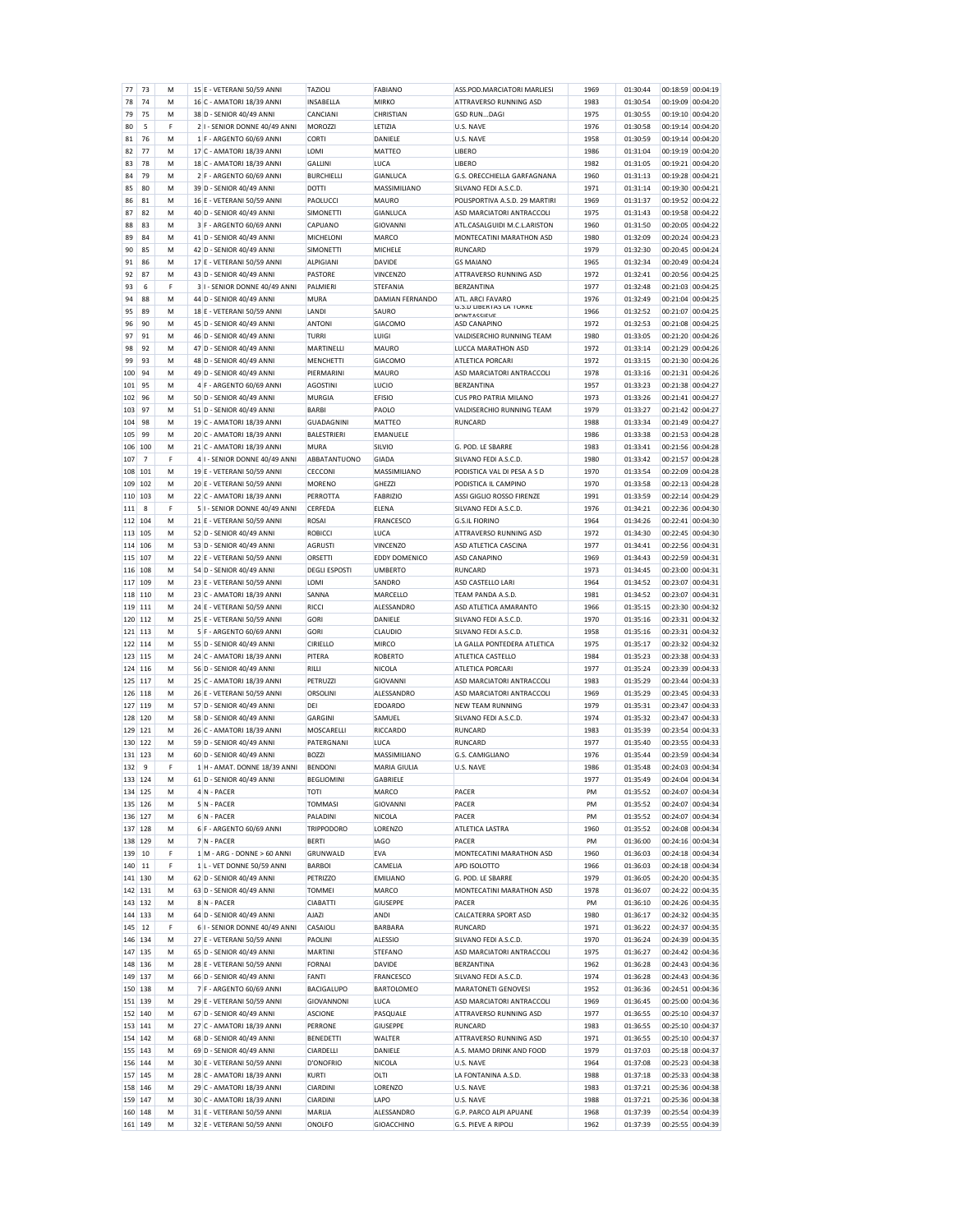| 77      | 73             | м | 15 E - VETERANI 50/59 ANNI    | <b>TAZIOLI</b>       | <b>FABIANO</b>       | ASS.POD.MARCIATORI MARLIESI                          | 1969 | 01:30:44 | 00:18:59 00:04:19 |
|---------|----------------|---|-------------------------------|----------------------|----------------------|------------------------------------------------------|------|----------|-------------------|
| 78      | 74             | M | 16 C - AMATORI 18/39 ANNI     | INSABELLA            | <b>MIRKO</b>         | ATTRAVERSO RUNNING ASD                               | 1983 | 01:30:54 | 00:19:09 00:04:20 |
| 79      | 75             | М | 38 D - SENIOR 40/49 ANNI      | CANCIANI             | CHRISTIAN            | <b>GSD RUNDAGI</b>                                   | 1975 | 01:30:55 | 00:19:10 00:04:20 |
| 80      | 5              | F | 2 I - SENIOR DONNE 40/49 ANNI | <b>MOROZZI</b>       | LETIZIA              | U.S. NAVE                                            | 1976 | 01:30:58 | 00:19:14 00:04:20 |
|         | 76             |   | 1 F - ARGENTO 60/69 ANNI      | CORTI                | DANIELE              |                                                      |      |          | 00:19:14 00:04:20 |
| 81      |                | M |                               |                      |                      | U.S. NAVE                                            | 1958 | 01:30:59 |                   |
| 82      | 77             | M | 17 C - AMATORI 18/39 ANNI     | LOMI                 | <b>MATTEO</b>        | <b>LIBERO</b>                                        | 1986 | 01:31:04 | 00:19:19 00:04:20 |
| 83      | 78             | M | 18 C - AMATORI 18/39 ANNI     | GALLINI              | LUCA                 | LIBERO                                               | 1982 | 01:31:05 | 00:19:21 00:04:20 |
| 84      | 79             | M | 2 F - ARGENTO 60/69 ANNI      | <b>BURCHIELLI</b>    | <b>GIANLUCA</b>      | G.S. ORECCHIELLA GARFAGNANA                          | 1960 | 01:31:13 | 00:19:28 00:04:21 |
| 85      | 80             | м | 39 D - SENIOR 40/49 ANNI      | <b>DOTTI</b>         | MASSIMILIANO         | SILVANO FEDI A.S.C.D.                                | 1971 | 01:31:14 | 00:19:30 00:04:21 |
| 86      | 81             | М | 16 E - VETERANI 50/59 ANNI    | PAOLUCCI             | <b>MAURO</b>         | POLISPORTIVA A.S.D. 29 MARTIRI                       | 1969 | 01:31:37 | 00:19:52 00:04:22 |
|         |                |   |                               |                      |                      |                                                      |      |          |                   |
| 87      | 82             | M | 40 D - SENIOR 40/49 ANNI      | <b>SIMONETTI</b>     | GIANLUCA             | ASD MARCIATORI ANTRACCOLI                            | 1975 | 01:31:43 | 00:19:58 00:04:22 |
| 88      | 83             | м | 3 F - ARGENTO 60/69 ANNI      | CAPUANO              | GIOVANNI             | ATL.CASALGUIDI M.C.L.ARISTON                         | 1960 | 01:31:50 | 00:20:05 00:04:22 |
| 89      | 84             | М | 41 D - SENIOR 40/49 ANNI      | MICHELONI            | MARCO                | MONTECATINI MARATHON ASD                             | 1980 | 01:32:09 | 00:20:24 00:04:23 |
| 90      | 85             | M | 42 D - SENIOR 40/49 ANNI      | SIMONETTI            | MICHELE              | <b>RUNCARD</b>                                       | 1979 | 01:32:30 | 00:20:45 00:04:24 |
| 91      | 86             | м | 17 E - VETERANI 50/59 ANNI    | ALPIGIANI            | DAVIDE               | <b>GS MAIANO</b>                                     | 1965 | 01:32:34 | 00:20:49 00:04:24 |
| 92      | 87             | M | 43 D - SENIOR 40/49 ANNI      | <b>PASTORE</b>       | VINCENZO             | ATTRAVERSO RUNNING ASD                               | 1972 | 01:32:41 | 00:20:56 00:04:25 |
|         |                |   |                               |                      |                      |                                                      |      |          |                   |
| 93      | 6              | F | 3 I - SENIOR DONNE 40/49 ANNI | PALMIERI             | STEFANIA             | <b>BERZANTINA</b>                                    | 1977 | 01:32:48 | 00:21:03 00:04:25 |
| 94      | 88             | M | 44 D - SENIOR 40/49 ANNI      | <b>MURA</b>          | DAMIAN FERNANDO      | ATI . ARCI FAVARO                                    | 1976 | 01:32:49 | 00:21:04 00:04:25 |
| 95      | 89             | M | 18 E - VETERANI 50/59 ANNI    | LANDI                | SAURO                | <b>G.S.D LIBERTAS LA TORRE</b><br><b>DONTACCIEVE</b> | 1966 | 01:32:52 | 00:21:07 00:04:25 |
| 96      | 90             | м | 45 D - SENIOR 40/49 ANNI      | <b>ANTONI</b>        | <b>GIACOMO</b>       | <b>ASD CANAPINO</b>                                  | 1972 | 01:32:53 | 00:21:08 00:04:25 |
| 97      | 91             | М | 46 D - SENIOR 40/49 ANNI      | TURRI                | LUIGI                | VALDISERCHIO RUNNING TEAM                            | 1980 | 01:33:05 | 00:21:20 00:04:26 |
| 98      | 92             | м | 47 D - SENIOR 40/49 ANNI      | MARTINELLI           | <b>MAURO</b>         | LUCCA MARATHON ASD                                   | 1972 | 01:33:14 | 00:21:29 00:04:26 |
|         | 93             |   |                               |                      |                      |                                                      |      |          |                   |
| 99      |                | м | 48 D - SENIOR 40/49 ANNI      | MENCHETTI            | <b>GIACOMO</b>       | ATLETICA PORCARI                                     | 1972 | 01:33:15 | 00:21:30 00:04:26 |
| 100     | 94             | М | 49 D - SENIOR 40/49 ANNI      | PIERMARINI           | MAURO                | ASD MARCIATORI ANTRACCOLI                            | 1978 | 01:33:16 | 00:21:31 00:04:26 |
| 101     | 95             | M | 4 F - ARGENTO 60/69 ANNI      | <b>AGOSTINI</b>      | LUCIO                | <b>BERZANTINA</b>                                    | 1957 | 01:33:23 | 00:21:38 00:04:27 |
| 102     | 96             | м | 50 D - SENIOR 40/49 ANNI      | <b>MURGIA</b>        | <b>EFISIO</b>        | <b>CUS PRO PATRIA MILANO</b>                         | 1973 | 01:33:26 | 00:21:41 00:04:27 |
| 103     | 97             | м | 51 D - SENIOR 40/49 ANNI      | <b>BARBI</b>         | PAOLO                | VALDISERCHIO RUNNING TEAM                            | 1979 | 01:33:27 | 00:21:42 00:04:27 |
| 104     | 98             | М | 19 C - AMATORI 18/39 ANNI     | GUADAGNINI           | <b>MATTEO</b>        | RUNCARD                                              | 1988 | 01:33:34 | 00:21:49 00:04:27 |
|         |                |   |                               |                      |                      |                                                      |      |          | 00:21:53 00:04:28 |
| 105     | 99             | M | 20 C - AMATORI 18/39 ANNI     | <b>BALESTRIERI</b>   | EMANUELE             |                                                      | 1986 | 01:33:38 |                   |
| 106     | 100            | М | 21 C - AMATORI 18/39 ANNI     | <b>MURA</b>          | SILVIO               | G. POD. IF SBARRE                                    | 1983 | 01:33:41 | 00:21:56 00:04:28 |
| 107     | $\overline{7}$ | F | 4 I - SENIOR DONNE 40/49 ANNI | ABBATANTUONO         | <b>GIADA</b>         | SILVANO FEDI A.S.C.D.                                | 1980 | 01:33:42 | 00:21:57 00:04:28 |
| 108     | 101            | M | 19 E - VETERANI 50/59 ANNI    | CECCONI              | MASSIMILIANO         | PODISTICA VAL DI PESA A S D                          | 1970 | 01:33:54 | 00:22:09 00:04:28 |
| 109     | 102            | M | 20 E - VETERANI 50/59 ANNI    | <b>MORENO</b>        | GHEZZI               | PODISTICA IL CAMPINO                                 | 1970 | 01:33:58 | 00:22:13 00:04:28 |
| 110     | 103            | м | 22 C - AMATORI 18/39 ANNI     | PERROTTA             | <b>FABRIZIO</b>      | ASSI GIGLIO ROSSO FIRENZE                            | 1991 | 01:33:59 | 00:22:14 00:04:29 |
|         |                |   |                               |                      |                      |                                                      |      |          |                   |
| 111     | 8              | F | 5 I - SENIOR DONNE 40/49 ANNI | CERFEDA              | <b>ELENA</b>         | SILVANO FEDI A.S.C.D.                                | 1976 | 01:34:21 | 00:22:36 00:04:30 |
| 112     | 104            | M | 21 E - VETERANI 50/59 ANNI    | ROSAI                | FRANCESCO            | <b>G.S.II FIORINO</b>                                | 1964 | 01:34:26 | 00:22:41 00:04:30 |
| 113     | 105            | M | 52 D - SENIOR 40/49 ANNI      | <b>ROBICCI</b>       | LUCA                 | ATTRAVERSO RUNNING ASD                               | 1972 | 01:34:30 | 00:22:45 00:04:30 |
| 114     | 106            | м | 53 D - SENIOR 40/49 ANNI      | AGRUSTI              | <b>VINCENZO</b>      | ASD ATLETICA CASCINA                                 | 1977 | 01:34:41 | 00:22:56 00:04:31 |
| 115     | 107            | M | 22 E - VETERANI 50/59 ANNI    | ORSETTI              | <b>EDDY DOMENICO</b> | <b>ASD CANAPINO</b>                                  | 1969 | 01:34:43 | 00:22:59 00:04:31 |
|         |                |   |                               |                      |                      |                                                      |      |          |                   |
| 116     | 108            | м | 54 D - SENIOR 40/49 ANNI      | <b>DEGLI ESPOSTI</b> | <b>UMBERTO</b>       | <b>RUNCARD</b>                                       | 1973 | 01:34:45 | 00:23:00 00:04:31 |
| 117     | 109            | М | 23 E - VETERANI 50/59 ANNI    | LOMI                 | SANDRO               | ASD CASTELLO LARI                                    | 1964 | 01:34:52 | 00:23:07 00:04:31 |
| 118     | 110            | м | 23 C - AMATORI 18/39 ANNI     | SANNA                | MARCELLO             | TEAM PANDA A.S.D                                     | 1981 | 01:34:52 | 00:23:07 00:04:31 |
| 119     | 111            | M | 24 E - VETERANI 50/59 ANNI    | RICCI                | ALESSANDRO           | ASD ATLETICA AMARANTO                                | 1966 | 01:35:15 | 00:23:30 00:04:32 |
|         | 120 112        | M | 25 E - VETERANI 50/59 ANNI    | GORI                 | DANIELE              | SILVANO FEDI A.S.C.D.                                | 1970 | 01:35:16 | 00:23:31 00:04:32 |
| 121     | 113            | м | 5 F - ARGENTO 60/69 ANNI      | GORI                 | CLAUDIO              | SILVANO FEDI A.S.C.D.                                | 1958 | 01:35:16 | 00:23:31 00:04:32 |
|         |                |   |                               |                      |                      |                                                      |      |          |                   |
| 122     | 114            | м | 55 D - SENIOR 40/49 ANNI      | CIRIELLO             | <b>MIRCO</b>         | LA GALLA PONTEDERA ATLETICA                          | 1975 | 01:35:17 | 00:23:32 00:04:32 |
| 123 115 |                | M | 24 C - AMATORI 18/39 ANNI     | PITERA               | <b>ROBERTO</b>       | ATLETICA CASTELLO                                    | 1984 | 01:35:23 | 00:23:38 00:04:33 |
| 124     | 116            | м | 56 D - SENIOR 40/49 ANNI      | RILLI                | <b>NICOLA</b>        | ATLETICA PORCARI                                     | 1977 | 01:35:24 | 00:23:39 00:04:33 |
| 125     | 117            | м | 25 C - AMATORI 18/39 ANNI     | PETRUZZI             | GIOVANNI             | ASD MARCIATORI ANTRACCOLI                            | 1983 | 01:35:29 | 00:23:44 00:04:33 |
| 126     | 118            |   | 26 E - VETERANI 50/59 ANNI    | <b>ORSOLINI</b>      | ALESSANDRO           |                                                      |      |          | 00:23:45 00:04:33 |
| 127     |                | M |                               |                      |                      |                                                      | 1969 |          |                   |
|         |                |   |                               |                      |                      | ASD MARCIATORI ANTRACCOLI                            |      | 01:35:29 |                   |
|         | 119            | M | 57 D - SENIOR 40/49 ANNI      | DEI                  | <b>EDOARDO</b>       | <b>NEW TEAM RUNNING</b>                              | 1979 | 01:35:31 | 00:23:47 00:04:33 |
| 128     | 120            | м | 58 D - SENIOR 40/49 ANNI      | <b>GARGINI</b>       | SAMUEL               | SILVANO FEDI A.S.C.D.                                | 1974 | 01:35:32 | 00:23:47 00:04:33 |
| 129     | 121            | м | 26 C - AMATORI 18/39 ANNI     | MOSCARELLI           | RICCARDO             | <b>RUNCARD</b>                                       | 1983 | 01:35:39 | 00:23:54 00:04:33 |
| 130     | 122            | M | 59 D - SENIOR 40/49 ANNI      | PATERGNANI           | LUCA                 | <b>RUNCARD</b>                                       | 1977 | 01:35:40 | 00:23:55 00:04:33 |
| 131     | 123            | м | 60 D - SENIOR 40/49 ANNI      | <b>BO77</b>          | MASSIMILIANO         | G.S. CAMIGLIANO                                      | 1976 | 01:35:44 | 00:23:59 00:04:34 |
|         | 9              | F |                               | <b>BENDONI</b>       |                      |                                                      | 1986 | 01:35:48 |                   |
| 132     |                |   | 1 H - AMAT. DONNE 18/39 ANNI  |                      | MARIA GIULIA         | U.S. NAVE                                            |      |          | 00:24:03 00:04:34 |
| 133     | 124            | M | 61 D - SENIOR 40/49 ANNI      | <b>BEGLIOMINI</b>    | GABRIELE             |                                                      | 1977 | 01:35:49 | 00:24:04 00:04:34 |
|         | 134 125        | M | 4 N - PACER                   | <b>TOTI</b>          | MARCO                | PACER                                                | PM   | 01:35:52 | 00:24:07 00:04:34 |
|         | 135 126        | M | 5 N - PACER                   | <b>TOMMAS</b>        | <b>GIOVANNI</b>      | PACER                                                | PM   | 01:35:52 | 00:24:07 00:04:34 |
|         | 136 127        | М | 6 N - PACER                   | PALADINI             | NICOLA               | PACER                                                | PM   | 01:35:52 | 00:24:07 00:04:34 |
| 137     | 128            | M | 6 F - ARGENTO 60/69 ANNI      | <b>TRIPPODORO</b>    | LORENZO              | ATLETICA LASTRA                                      | 1960 | 01:35:52 | 00:24:08 00:04:34 |
| 138     | 129            | м | 7 N - PACER                   | <b>BERTI</b>         | <b>IAGO</b>          | <b>PACER</b>                                         | PM   | 01:36:00 | 00:24:16 00:04:34 |
|         |                |   |                               |                      |                      |                                                      |      |          |                   |
| 139     | 10             | F | 1 M - ARG - DONNE > 60 ANNI   | GRUNWALD             | <b>EVA</b>           | MONTECATINI MARATHON ASD                             | 1960 | 01:36:03 | 00:24:18 00:04:34 |
| 140     | 11             | F | 1 L - VET DONNE 50/59 ANNI    | <b>BARBOI</b>        | CAMELIA              | APD ISOLOTTO                                         | 1966 | 01:36:03 | 00:24:18 00:04:34 |
| 141     | 130            | м | 62 D - SENIOR 40/49 ANNI      | <b>PETRIZZO</b>      | <b>EMILIANO</b>      | G. POD. LE SBARRE                                    | 1979 | 01:36:05 | 00:24:20 00:04:35 |
|         | 142 131        | м | 63 D - SENIOR 40/49 ANNI      | <b>TOMMEI</b>        | <b>MARCO</b>         | MONTECATINI MARATHON ASD                             | 1978 | 01:36:07 | 00:24:22 00:04:35 |
| 143     | 132            | М | 8 N - PACER                   | <b>CIABATTI</b>      | <b>GIUSEPPE</b>      | PACER                                                | PM   | 01:36:10 | 00:24:26 00:04:35 |
| 144     | 133            | M | 64 D - SENIOR 40/49 ANNI      | <b>AJAZI</b>         | <b>ANDI</b>          | CALCATERRA SPORT ASD                                 | 1980 | 01:36:17 | 00:24:32 00:04:35 |
| 145     | 12             | F |                               |                      |                      |                                                      | 1971 | 01:36:22 |                   |
|         |                |   | 6 I - SENIOR DONNE 40/49 ANNI | CASAIOLI             | <b>BARBARA</b>       | <b>RUNCARD</b>                                       |      |          | 00:24:37 00:04:35 |
|         | 146 134        | м | 27 E - VETERANI 50/59 ANNI    | PAOLINI              | ALESSIO              | SILVANO FEDI A.S.C.D.                                | 1970 | 01:36:24 | 00:24:39 00:04:35 |
| 147     | 135            | м | 65 D - SENIOR 40/49 ANNI      | MARTINI              | STEFANO              | ASD MARCIATORI ANTRACCOLI                            | 1975 | 01:36:27 | 00:24:42 00:04:36 |
|         | 148 136        | м | 28 E - VETERANI 50/59 ANNI    | <b>FORNAI</b>        | <b>DAVIDE</b>        | <b>BERZANTINA</b>                                    | 1962 | 01:36:28 | 00:24:43 00:04:36 |
| 149     | 137            | M | 66 D - SENIOR 40/49 ANNI      | FANTI                | <b>FRANCESCO</b>     | SILVANO FEDI A.S.C.D.                                | 1974 | 01:36:28 | 00:24:43 00:04:36 |
| 150     |                | М |                               |                      |                      |                                                      |      |          |                   |
|         | 138            |   | 7 F - ARGENTO 60/69 ANNI      | <b>BACIGALUPO</b>    | BARTOLOMEO           | <b>MARATONETI GENOVESI</b>                           | 1952 | 01:36:36 | 00:24:51 00:04:36 |
| 151     | 139            | M | 29 E - VETERANI 50/59 ANNI    | GIOVANNONI           | LUCA                 | ASD MARCIATORI ANTRACCOLI                            | 1969 | 01:36:45 | 00:25:00 00:04:36 |
| 152     | 140            | м | 67 D - SENIOR 40/49 ANNI      | <b>ASCIONE</b>       | PASQUALE             | ATTRAVERSO RUNNING ASD                               | 1977 | 01:36:55 | 00:25:10 00:04:37 |
| 153     | 141            | м | 27 C - AMATORI 18/39 ANNI     | PERRONE              | GIUSEPPE             | <b>RUNCARD</b>                                       | 1983 | 01:36:55 | 00:25:10 00:04:37 |
| 154     | 142            | М | 68 D - SENIOR 40/49 ANNI      | <b>BENEDETTI</b>     | WALTER               | ATTRAVERSO RUNNING ASD                               | 1971 | 01:36:55 | 00:25:10 00:04:37 |
| 155     | 143            | M | 69 D - SENIOR 40/49 ANNI      | CIARDELLI            | DANIELE              | A.S. MAMO DRINK AND FOOD                             | 1979 | 01:37:03 | 00:25:18 00:04:37 |
|         |                |   |                               |                      |                      |                                                      |      |          |                   |
| 156     | 144            | М | 30 E - VETERANI 50/59 ANNI    | D'ONOFRIO            | NICOLA               | U.S. NAVE                                            | 1964 | 01:37:08 | 00:25:23 00:04:38 |
| 157     | 145            | М | 28 C - AMATORI 18/39 ANNI     | KURTI                | OLTI                 | LA FONTANINA A.S.D.                                  | 1988 | 01:37:18 | 00:25:33 00:04:38 |
| 158     | 146            | М | 29 C - AMATORI 18/39 ANNI     | CIARDINI             | LORENZO              | U.S. NAVE                                            | 1983 | 01:37:21 | 00:25:36 00:04:38 |
| 159     | 147            | M | 30 C - AMATORI 18/39 ANNI     | CIARDINI             | LAPO                 | U.S. NAVE                                            | 1988 | 01:37:21 | 00:25:36 00:04:38 |
| 160     | 148            | М | 31 E - VETERANI 50/59 ANNI    | MARLIA               | ALESSANDRO           | G.P. PARCO ALPI APUANE                               | 1968 | 01:37:39 | 00:25:54 00:04:39 |
|         | 161 149        | м | 32 E - VETERANI 50/59 ANNI    | ONOLFO               | <b>GIOACCHINO</b>    | G.S. PIEVE A RIPOLI                                  | 1962 | 01:37:39 | 00:25:55 00:04:39 |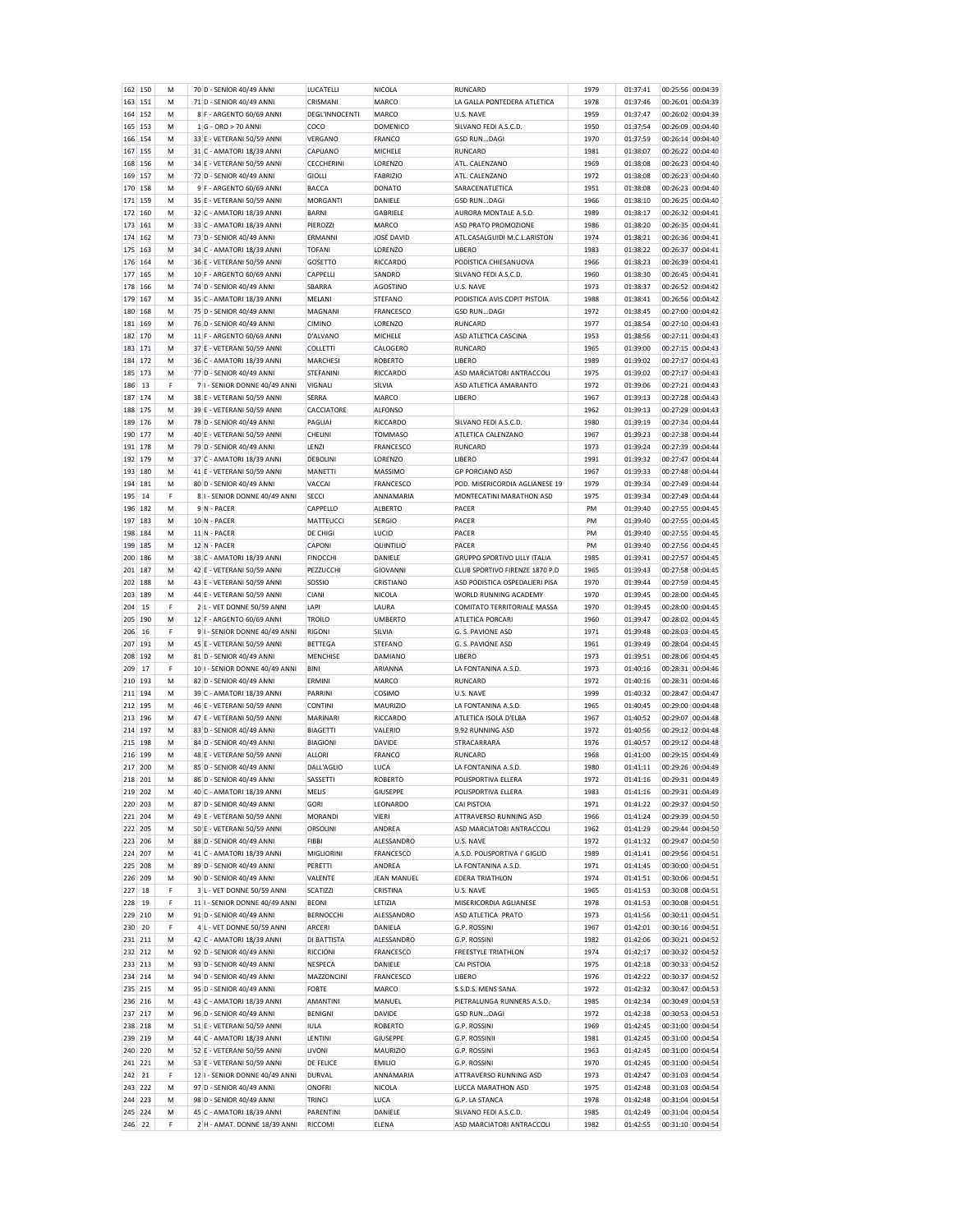|            | 150       | М      | 70 D - SENIOR 40/49 ANNI                                  | LUCATELLI                   | NICOLA                  | RUNCARD                                            | 1979         | 01:37:41             | 00:25:56          | 00:04:39          |
|------------|-----------|--------|-----------------------------------------------------------|-----------------------------|-------------------------|----------------------------------------------------|--------------|----------------------|-------------------|-------------------|
| 163        | 151       | M      | 71 D - SENIOR 40/49 ANNI                                  | CRISMANI                    | MARCO                   | LA GALLA PONTEDERA ATLETICA                        | 1978         | 01:37:46             | 00:26:01 00:04:39 |                   |
| 164        | 152       | М      | 8 F - ARGENTO 60/69 ANNI                                  | DEGL'INNOCENTI              | <b>MARCO</b>            | U.S. NAVE                                          | 1959         | 01:37:47             | 00:26:02 00:04:39 |                   |
| 165 153    |           | м      | 1 G - ORO > 70 ANNI                                       | COCO                        | <b>DOMENICO</b>         | SILVANO FEDI A.S.C.D.                              | 1950         | 01:37:54             | 00:26:09 00:04:40 |                   |
|            |           |        |                                                           |                             |                         |                                                    |              |                      |                   |                   |
| 166        | 154       | M      | 33 E - VETERANI 50/59 ANNI                                | VERGANO                     | FRANCO                  | <b>GSD RUNDAGI</b>                                 | 1970         | 01:37:59             | 00:26:14 00:04:40 |                   |
| 167        | 155       | м      | 31 C - AMATORI 18/39 ANNI                                 | CAPUANO                     | MICHELE                 | <b>RUNCARD</b>                                     | 1981         | 01:38:07             | 00:26:22 00:04:40 |                   |
| 168        | 156       | м      | 34 E - VETERANI 50/59 ANNI                                | <b>CECCHERIN</b>            | LORENZO                 | ATI. CALENZANO                                     | 1969         | 01:38:08             | 00:26:23 00:04:40 |                   |
| 169        | 157       | M      | 72 D - SENIOR 40/49 ANNI                                  | <b>GIOLLI</b>               | <b>FABRIZIO</b>         | ATL. CALENZANO                                     | 1972         | 01:38:08             | 00:26:23 00:04:40 |                   |
| 170        | 158       | M      | 9 F - ARGENTO 60/69 ANNI                                  | BACCA                       | DONATO                  | <b>SARACENATI ETICA</b>                            | 1951         | 01:38:08             | 00:26:23 00:04:40 |                   |
|            |           |        |                                                           |                             |                         |                                                    |              |                      |                   |                   |
| 171        | 159       | M      | 35 E - VETERANI 50/59 ANNI                                | <b>MORGANTI</b>             | DANIELE                 | <b>GSD RUNDAGI</b>                                 | 1966         | 01:38:10             | 00:26:25 00:04:40 |                   |
| 172        | 160       | м      | 32 C - AMATORI 18/39 ANNI                                 | <b>BARNI</b>                | GABRIELE                | AURORA MONTALE A.S.D.                              | 1989         | 01:38:17             | 00:26:32 00:04:41 |                   |
| 173        | 161       | м      | 33 C - AMATORI 18/39 ANNI                                 | PIEROZZI                    | MARCO                   | ASD PRATO PROMOZIONE                               | 1986         | 01:38:20             | 00:26:35 00:04:41 |                   |
| 174        | 162       | M      | 73 D - SENIOR 40/49 ANNI                                  | ERMANNI                     | JOSÉ DAVID              | ATL.CASALGUIDI M.C.L.ARISTON                       | 1974         | 01:38:21             | 00:26:36 00:04:41 |                   |
| 175        | 163       | м      | 34 C - AMATORI 18/39 ANNI                                 | <b>TOFANI</b>               | LORENZO                 | <b>LIBERO</b>                                      | 1983         | 01:38:22             | 00:26:37 00:04:41 |                   |
|            |           |        |                                                           |                             |                         |                                                    |              |                      |                   |                   |
| 176        | 164       | м      | 36 E - VETERANI 50/59 ANNI                                | GOSETTO                     | RICCARDO                | PODISTICA CHIESANUOVA                              | 1966         | 01:38:23             | 00:26:39 00:04:41 |                   |
| 177        | 165       | M      | 10 F - ARGENTO 60/69 ANNI                                 | CAPPELLI                    | SANDRO                  | SILVANO FEDI A.S.C.D.                              | 1960         | 01:38:30             | 00:26:45 00:04:41 |                   |
| 178        | 166       | м      | 74 D - SENIOR 40/49 ANNI                                  | SBARRA                      | <b>AGOSTINO</b>         | U.S. NAVE                                          | 1973         | 01:38:37             | 00:26:52 00:04:42 |                   |
| 179        | 167       | м      | 35 C - AMATORI 18/39 ANNI                                 | <b>MELANI</b>               | <b>STEFANO</b>          | PODISTICA AVIS COPIT PISTOIA                       | 1988         | 01:38:41             | 00:26:56 00:04:42 |                   |
| 180        | 168       | M      | 75 D - SENIOR 40/49 ANNI                                  | MAGNANI                     | FRANCESCO               | <b>GSD RUNDAGI</b>                                 | 1972         | 01:38:45             | 00:27:00 00:04:42 |                   |
|            |           |        |                                                           |                             |                         |                                                    |              |                      |                   |                   |
| 181        | 169       | M      | 76 D - SENIOR 40/49 ANNI                                  | CIMINO                      | LORENZO                 | <b>RUNCARD</b>                                     | 1977         | 01:38:54             | 00:27:10 00:04:43 |                   |
| 182        | 170       | M      | 11 F - ARGENTO 60/69 ANNI                                 | D'ALVANO                    | MICHELE                 | ASD ATLETICA CASCINA                               | 1953         | 01:38:56             | 00:27:11 00:04:43 |                   |
| 183        | 171       | M      | 37 E - VETERANI 50/59 ANNI                                | <b>COLLETTI</b>             | CALOGERO                | <b>RUNCARD</b>                                     | 1965         | 01:39:00             | 00:27:15 00:04:43 |                   |
| 184        | 172       | M      | 36 C - AMATORI 18/39 ANNI                                 | <b>MARCHESI</b>             | <b>ROBERTO</b>          | <b>LIBERO</b>                                      | 1989         | 01:39:02             | 00:27:17 00:04:43 |                   |
| 185        | 173       | M      | 77 D - SENIOR 40/49 ANNI                                  | <b>STEFANINI</b>            | <b>RICCARDO</b>         | ASD MARCIATORI ANTRACCOLI                          | 1975         | 01:39:02             | 00:27:17 00:04:43 |                   |
|            |           |        |                                                           |                             |                         |                                                    |              |                      |                   |                   |
| 186        | 13        | F      | 7 I - SENIOR DONNE 40/49 ANNI                             | <b>VIGNALI</b>              | SILVIA                  | ASD ATLETICA AMARANTO                              | 1972         | 01:39:06             | 00:27:21 00:04:43 |                   |
| 187        | 174       | м      | 38 E - VETERANI 50/59 ANNI                                | SERRA                       | MARCO                   | <b>LIBERO</b>                                      | 1967         | 01:39:13             | 00:27:28 00:04:43 |                   |
| 188        | 175       | M      | 39 E - VETERANI 50/59 ANNI                                | CACCIATORE                  | <b>ALFONSO</b>          |                                                    | 1962         | 01:39:13             | 00:27:29 00:04:43 |                   |
| 189        | 176       | м      | 78 D - SENIOR 40/49 ANNI                                  | PAGLIAI                     | RICCARDO                | SILVANO FEDI A.S.C.D.                              | 1980         | 01:39:19             | 00:27:34 00:04:44 |                   |
|            |           |        |                                                           |                             |                         |                                                    |              |                      |                   |                   |
| 190 177    |           | M      | 40 E - VETERANI 50/59 ANNI                                | CHELINI                     | <b>TOMMASO</b>          | ATLETICA CALENZANO                                 | 1967         | 01:39:23             | 00:27:38 00:04:44 |                   |
| 191        | 178       | M      | 79 D - SENIOR 40/49 ANNI                                  | LENZI                       | FRANCESCO               | <b>RUNCARD</b>                                     | 1973         | 01:39:24             | 00:27:39 00:04:44 |                   |
| 192        | 179       | м      | 37 C - AMATORI 18/39 ANNI                                 | <b>DEBOLINI</b>             | LORENZO                 | <b>LIBERO</b>                                      | 1991         | 01:39:32             | 00:27:47 00:04:44 |                   |
| 193        | 180       | M      | 41 E - VETERANI 50/59 ANNI                                | <b>MANETT</b>               | MASSIMO                 | <b>GP PORCIANO ASD</b>                             | 1967         | 01:39:33             | 00:27:48 00:04:44 |                   |
|            |           |        |                                                           |                             |                         |                                                    |              |                      | 00:27:49 00:04:44 |                   |
| 194        | 181       | м      | 80 D - SENIOR 40/49 ANNI                                  | VACCAI                      | FRANCESCO               | POD. MISERICORDIA AGLIANESE 19                     | 1979         | 01:39:34             |                   |                   |
| 195        | 14        | F      | 8 I - SENIOR DONNE 40/49 ANNI                             | SECCI                       | ANNAMARIA               | MONTECATINI MARATHON ASD                           | 1975         | 01:39:34             | 00:27:49          | 00:04:44          |
| 196        | 182       | M      | 9 N - PACER                                               | CAPPELLO                    | <b>ALBERTO</b>          | PACER                                              | PM           | 01:39:40             | 00:27:55 00:04:45 |                   |
| 197        | 183       | м      | 10 N - PACER                                              | MATTEUCCI                   | <b>SERGIO</b>           | PACER                                              | <b>PM</b>    | 01:39:40             | 00:27:55 00:04:45 |                   |
|            |           |        |                                                           |                             |                         |                                                    |              |                      |                   |                   |
| 198        | 184       | M      | 11 N - PACER                                              | <b>DE CHIGI</b>             | LUCIO                   | PACER                                              | PM           | 01:39:40             | 00:27:55 00:04:45 |                   |
| 199        | 185       | M      | 12 N - PACER                                              | CAPONI                      | QUINTILIO               | PACER                                              | PM           | 01:39:40             | 00:27:56 00:04:45 |                   |
| 200        | 186       | м      | 38 C - AMATORI 18/39 ANNI                                 | <b>FINOCCHI</b>             | DANIELE                 | <b>GRUPPO SPORTIVO LILLY ITALIA</b>                | 1985         | 01:39:41             | 00:27:57 00:04:45 |                   |
| 201        | 187       | M      | 42 E - VETERANI 50/59 ANNI                                | PEZZUCCHI                   | GIOVANNI                | CLUB SPORTIVO FIRENZE 1870 P.D                     | 1965         | 01:39:43             | 00:27:58 00:04:45 |                   |
| 202        | 188       | M      | 43 E - VETERANI 50/59 ANNI                                | SOSSIO                      | CRISTIANO               | ASD PODISTICA OSPEDALIERI PISA                     | 1970         | 01:39:44             | 00:27:59 00:04:45 |                   |
|            |           |        |                                                           |                             |                         |                                                    |              |                      |                   |                   |
| 203        | 189       | M      | 44 E - VETERANI 50/59 ANNI                                | CIANI                       | NICOLA                  | WORLD RUNNING ACADEMY                              | 1970         | 01:39:45             | 00:28:00 00:04:45 |                   |
| 204        | 15        | F      | 2 L - VET DONNE 50/59 ANNI                                | LAPI                        | LAURA                   | COMITATO TERRITORIALE MASSA                        | 1970         | 01:39:45             | 00:28:00 00:04:45 |                   |
| 205        | 190       | M      | 12 F - ARGENTO 60/69 ANNI                                 | <b>TROILO</b>               | <b>UMBERTO</b>          | ATLETICA PORCARI                                   | 1960         | 01:39:47             | 00:28:02 00:04:45 |                   |
| 206        | 16        | F      | 9 I - SENIOR DONNE 40/49 ANNI                             | <b>RIGONI</b>               | SILVIA                  | G. S. PAVIONE ASD                                  | 1971         | 01:39:48             | 00:28:03 00:04:45 |                   |
|            |           |        |                                                           |                             |                         | G. S. PAVIONE ASD                                  | 1961         |                      |                   |                   |
|            |           |        | 45 E - VETERANI 50/59 ANNI                                | <b>BETTEGA</b>              | <b>STEFANO</b>          |                                                    |              | 01:39:49             | 00:28:04 00:04:45 |                   |
| 207        | 191       | M      |                                                           |                             |                         |                                                    |              |                      |                   |                   |
| 208        | 192       | м      | 81 D - SENIOR 40/49 ANNI                                  | <b>MENCHISE</b>             | DAMIANO                 | <b>LIBERO</b>                                      | 1973         | 01:39:51             | 00:28:06 00:04:45 |                   |
| 209        | 17        | F      | 10 I - SENIOR DONNE 40/49 ANNI                            | <b>BINI</b>                 | ARIANNA                 | LA FONTANINA A.S.D.                                | 1973         | 01:40:16             | 00:28:31 00:04:46 |                   |
|            |           |        |                                                           |                             |                         |                                                    |              |                      |                   |                   |
| 210        | 193       | M      | 82 D - SENIOR 40/49 ANNI                                  | <b>ERMINI</b>               | <b>MARCO</b>            | <b>RUNCARD</b>                                     | 1972         | 01:40:16             | 00:28:31 00:04:46 |                   |
| 211        | 194       | м      | 39 C - AMATORI 18/39 ANNI                                 | PARRINI                     | COSIMO                  | U.S. NAVE                                          | 1999         | 01:40:32             | 00:28:47 00:04:47 |                   |
| 212        | 195       | М      | 46 E - VETERANI 50/59 ANNI                                | CONTINI                     | <b>MAURIZIO</b>         | LA FONTANINA A.S.D.                                | 1965         | 01:40:45             | 00:29:00 00:04:48 |                   |
| 213        | 196       | M      | 47 E - VETERANI 50/59 ANNI                                | <b>MARINARI</b>             | <b>RICCARDO</b>         | ATLETICA ISOLA D'ELBA                              | 1967         | 01:40:52             | 00:29:07 00:04:48 |                   |
| 214        | 197       | м      | 83 D - SENIOR 40/49 ANNI                                  | <b>BIAGETTI</b>             | VALERIO                 | 9.92 RUNNING ASD                                   | 1972         | 01:40:56             | 00:29:12 00:04:48 |                   |
|            |           | М      |                                                           | <b>BIAGION</b>              |                         |                                                    | 1976         |                      | 00:29:12 00:04:48 |                   |
| 215 198    |           |        | 84 D - SENIOR 40/49 ANNI                                  |                             | DAVIDE                  | STRACARRARA                                        |              | 01:40:57             |                   |                   |
| 216        | 199       | M      | 48 E - VETERANI 50/59 ANNI                                | <b>ALLORI</b>               | <b>FRANCO</b>           | <b>RUNCARD</b>                                     | 1968         | 01:41:00             | 00:29:15 00:04:49 |                   |
| 217        | 200       | М      | 85 D - SENIOR 40/49 ANNI                                  | DALL'AGLIO                  | LUCA                    | LA FONTANINA A.S.D.                                | 1980         | 01:41:11             | 00:29:26 00:04:49 |                   |
| 218        | 201       | M      | 86 D - SENIOR 40/49 ANNI                                  | SASSETTI                    | <b>ROBERTO</b>          | POLISPORTIVA ELLERA                                | 1972         | 01.41.16             | 00:29:31 00:04:49 |                   |
| 219        | 202       | М      | 40 C - AMATORI 18/39 ANNI                                 | MELIS                       | <b>GIUSEPPE</b>         | POLISPORTIVA ELLERA                                | 1983         | 01:41:16             | 00:29:31 00:04:49 |                   |
|            |           | M      |                                                           | GORI                        |                         |                                                    |              |                      |                   |                   |
| 220        | 203       |        | 87 D - SENIOR 40/49 ANNI                                  |                             | LEONARDO                | CAI PISTOIA                                        | 1971         | 01:41:22             | 00:29:37 00:04:50 |                   |
| 221        | 204       | M      | 49 E - VETERANI 50/59 ANNI                                | <b>MORANDI</b>              | <b>VIERI</b>            | ATTRAVERSO RUNNING ASD                             | 1966         | 01:41:24             | 00:29:39 00:04:50 |                   |
| 222        | 205       | м      | 50 E - VETERANI 50/59 ANNI                                | <b>ORSOLINI</b>             | ANDREA                  | ASD MARCIATORI ANTRACCOLI                          | 1962         | 01:41:29             | 00:29:44 00:04:50 |                   |
| 223        | 206       | М      | 88 D - SENIOR 40/49 ANNI                                  | FIBBI                       | ALESSANDRO              | U.S. NAVE                                          | 1972         | 01:41:32             | 00:29:47 00:04:50 |                   |
| 224        | 207       | м      | 41 C - AMATORI 18/39 ANNI                                 | MIGLIORINI                  | FRANCESCO               | A.S.D. POLISPORTIVA I' GIGLIO                      | 1989         | 01:41:41             | 00:29:56 00:04:51 |                   |
|            | 208       | м      |                                                           | PERETTI                     |                         | LA FONTANINA A.S.D.                                | 1971         |                      | 00:30:00 00:04:51 |                   |
| 225        |           |        | 89 D - SENIOR 40/49 ANNI                                  |                             | ANDREA                  |                                                    |              | 01:41:45             |                   |                   |
| 226        | 209       | М      | 90 D - SENIOR 40/49 ANNI                                  | VALENTE                     | <b>JEAN MANUEL</b>      | <b>EDERA TRIATHLON</b>                             | 1974         | 01:41:51             | 00:30:06 00:04:51 |                   |
| 227        | 18        | F      | 3 L - VET DONNE 50/59 ANNI                                | SCATIZZI                    | CRISTINA                | U.S. NAVE                                          | 1965         | 01:41:53             | 00:30:08 00:04:51 |                   |
| 228        | 19        | F      | 11 I - SENIOR DONNE 40/49 ANNI                            | <b>BEONI</b>                | LETIZIA                 | MISERICORDIA AGLIANESE                             | 1978         | 01:41:53             | 00:30:08 00:04:51 |                   |
| 229        | 210       | м      | 91 D - SENIOR 40/49 ANNI                                  | <b>BERNOCCHI</b>            | ALESSANDRO              | ASD ATLETICA PRATO                                 | 1973         | 01:41:56             | 00:30:11 00:04:51 |                   |
|            | 20        |        |                                                           |                             |                         |                                                    |              |                      |                   |                   |
| 230        |           | F      | 4 L - VET DONNE 50/59 ANNI                                | ARCERI                      | DANIELA                 | G.P. ROSSINI                                       | 1967         | 01:42:01             | 00:30:16 00:04:51 |                   |
| 231        | 211       | м      | 42 C - AMATORI 18/39 ANNI                                 | DI BATTISTA                 | ALESSANDRO              | G.P. ROSSINI                                       | 1982         | 01:42:06             | 00:30:21 00:04:52 |                   |
| 232        | 212       | M      | 92 D - SENIOR 40/49 ANNI                                  | <b>RICCIONI</b>             | <b>FRANCESCO</b>        | <b>FREESTYLE TRIATHLON</b>                         | 1974         | 01:42:17             | 00:30:32 00:04:52 |                   |
| 233        | 213       | М      | 93 D - SENIOR 40/49 ANNI                                  | NESPECA                     | DANIELE                 | <b>CAI PISTOIA</b>                                 | 1975         | 01:42:18             | 00:30:33 00:04:52 |                   |
| 234        | 214       | M      | 94 D - SENIOR 40/49 ANNI                                  | MAZZONCINI                  | FRANCESCO               | <b>LIBERO</b>                                      | 1976         | 01:42:22             |                   | 00:30:37 00:04:52 |
|            | 215       | M      |                                                           | <b>FORTE</b>                |                         |                                                    | 1972         |                      |                   |                   |
| 235        |           |        | 95 D - SENIOR 40/49 ANNI                                  |                             | MARCO                   | S.S.D.S. MENS SANA                                 |              | 01:42:32             | 00:30:47 00:04:53 |                   |
| 236 216    |           | м      | 43 C - AMATORI 18/39 ANNI                                 | <b>AMANTINI</b>             | MANUEL                  | PIETRALUNGA RUNNERS A.S.D.                         | 1985         | 01:42:34             | 00:30:49 00:04:53 |                   |
| 237        | 217       | М      | 96 D - SENIOR 40/49 ANNI                                  | <b>BENIGNI</b>              | DAVIDE                  | <b>GSD RUNDAGI</b>                                 | 1972         | 01:42:38             | 00:30:53 00:04:53 |                   |
| 238        | 218       | M      | 51 E - VETERANI 50/59 ANNI                                | <b>IULA</b>                 | <b>ROBERTO</b>          | G.P. ROSSINI                                       | 1969         | 01:42:45             | 00:31:00 00:04:54 |                   |
| 239        | 219       | м      | 44 C - AMATORI 18/39 ANNI                                 | LENTINI                     | <b>GIUSEPPE</b>         | G.P. ROSSINII                                      | 1981         | 01:42:45             | 00:31:00 00:04:54 |                   |
|            |           |        |                                                           |                             |                         |                                                    |              |                      |                   |                   |
| 240        | 220       | м      | 52 E - VETERANI 50/59 ANNI                                | LIVONI                      | <b>MAURIZIO</b>         | G.P. ROSSINI                                       | 1963         | 01:42:45             | 00:31:00 00:04:54 |                   |
| 241        | 221       | M      | 53 E - VETERANI 50/59 ANNI                                | DE FELICE                   | <b>EMILIO</b>           | G.P. ROSSINI                                       | 1970         | 01:42:45             | 00:31:00 00:04:54 |                   |
| 242        | 21        | F      | 12 I - SENIOR DONNE 40/49 ANNI                            | <b>DURVAL</b>               | ANNAMARIA               | ATTRAVERSO RUNNING ASD                             | 1973         | 01:42:47             | 00:31:03 00:04:54 |                   |
| 243        | 222       | м      | 97 D - SENIOR 40/49 ANNI                                  | <b>ONOFRI</b>               | <b>NICOLA</b>           | LUCCA MARATHON ASD                                 | 1975         | 01:42:48             | 00:31:03 00:04:54 |                   |
| 244        | 223       |        |                                                           |                             |                         |                                                    |              |                      |                   |                   |
|            |           | м      | 98 D - SENIOR 40/49 ANNI                                  | <b>TRINCI</b>               | LUCA                    | G.P. LA STANCA                                     | 1978         | 01:42:48             | 00:31:04 00:04:54 |                   |
| 245<br>246 | 224<br>22 | M<br>F | 45 C - AMATORI 18/39 ANNI<br>2 H - AMAT. DONNE 18/39 ANNI | PARENTINI<br><b>RICCOMI</b> | DANIELE<br><b>ELENA</b> | SILVANO FEDI A.S.C.D.<br>ASD MARCIATORI ANTRACCOLI | 1985<br>1982 | 01:42:49<br>01:42:55 | 00:31:10 00:04:54 | 00:31:04 00:04:54 |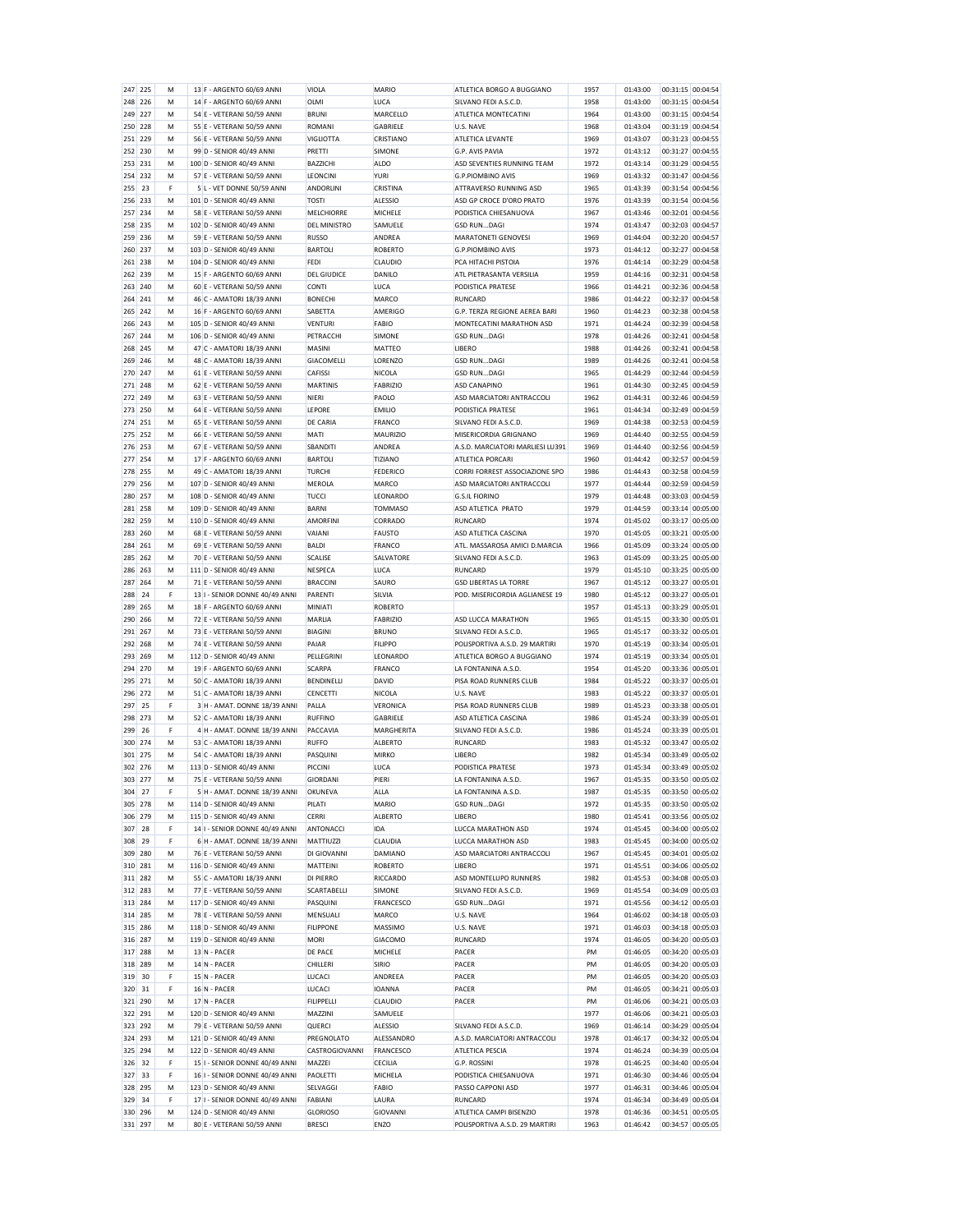| 247            | 225 | M      | 13 F - ARGENTO 60/69 ANNI                               | VIOLA                            | <b>MARIO</b>     | ATLETICA BORGO A BUGGIANO                                 | 1957         | 01:43:00             | 00:31:15<br>00:04:54                   |  |
|----------------|-----|--------|---------------------------------------------------------|----------------------------------|------------------|-----------------------------------------------------------|--------------|----------------------|----------------------------------------|--|
| 248            | 226 | М      | 14 F - ARGENTO 60/69 ANNI                               | OLMI                             | LUCA             | SILVANO FEDI A.S.C.D.                                     | 1958         | 01:43:00             | 00:31:15 00:04:54                      |  |
| 249            | 227 | M      | 54 E - VETERANI 50/59 ANNI                              | <b>BRUNI</b>                     | MARCELLO         | ATLETICA MONTECATINI                                      | 1964         | 01:43:00             | 00:31:15 00:04:54                      |  |
| 250            | 228 | M      | 55 E - VETERANI 50/59 ANNI                              | ROMANI                           | GABRIELE         | U.S. NAVE                                                 | 1968         | 01:43:04             | 00:31:19 00:04:54                      |  |
| 251            | 229 | М      | 56 E - VETERANI 50/59 ANNI                              | <b>VIGLIOTTA</b>                 | CRISTIANO        | ATLETICA LEVANTE                                          | 1969         | 01:43:07             | 00:31:23 00:04:55                      |  |
| 252            | 230 | M      | 99 D - SENIOR 40/49 ANNI                                | PRETTI                           | SIMONE           | G.P. AVIS PAVIA                                           | 1972         | 01:43:12             | 00:31:27 00:04:55                      |  |
| 253            | 231 | M      | 100 D - SENIOR 40/49 ANNI                               | <b>BAZZICHI</b>                  | <b>ALDO</b>      | ASD SEVENTIES RUNNING TEAM                                | 1972         | 01:43:14             | 00:31:29 00:04:55                      |  |
| 254            | 232 | M      | 57 E - VETERANI 50/59 ANNI                              | LEONCINI                         | <b>YURI</b>      | <b>G.P.PIOMBINO AVIS</b>                                  | 1969         | 01:43:32             | 00:31:47 00:04:56                      |  |
| 255            | 23  | F      | 5 L - VET DONNE 50/59 ANNI                              | ANDORLINI                        | CRISTINA         | ATTRAVERSO RUNNING ASD                                    | 1965         | 01:43:39             | 00:31:54 00:04:56                      |  |
|                |     |        |                                                         |                                  |                  |                                                           |              |                      | 00:31:54 00:04:56                      |  |
| 256            | 233 | M      | 101 D - SENIOR 40/49 ANNI                               | <b>TOSTI</b>                     | <b>ALESSIO</b>   | ASD GP CROCE D'ORO PRATO                                  | 1976         | 01:43:39             |                                        |  |
| 257            | 234 | M      | 58 E - VETERANI 50/59 ANNI                              | MELCHIORRE                       | MICHELE          | PODISTICA CHIESANUOVA                                     | 1967         | 01:43:46             | 00:32:01 00:04:56                      |  |
| 258            | 235 | M      | 102 D - SENIOR 40/49 ANNI                               | <b>DEL MINISTRO</b>              | SAMUELE          | <b>GSD RUNDAGI</b>                                        | 1974         | 01:43:47             | 00:32:03 00:04:57                      |  |
| 259            | 236 | M      | 59 E - VETERANI 50/59 ANNI                              | <b>RUSSO</b>                     | ANDREA           | MARATONETI GENOVESI                                       | 1969         | 01:44:04             | 00:32:20 00:04:57                      |  |
| 260            | 237 | M      | 103 D - SENIOR 40/49 ANNI                               | <b>BARTOLI</b>                   | <b>ROBERTO</b>   | <b>G.P.PIOMBINO AVIS</b>                                  | 1973         | 01:44:12             | 00:32:27 00:04:58                      |  |
| 261            | 238 | M      | 104 D - SENIOR 40/49 ANNI                               | <b>FEDI</b>                      | CLAUDIO          | PCA HITACHI PISTOIA                                       | 1976         | 01:44:14             | 00:32:29 00:04:58                      |  |
| 262            | 239 | М      | 15 F - ARGENTO 60/69 ANNI                               | <b>DEL GIUDICE</b>               | DANILO           | ATL PIETRASANTA VERSILIA                                  | 1959         | 01:44:16             | 00:32:31 00:04:58                      |  |
| 263            | 240 | M      | 60 E - VETERANI 50/59 ANNI                              | <b>CONTI</b>                     | LUCA             | PODISTICA PRATESE                                         | 1966         | 01:44:21             | 00:32:36 00:04:58                      |  |
| 264            | 241 | M      | 46 C - AMATORI 18/39 ANNI                               | <b>BONECHI</b>                   | MARCO            | <b>RUNCARD</b>                                            | 1986         | 01:44:22             | 00:32:37 00:04:58                      |  |
| 265            | 242 | M      | 16 F - ARGENTO 60/69 ANNI                               | SABETTA                          | AMERIGO          | G.P. TERZA REGIONE AEREA BARI                             | 1960         | 01:44:23             | 00:32:38 00:04:58                      |  |
|                |     |        |                                                         |                                  |                  |                                                           |              |                      |                                        |  |
| 266            | 243 | М      | 105 D - SENIOR 40/49 ANNI                               | <b>VENTURI</b>                   | <b>FABIO</b>     | MONTECATINI MARATHON ASD                                  | 1971         | 01:44:24             | 00:32:39 00:04:58                      |  |
| 267            | 244 | M      | 106 D - SENIOR 40/49 ANNI                               | PETRACCHI                        | <b>SIMONE</b>    | <b>GSD RUNDAGI</b>                                        | 1978         | 01:44:26             | 00:32:41 00:04:58                      |  |
| 268            | 245 | M      | 47 C - AMATORI 18/39 ANNI                               | <b>MASINI</b>                    | <b>MATTEO</b>    | <b>LIBERO</b>                                             | 1988         | 01:44:26             | 00:32:41 00:04:58                      |  |
| 269            | 246 | М      | 48 C - AMATORI 18/39 ANNI                               | GIACOMELLI                       | LORENZO          | <b>GSD RUNDAGI</b>                                        | 1989         | 01:44:26             | 00:32:41 00:04:58                      |  |
| 270            | 247 | M      | 61 E - VETERANI 50/59 ANNI                              | CAFISS                           | NICOLA           | <b>GSD RUNDAGI</b>                                        | 1965         | 01:44:29             | 00:32:44 00:04:59                      |  |
| 271            | 248 | M      | 62 E - VETERANI 50/59 ANNI                              | <b>MARTINIS</b>                  | <b>FABRIZIO</b>  | <b>ASD CANAPINO</b>                                       | 1961         | 01:44:30             | 00:32:45 00:04:59                      |  |
| 272            | 249 | M      | 63 E - VETERANI 50/59 ANNI                              | <b>NIERI</b>                     | PAOLO            | ASD MARCIATORI ANTRACCOLI                                 | 1962         | 01:44:31             | 00:32:46 00:04:59                      |  |
| 273            | 250 | М      | 64 E - VETERANI 50/59 ANNI                              | LEPORE                           | <b>EMILIO</b>    | PODISTICA PRATESE                                         | 1961         | 01:44:34             | 00:32:49 00:04:59                      |  |
| 274            | 251 | M      | 65 E - VETERANI 50/59 ANNI                              | DE CARIA                         | FRANCO           | SILVANO FEDI A.S.C.D.                                     | 1969         | 01:44:38             | 00:32:53 00:04:59                      |  |
|                |     |        |                                                         |                                  |                  |                                                           |              |                      |                                        |  |
| 275            | 252 | M      | 66 E - VETERANI 50/59 ANNI                              | <b>MATI</b>                      | <b>MAURIZIO</b>  | MISERICORDIA GRIGNANO                                     | 1969         | 01:44:40             | 00:32:55 00:04:59                      |  |
| 276            | 253 | М      | 67 E - VETERANI 50/59 ANNI                              | SBANDITI                         | ANDREA           | A.S.D. MARCIATORI MARLIESI LU391                          | 1969         | 01:44:40             | 00:32:56 00:04:59                      |  |
| 277            | 254 | M      | 17 F - ARGENTO 60/69 ANNI                               | <b>BARTOLI</b>                   | TIZIANO          | ATLETICA PORCARI                                          | 1960         | 01:44:42             | 00:32:57 00:04:59                      |  |
| 278            | 255 | M      | 49 C - AMATORI 18/39 ANNI                               | <b>TURCHI</b>                    | <b>FEDERICO</b>  | CORRI FORREST ASSOCIAZIONE SPO                            | 1986         | 01:44:43             | 00:32:58 00:04:59                      |  |
| 279            | 256 | M      | 107 D - SENIOR 40/49 ANNI                               | <b>MEROLA</b>                    | <b>MARCO</b>     | ASD MARCIATORI ANTRACCOLI                                 | 1977         | 01:44:44             | 00:32:59 00:04:59                      |  |
| 280            | 257 | М      | 108 D - SENIOR 40/49 ANNI                               | <b>TUCCI</b>                     | LEONARDO         | <b>G.S.IL FIORINO</b>                                     | 1979         | 01:44:48             | 00:33:03 00:04:59                      |  |
| 281            | 258 | M      | 109 D - SENIOR 40/49 ANNI                               | <b>BARNI</b>                     | <b>TOMMASO</b>   | ASD ATLETICA PRATO                                        | 1979         | 01:44:59             | 00:33:14 00:05:00                      |  |
| 282            | 259 | M      | 110 D - SENIOR 40/49 ANNI                               | <b>AMORFINI</b>                  | CORRADO          | <b>RUNCARD</b>                                            | 1974         | 01:45:02             | 00:33:17 00:05:00                      |  |
|                |     |        |                                                         |                                  |                  |                                                           |              |                      |                                        |  |
| 283            | 260 | M      | 68 E - VETERANI 50/59 ANNI                              | VAIANI                           | <b>FAUSTO</b>    | ASD ATLETICA CASCINA                                      | 1970         | 01:45:05             | 00:33:21 00:05:00                      |  |
| 284            | 261 | M      | 69 E - VETERANI 50/59 ANNI                              | <b>BALDI</b>                     | FRANCO           | ATL. MASSAROSA AMICI D.MARCIA                             | 1966         | 01:45:09             | 00:33:24 00:05:00                      |  |
| 285            | 262 | M      | 70 E - VETERANI 50/59 ANNI                              | SCALISE                          | SALVATORE        | SILVANO FEDI A.S.C.D.                                     | 1963         | 01:45:09             | 00:33:25 00:05:00                      |  |
| 286            | 263 | M      | 111 D - SENIOR 40/49 ANNI                               | <b>NESPECA</b>                   | LUCA             | <b>RUNCARD</b>                                            | 1979         | 01:45:10             | 00:33:25 00:05:00                      |  |
| 287            | 264 | М      | 71 E - VETERANI 50/59 ANNI                              | <b>BRACCINI</b>                  | SAURO            | <b>GSD LIBERTAS LA TORRE</b>                              | 1967         | 01:45:12             | 00:33:27 00:05:01                      |  |
| 288            | 24  | F      | 13 I - SENIOR DONNE 40/49 ANNI                          | PARENTI                          | SILVIA           | POD. MISERICORDIA AGLIANESE 19                            | 1980         | 01:45:12             | 00:33:27 00:05:01                      |  |
|                |     |        |                                                         |                                  |                  |                                                           |              |                      |                                        |  |
| 289            |     |        |                                                         |                                  |                  |                                                           |              |                      |                                        |  |
|                | 265 | M      | 18 F - ARGENTO 60/69 ANNI                               | MINIATI                          | <b>ROBERTO</b>   |                                                           | 1957         | 01:45:13             | 00:33:29 00:05:01                      |  |
| 290            | 266 | M      | 72 E - VETERANI 50/59 ANNI                              | <b>MARLIA</b>                    | <b>FABRIZIO</b>  | ASD LUCCA MARATHON                                        | 1965         | 01:45:15             | 00:33:30 00:05:01                      |  |
| 291            | 267 | М      | 73 E - VETERANI 50/59 ANNI                              | <b>BIAGINI</b>                   | <b>BRUNO</b>     | SILVANO FEDI A.S.C.D.                                     | 1965         | 01:45:17             | 00:33:32 00:05:01                      |  |
| 292            | 268 | M      | 74 E - VETERANI 50/59 ANNI                              | PAIAR                            | <b>FILIPPO</b>   | POLISPORTIVA A.S.D. 29 MARTIRI                            | 1970         | 01:45:19             | 00:33:34 00:05:01                      |  |
| 293            | 269 | M      | 112 D - SENIOR 40/49 ANNI                               | PELLEGRINI                       | LEONARDO         | ATLETICA BORGO A BUGGIANO                                 | 1974         | 01:45:19             | 00:33:34 00:05:01                      |  |
| 294            | 270 | М      | 19 F - ARGENTO 60/69 ANNI                               | <b>SCARPA</b>                    | FRANCO           | LA FONTANINA A.S.D.                                       | 1954         | 01:45:20             | 00:33:36 00:05:01                      |  |
| 295            | 271 | M      | 50 C - AMATORI 18/39 ANNI                               | BENDINELLI                       | DAVID            | PISA ROAD RUNNERS CLUB                                    | 1984         | 01:45:22             | 00:33:37 00:05:01                      |  |
| 296            | 272 | M      | 51 C - AMATORI 18/39 ANNI                               | CENCETTI                         | <b>NICOLA</b>    | U.S. NAVE                                                 | 1983         | 01:45:22             | 00:33:37 00:05:01                      |  |
| 297            | 25  | F      | 3 H - AMAT. DONNE 18/39 ANNI                            | PALLA                            | <b>VERONICA</b>  | PISA ROAD RUNNERS CLUB                                    | 1989         | 01:45:23             | 00:33:38 00:05:01                      |  |
| 298            | 273 | М      | 52 C - AMATORI 18/39 ANNI                               | <b>RUFFINO</b>                   | GABRIELE         | ASD ATLETICA CASCINA                                      | 1986         | 01:45:24             | 00:33:39 00:05:01                      |  |
|                | 26  | F      |                                                         |                                  |                  |                                                           |              |                      | 00:33:39 00:05:01                      |  |
| 299            |     |        | 4 H - AMAT. DONNE 18/39 ANNI                            | PACCAVIA                         | MARGHERITA       | SILVANO FEDI A.S.C.D.                                     | 1986         | 01:45:24             |                                        |  |
| 300            | 274 | M      | 53 C - AMATORI 18/39 ANNI                               | <b>RUFFO</b>                     | <b>ALBERTO</b>   | <b>RUNCARD</b>                                            | 1983         | 01:45:32             | 00:33:47 00:05:02                      |  |
| 301            | 275 | М      | 54 C - AMATORI 18/39 ANNI                               | PASQUINI                         | <b>MIRKO</b>     | <b>LIBERO</b>                                             | 1982         | 01:45:34             | 00:33:49 00:05:02                      |  |
| 302            | 276 | M      | 113 D - SENIOR 40/49 ANNI                               | PICCINI                          | LUCA             | PODISTICA PRATESE                                         | 1973         | 01:45:34             | 00:33:49 00:05:02                      |  |
| 303            | 277 | M      | 75 E - VETERANI 50/59 ANNI                              | <b>GIORDANI</b>                  | PIERI            | LA FONTANINA A.S.D.                                       | 1967         | 01:45:35             | 00:33:50 00:05:02                      |  |
| 304            | 27  | F      | 5 H - AMAT. DONNE 18/39 ANNI                            | OKUNEVA                          | ALLA             | LA FONTANINA A.S.D                                        | 1987         | 01:45:35             | 00:33:50 00:05:02                      |  |
| 305            | 278 | М      | 114 D - SENIOR 40/49 ANNI                               | PILATI                           | <b>MARIO</b>     | <b>GSD RUNDAGI</b>                                        | 1972         | 01:45:35             | 00:33:50 00:05:02                      |  |
| 306            | 279 | M      | 115 D - SENIOR 40/49 ANNI                               | <b>CERRI</b>                     | <b>ALBERTO</b>   | <b>LIBERO</b>                                             | 1980         | 01:45:41             | 00:33:56 00:05:02                      |  |
| 307            | 28  | F      | 14 I - SENIOR DONNE 40/49 ANNI                          | ANTONACCI                        | <b>IDA</b>       | LUCCA MARATHON ASD                                        | 1974         | 01:45:45             | 00:34:00 00:05:02                      |  |
| 308            | 29  | F      | 6 H - AMAT. DONNE 18/39 ANNI                            | MATTIUZZI                        | CLAUDIA          | LUCCA MARATHON ASD                                        | 1983         | 01:45:45             | 00:34:00 00:05:02                      |  |
| 309            | 280 | M      | 76 E - VETERANI 50/59 ANNI                              | DI GIOVANNI                      | <b>DAMIANO</b>   | ASD MARCIATORI ANTRACCOLI                                 | 1967         | 01:45:45             | 00:34:01 00:05:02                      |  |
| 310            | 281 | M      | 116 D - SENIOR 40/49 ANNI                               | <b>MATTEINI</b>                  | <b>ROBERTO</b>   | <b>LIBERO</b>                                             | 1971         | 01:45:51             | 00:34:06 00:05:02                      |  |
|                | 282 | M      |                                                         |                                  |                  |                                                           |              |                      |                                        |  |
| 311            |     |        | 55 C - AMATORI 18/39 ANNI                               | DI PIERRO                        | RICCARDO         | ASD MONTELUPO RUNNERS                                     | 1982         | 01:45:53             | 00:34:08 00:05:03                      |  |
| 312            | 283 | М      | 77 E - VETERANI 50/59 ANNI                              | SCARTABELLI                      | SIMONE           | SILVANO FEDI A.S.C.D.                                     | 1969         | 01:45:54             | 00:34:09 00:05:03                      |  |
| 313            | 284 | M      | 117 D - SENIOR 40/49 ANNI                               | PASQUINI                         | FRANCESCO        | <b>GSD RUNDAGI</b>                                        | 1971         | 01:45:56             | 00:34:12 00:05:03                      |  |
| 314            | 285 | M      | 78 E - VETERANI 50/59 ANNI                              | MENSUALI                         | <b>MARCO</b>     | U.S. NAVE                                                 | 1964         | 01:46:02             | 00:34:18 00:05:03                      |  |
| 315            | 286 | M      | 118 D - SENIOR 40/49 ANNI                               | <b>FILIPPONE</b>                 | MASSIMO          | U.S. NAVE                                                 | 1971         | 01:46:03             | 00:34:18 00:05:03                      |  |
| 316            | 287 | М      | 119 D - SENIOR 40/49 ANNI                               | <b>MORI</b>                      | GIACOMO          | RUNCARD                                                   | 1974         | 01:46:05             | 00:34:20 00:05:03                      |  |
| 317            | 288 | M      | 13 N - PACER                                            | DE PACE                          | MICHELE          | PACER                                                     | PM           | 01:46:05             | 00:34:20 00:05:03                      |  |
| 318            | 289 | M      | 14 N - PACER                                            | CHILLERI                         | SIRIO            | PACER                                                     | PM           | 01:46:05             | 00:34:20 00:05:03                      |  |
| 319            | 30  | F      | 15 N - PACER                                            | LUCACI                           | ANDREEA          | PACER                                                     | PM           | 01:46:05             | 00:34:20 00:05:03                      |  |
|                |     |        |                                                         |                                  |                  |                                                           |              |                      |                                        |  |
| 320            | 31  | F      | 16 N - PACER                                            | LUCACI                           | <b>IOANNA</b>    | PACER                                                     | PM           | 01:46:05             | 00:34:21 00:05:03                      |  |
| 321            | 290 | M      | 17 N - PACER                                            | <b>FILIPPELLI</b>                | CLAUDIO          | PACER                                                     | PM           | 01:46:06             | 00:34:21 00:05:03                      |  |
| 322            | 291 | M      | 120 D - SENIOR 40/49 ANNI                               | MAZZINI                          | SAMUELE          |                                                           | 1977         | 01:46:06             | 00:34:21 00:05:03                      |  |
| 323            | 292 | М      | 79 E - VETERANI 50/59 ANNI                              | QUERCI                           | ALESSIO          | SILVANO FEDI A.S.C.D.                                     | 1969         | 01:46:14             | 00:34:29 00:05:04                      |  |
| 324            | 293 | M      | 121 D - SENIOR 40/49 ANNI                               | PREGNOLATO                       | ALESSANDRO       | A.S.D. MARCIATORI ANTRACCOLI                              | 1978         | 01:46:17             | 00:34:32 00:05:04                      |  |
| 325            | 294 | M      | 122 D - SENIOR 40/49 ANNI                               | CASTROGIOVANNI                   | FRANCESCO        | ATLETICA PESCIA                                           | 1974         | 01:46:24             | 00:34:39 00:05:04                      |  |
| 326            | 32  | F      | 15 I - SENIOR DONNE 40/49 ANNI                          | MAZZEI                           | <b>CECILIA</b>   | G.P. ROSSINI                                              | 1978         | 01:46:25             | 00:34:40 00:05:04                      |  |
| 327            | 33  | F      | 16 I - SENIOR DONNE 40/49 ANNI                          | PAOLETTI                         | MICHELA          | PODISTICA CHIESANUOVA                                     | 1971         | 01:46:30             | 00:34:46 00:05:04                      |  |
| 328            | 295 | M      | 123 D - SENIOR 40/49 ANNI                               | SELVAGGI                         | FABIO            | PASSO CAPPONI ASD                                         | 1977         |                      | 00:34:46 00:05:04                      |  |
|                | 34  | F      |                                                         |                                  |                  | <b>RUNCARD</b>                                            | 1974         | 01:46:31             | 00:34:49 00:05:04                      |  |
| 329            |     |        | 17 I - SENIOR DONNE 40/49 ANNI                          | FABIANI                          | LAURA            |                                                           |              | 01:46:34             |                                        |  |
| 330<br>331 297 | 296 | М<br>M | 124 D - SENIOR 40/49 ANNI<br>80 E - VETERANI 50/59 ANNI | <b>GLORIOSO</b><br><b>BRESCI</b> | GIOVANNI<br>ENZO | ATLETICA CAMPI BISENZIO<br>POLISPORTIVA A.S.D. 29 MARTIRI | 1978<br>1963 | 01:46:36<br>01:46:42 | 00:34:51 00:05:05<br>00:34:57 00:05:05 |  |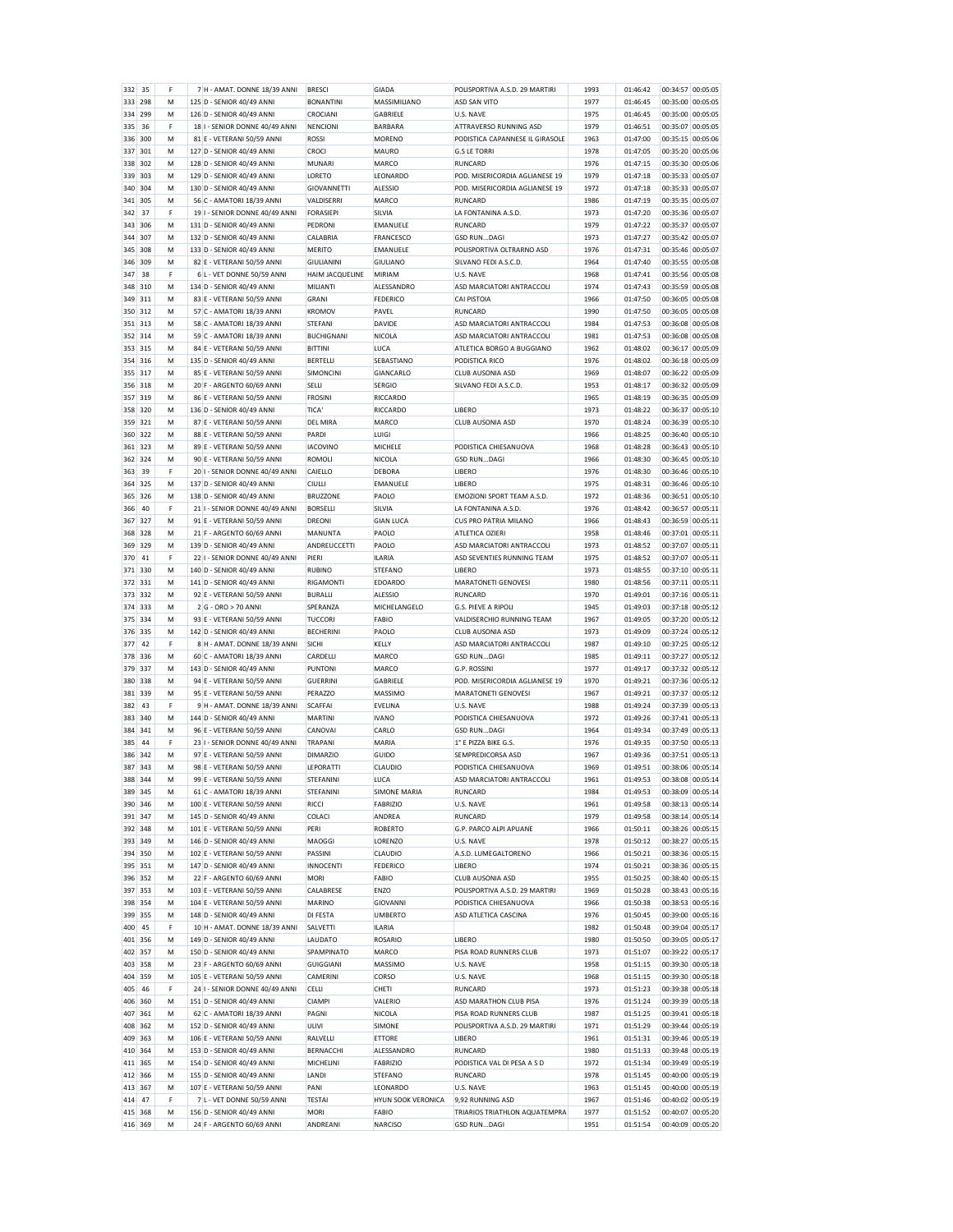|                | 35  | F | 7 H - AMAT. DONNE 18/39 ANNI                           | <b>BRESCI</b>       | <b>GIADA</b>        | POLISPORTIVA A.S.D. 29 MARTIRI                      | 1993         | 01:46:42             | 00:34:57 00:05:05                      |
|----------------|-----|---|--------------------------------------------------------|---------------------|---------------------|-----------------------------------------------------|--------------|----------------------|----------------------------------------|
| 333            | 298 | M | 125 D - SENIOR 40/49 ANNI                              | <b>BONANTINI</b>    | MASSIMILIANO        | ASD SAN VITO                                        | 1977         | 01:46:45             | 00:35:00 00:05:05                      |
| 334            | 299 | M | 126 D - SENIOR 40/49 ANNI                              | CROCIANI            | GABRIELE            | U.S. NAVE                                           | 1975         | 01:46:45             | 00:35:00 00:05:05                      |
| 335            | 36  | F | 18 I - SENIOR DONNE 40/49 ANNI                         | NENCIONI            | <b>BARBARA</b>      | ATTRAVERSO RUNNING ASD                              | 1979         | 01:46:51             | 00:35:07 00:05:05                      |
|                | 300 | M |                                                        | ROSSI               |                     | PODISTICA CAPANNESE IL GIRASOLE                     |              | 01:47:00             | 00:35:15 00:05:06                      |
| 336            |     |   | 81 E - VETERANI 50/59 ANNI                             |                     | <b>MORENO</b>       |                                                     | 1963         |                      |                                        |
| 337            | 301 | M | 127 D - SENIOR 40/49 ANNI                              | CROCI               | <b>MAURO</b>        | <b>G.S LE TORRI</b>                                 | 1978         | 01:47:05             | 00:35:20 00:05:06                      |
| 338            | 302 | M | 128 D - SENIOR 40/49 ANNI                              | <b>MUNARI</b>       | MARCO               | <b>RUNCARD</b>                                      | 1976         | 01:47:15             | 00:35:30 00:05:06                      |
| 339            | 303 | М | 129 D - SENIOR 40/49 ANNI                              | LORETO              | LEONARDO            | POD. MISERICORDIA AGLIANESE 19                      | 1979         | 01:47:18             | 00:35:33 00:05:07                      |
| 340            | 304 | M | 130 D - SENIOR 40/49 ANNI                              | <b>GIOVANNETTI</b>  | ALESSIO             | POD, MISERICORDIA AGLIANESE 19                      | 1972         | 01:47:18             | 00:35:33 00:05:07                      |
|                |     |   |                                                        |                     |                     |                                                     |              |                      |                                        |
| 341            | 305 | M | 56 C - AMATORI 18/39 ANNI                              | VALDISERRI          | MARCO               | RUNCARD                                             | 1986         | 01:47:19             | 00:35:35 00:05:07                      |
| 342            | 37  | F | 19 I - SENIOR DONNE 40/49 ANNI                         | <b>FORASIEPI</b>    | SILVIA              | LA FONTANINA A.S.D.                                 | 1973         | 01:47:20             | 00:35:36 00:05:07                      |
| 343            | 306 | М | 131 D - SENIOR 40/49 ANNI                              | PEDRONI             | EMANUELE            | <b>RUNCARD</b>                                      | 1979         | 01:47:22             | 00:35:37 00:05:07                      |
| 344            | 307 | M | 132 D - SENIOR 40/49 ANNI                              | CALABRIA            | FRANCESCO           | <b>GSD RUNDAGI</b>                                  | 1973         | 01:47:27             | 00:35:42 00:05:07                      |
| 345            | 308 | M | 133 D - SENIOR 40/49 ANNI                              | <b>MERITO</b>       | EMANUELE            | POLISPORTIVA OLTRARNO ASD                           | 1976         | 01:47:31             | 00:35:46 00:05:07                      |
|                |     |   |                                                        |                     |                     |                                                     |              |                      |                                        |
| 346            | 309 | M | 82 E - VETERANI 50/59 ANNI                             | <b>GIULIANINI</b>   | <b>GIULIANO</b>     | SILVANO FEDI A.S.C.D.                               | 1964         | 01:47:40             | 00:35:55 00:05:08                      |
| 347            | 38  | F | 6 L - VET DONNE 50/59 ANNI                             | HAIM JACQUELINE     | <b>MIRIAM</b>       | U.S. NAVE                                           | 1968         | 01:47:41             | 00:35:56 00:05:08                      |
| 348            | 310 | M | 134 D - SENIOR 40/49 ANNI                              | MILIANTI            | ALESSANDRO          | ASD MARCIATORI ANTRACCOLI                           | 1974         | 01:47:43             | 00:35:59 00:05:08                      |
| 349            | 311 | M | 83 E - VETERANI 50/59 ANNI                             | <b>GRANI</b>        | <b>FEDERICO</b>     | CAI PISTOIA                                         | 1966         | 01:47:50             | 00:36:05 00:05:08                      |
| 350            | 312 | М | 57 C - AMATORI 18/39 ANNI                              | <b>KROMOV</b>       | PAVEL               | <b>RUNCARD</b>                                      | 1990         | 01:47:50             | 00:36:05 00:05:08                      |
|                | 313 | M |                                                        | STEFANI             | DAVIDE              |                                                     | 1984         |                      |                                        |
| 351            |     |   | 58 C - AMATORI 18/39 ANNI                              |                     |                     | ASD MARCIATORI ANTRACCOLI                           |              | 01:47:53             | 00:36:08 00:05:08                      |
| 352            | 314 | M | 59 C - AMATORI 18/39 ANNI                              | <b>BUCHIGNANI</b>   | <b>NICOLA</b>       | ASD MARCIATORI ANTRACCOLI                           | 1981         | 01:47:53             | 00:36:08 00:05:08                      |
| 353            | 315 | М | 84 E - VETERANI 50/59 ANNI                             | <b>BITTINI</b>      | LUCA                | ATLETICA BORGO A BUGGIANO                           | 1962         | 01:48:02             | 00:36:17 00:05:09                      |
| 354            | 316 | M | 135 D - SENIOR 40/49 ANNI                              | <b>BERTELLI</b>     | SEBASTIANO          | PODISTICA RICO                                      | 1976         | 01:48:02             | 00:36:18 00:05:09                      |
| 355            | 317 | M | 85 E - VETERANI 50/59 ANNI                             | SIMONCINI           | GIANCARLO           | <b>CLUB AUSONIA ASD</b>                             | 1969         | 01:48:07             | 00:36:22 00:05:09                      |
|                |     |   |                                                        |                     |                     |                                                     |              |                      |                                        |
| 356            | 318 | м | 20 F - ARGENTO 60/69 ANNI                              | <b>SELLI</b>        | <b>SERGIO</b>       | SILVANO FEDI A.S.C.D.                               | 1953         | 01:48:17             | 00:36:32 00:05:09                      |
| 357            | 319 | M | 86 E - VETERANI 50/59 ANNI                             | <b>FROSINI</b>      | <b>RICCARDO</b>     |                                                     | 1965         | 01:48:19             | 00:36:35 00:05:09                      |
| 358            | 320 | M | 136 D - SENIOR 40/49 ANNI                              | TICA'               | <b>RICCARDO</b>     | <b>IIBFRO</b>                                       | 1973         | 01:48:22             | 00:36:37 00:05:10                      |
| 359            | 321 | M | 87 E - VETERANI 50/59 ANNI                             | <b>DEL MIRA</b>     | MARCO               | <b>CLUB AUSONIA ASD</b>                             | 1970         | 01:48:24             | 00:36:39 00:05:10                      |
|                | 322 | M | 88 E - VETERANI 50/59 ANNI                             | PARDI               | LUIGI               |                                                     |              |                      | 00:36:40 00:05:10                      |
| 360            |     |   |                                                        |                     |                     |                                                     | 1966         | 01:48:25             |                                        |
| 361            | 323 | M | 89 E - VETERANI 50/59 ANNI                             | <b>IACOVINO</b>     | MICHELE             | PODISTICA CHIESANUOVA                               | 1968         | 01:48:28             | 00:36:43 00:05:10                      |
| 362            | 324 | M | 90 E - VETERANI 50/59 ANNI                             | ROMOLI              | NICOLA              | <b>GSD RUNDAGI</b>                                  | 1966         | 01:48:30             | 00:36:45 00:05:10                      |
| 363            | 39  | F | 20 I - SENIOR DONNE 40/49 ANNI                         | CAIELLO             | <b>DEBORA</b>       | <b>LIBERO</b>                                       | 1976         | 01:48:30             | 00:36:46 00:05:10                      |
|                |     |   |                                                        |                     |                     |                                                     |              |                      |                                        |
| 364            | 325 | М | 137 D - SENIOR 40/49 ANNI                              | <b>CIULLI</b>       | EMANUELE            | <b>LIBERO</b>                                       | 1975         | 01:48:31             | 00:36:46 00:05:10                      |
| 365            | 326 | M | 138 D - SENIOR 40/49 ANNI                              | <b>BRUZZONE</b>     | PAOLO               | EMOZIONI SPORT TEAM A.S.D.                          | 1972         | 01:48:36             | 00:36:51 00:05:10                      |
| 366            | 40  | F | 21 I - SENIOR DONNE 40/49 ANNI                         | <b>BORSELLI</b>     | SILVIA              | LA FONTANINA A.S.D.                                 | 1976         | 01:48:42             | 00:36:57 00:05:11                      |
| 367            | 327 | м | 91 E - VETERANI 50/59 ANNI                             | <b>DREONI</b>       | <b>GIAN LUCA</b>    | CUS PRO PATRIA MILANO                               | 1966         | 01:48:43             | 00:36:59 00:05:11                      |
|                |     |   |                                                        |                     |                     |                                                     |              |                      |                                        |
| 368            | 328 | М | 21 F - ARGENTO 60/69 ANNI                              | MANUNTA             | PAOLO               | ATLETICA OZIERI                                     | 1958         | 01:48:46             | 00:37:01 00:05:11                      |
| 369            | 329 | M | 139 D - SENIOR 40/49 ANNI                              | <b>ANDREUCCETTI</b> | PAOLO               | ASD MARCIATORI ANTRACCOLI                           | 1973         | 01:48:52             | 00:37:07 00:05:11                      |
| 370            | 41  | F | 22 I - SENIOR DONNE 40/49 ANNI                         | PIERI               | <b>ILARIA</b>       | ASD SEVENTIES RUNNING TEAM                          | 1975         | 01:48:52             | 00:37:07 00:05:11                      |
| 371            | 330 | М | 140 D - SENIOR 40/49 ANNI                              | <b>RUBINO</b>       | <b>STEFANO</b>      | <b>LIBERO</b>                                       | 1973         | 01:48:55             | 00:37:10 00:05:11                      |
|                |     |   |                                                        |                     |                     |                                                     |              |                      |                                        |
| 372            | 331 | M | 141 D - SENIOR 40/49 ANNI                              | RIGAMONTI           | <b>EDOARDO</b>      | MARATONETI GENOVESI                                 | 1980         | 01:48:56             | 00:37:11 00:05:11                      |
| 373            | 332 | M | 92 E - VETERANI 50/59 ANNI                             | <b>BURALLI</b>      | <b>ALESSIO</b>      | <b>RUNCARD</b>                                      | 1970         | 01:49:01             | 00:37:16 00:05:11                      |
| 374            | 333 | M | 2 G - ORO > 70 ANNI                                    | SPERANZA            | MICHELANGELO        | G.S. PIEVE A RIPOLI                                 | 1945         | 01:49:03             | 00:37:18 00:05:12                      |
| 375            | 334 | M | 93 E - VETERANI 50/59 ANNI                             | <b>TUCCORI</b>      | FABIO               | VALDISERCHIO RUNNING TEAM                           | 1967         | 01:49:05             | 00:37:20 00:05:12                      |
|                |     |   |                                                        |                     |                     |                                                     |              |                      |                                        |
| 376            | 335 | M | 142 D - SENIOR 40/49 ANNI                              | <b>BECHERINI</b>    | PAOLO               | <b>CLUB AUSONIA ASD</b>                             | 1973         | 01:49:09             | 00:37:24 00:05:12                      |
| 377            | 42  | F | 8 H - AMAT. DONNE 18/39 ANNI                           | SICHI               | KELLY               | ASD MARCIATORI ANTRACCOLI                           | 1987         | 01:49:10             | 00:37:25 00:05:12                      |
| 378            | 336 | М | 60 C - AMATORI 18/39 ANNI                              | CARDELLI            | MARCO               | <b>GSD RUNDAGI</b>                                  | 1985         | 01:49:11             | 00:37:27 00:05:12                      |
| 379            | 337 | M | 143 D - SENIOR 40/49 ANNI                              | PUNTONI             | MARCO               | G.P. ROSSINI                                        | 1977         | 01:49:17             | 00:37:32 00:05:12                      |
|                |     |   | 94 E - VETERANI 50/59 ANNI                             |                     |                     |                                                     |              |                      |                                        |
|                | 338 | M |                                                        | <b>GUERRINI</b>     | GABRIELE            | POD. MISERICORDIA AGLIANESE 19                      | 1970         | 01:49:21             | 00:37:36 00:05:12                      |
| 380            |     |   | 95 E - VETERANI 50/59 ANNI                             | PERAZZO             | MASSIMO             | MARATONETI GENOVESI                                 | 1967         | 01:49:21             |                                        |
| 381            | 339 | м |                                                        |                     | <b>EVELINA</b>      |                                                     |              |                      | 00:37:37 00:05:12                      |
| 382            | 43  | F | 9 H - AMAT. DONNE 18/39 ANNI                           | <b>SCAFFAI</b>      |                     | U.S. NAVE                                           | 1988         | 01:49:24             | 00:37:39 00:05:13                      |
|                |     | M |                                                        | <b>MARTINI</b>      |                     |                                                     | 1972         |                      | 00:37:41 00:05:13                      |
| 383            | 340 |   | 144 D - SENIOR 40/49 ANNI                              |                     | <b>IVANO</b>        | PODISTICA CHIESANUOVA                               |              | 01:49:26             |                                        |
| 384            | 341 | M | 96 E - VETERANI 50/59 ANNI                             | CANOVAI             | CARLO               | <b>GSD RUNDAGI</b>                                  | 1964         | 01:49:34             | 00:37:49 00:05:13                      |
| 385            | 44  | F | 23 I - SENIOR DONNE 40/49 ANNI                         | <b>TRAPANI</b>      | MARIA               | 1° E PIZZA BIKE G.S.                                | 1976         | 01:49:35             | 00:37:50 00:05:13                      |
| 386            | 342 | M | 97 E - VETERANI 50/59 ANNI                             | <b>DIMARZIO</b>     | GUIDO               | SEMPREDICORSA ASD                                   | 1967         | 01:49:36             | 00:37:51 00:05:13                      |
| 387            | 343 | M | 98 E - VETERANI 50/59 ANNI                             | <b>LEPORATTI</b>    | CLAUDIO             | PODISTICA CHIESANUOVA                               | 1969         | 01:49:51             | 00:38:06 00:05:14                      |
| 388            | 344 | M | 99 E - VETERANI 50/59 ANNI                             | <b>STFFANINI</b>    | LUCA                | ASD MARCIATORI ANTRACCOLI                           | 1961         | 01:49:53             | 00:38:08 00:05:14                      |
|                |     |   |                                                        |                     |                     |                                                     |              |                      |                                        |
| 389            | 345 | М | 61 C - AMATORI 18/39 ANNI                              | STEFANINI           | <b>SIMONE MARIA</b> | <b>RUNCARD</b>                                      | 1984         | 01:49:53             | 00:38:09 00:05:14                      |
| 390            | 346 | M | 100 E - VETERANI 50/59 ANNI                            | RICCI               | <b>FABRIZIO</b>     | U.S. NAVE                                           | 1961         | 01:49:58             | 00:38:13 00:05:14                      |
| 391            | 347 | M | 145 D - SENIOR 40/49 ANNI                              | COLACI              | ANDREA              | <b>RUNCARD</b>                                      | 1979         | 01:49:58             | 00:38:14 00:05:14                      |
| 392            | 348 | м | 101 E - VETERANI 50/59 ANNI                            | PERI                | <b>ROBERTO</b>      | G.P. PARCO ALPI APUANE                              | 1966         | 01:50:11             | 00:38:26 00:05:15                      |
| 393            | 349 | М | 146 D - SENIOR 40/49 ANNI                              | MAOGGI              | LORENZO             | U.S. NAVE                                           | 1978         | 01:50:12             | 00:38:27 00:05:15                      |
|                |     |   |                                                        |                     |                     |                                                     |              |                      |                                        |
| 394            | 350 | M | 102 E - VETERANI 50/59 ANNI                            | PASSINI             | <b>CLAUDIO</b>      | A.S.D. LUMEGALTORENO                                | 1966         | 01:50:21             | 00:38:36 00:05:15                      |
| 395            | 351 | м | 147 D - SENIOR 40/49 ANNI                              | <b>INNOCENTI</b>    | <b>FEDERICO</b>     | <b>LIBERO</b>                                       | 1974         | 01:50:21             | 00:38:36 00:05:15                      |
| 396            | 352 | М | 22 F - ARGENTO 60/69 ANNI                              | <b>MORI</b>         | FABIO               | <b>CLUB AUSONIA ASD</b>                             | 1955         | 01:50:25             | 00:38:40 00:05:15                      |
| 397            | 353 | M | 103 E - VETERANI 50/59 ANNI                            | CALABRESE           | ENZO                | POLISPORTIVA A.S.D. 29 MARTIRI                      | 1969         | 01:50:28             | 00:38:43 00:05:16                      |
| 398            | 354 | M |                                                        | <b>MARINO</b>       | GIOVANNI            | PODISTICA CHIESANUOVA                               | 1966         | 01:50:38             | 00:38:53 00:05:16                      |
|                |     |   | 104 E - VETERANI 50/59 ANNI                            |                     |                     |                                                     |              |                      |                                        |
| 399            | 355 | M | 148 D - SENIOR 40/49 ANNI                              | <b>DI FESTA</b>     | <b>UMBERTO</b>      | ASD ATLETICA CASCINA                                | 1976         | 01:50:45             | 00:39:00 00:05:16                      |
| 400            | 45  | F | 10 H - AMAT. DONNE 18/39 ANNI                          | SALVETTI            | <b>ILARIA</b>       |                                                     | 1982         | 01:50:48             | 00:39:04 00:05:17                      |
| 401            | 356 | M | 149 D - SENIOR 40/49 ANNI                              | LAUDATO             | <b>ROSARIO</b>      | <b>LIBERO</b>                                       | 1980         | 01:50:50             | 00:39:05 00:05:17                      |
| 402            | 357 | M | 150 D - SENIOR 40/49 ANNI                              | SPAMPINATO          | MARCO               | PISA ROAD RUNNERS CLUB                              | 1973         | 01:51:07             | 00:39:22 00:05:17                      |
|                |     |   |                                                        |                     |                     |                                                     |              |                      |                                        |
| 403            | 358 | М | 23 F - ARGENTO 60/69 ANNI                              | <b>GUIGGIANI</b>    | <b>MASSIMO</b>      | U.S. NAVE                                           | 1958         | 01:51:15             | 00:39:30 00:05:18                      |
| 404            | 359 | М | 105 E - VETERANI 50/59 ANNI                            | CAMERINI            | CORSO               | U.S. NAVE                                           | 1968         | 01:51:15             | 00:39:30 00:05:18                      |
| 405            | 46  | F | 24 I - SENIOR DONNE 40/49 ANNI                         | CELLI               | CHETI               | <b>RUNCARD</b>                                      | 1973         | 01:51:23             | 00:39:38 00:05:18                      |
| 406            | 360 | м | 151 D - SENIOR 40/49 ANNI                              | <b>CIAMPI</b>       | VALERIO             | ASD MARATHON CLUB PISA                              | 1976         | 01:51:24             | 00:39:39 00:05:18                      |
|                |     |   |                                                        |                     |                     |                                                     |              |                      |                                        |
| 407            | 361 | М | 62 C - AMATORI 18/39 ANNI                              | PAGNI               | NICOLA              | PISA ROAD RUNNERS CLUB                              | 1987         | 01:51:25             | 00:39:41 00:05:18                      |
| 408            | 362 | M | 152 D - SENIOR 40/49 ANNI                              | ULIVI               | SIMONE              | POLISPORTIVA A.S.D. 29 MARTIRI                      | 1971         | 01:51:29             | 00:39:44 00:05:19                      |
| 409            | 363 | M | 106 E - VETERANI 50/59 ANNI                            | RALVELLI            | <b>ETTORE</b>       | <b>LIBERO</b>                                       | 1961         | 01:51:31             | 00:39:46 00:05:19                      |
| 410            | 364 | м | 153 D - SENIOR 40/49 ANNI                              | <b>BERNACCHI</b>    | ALESSANDRO          | <b>RUNCARD</b>                                      | 1980         | 01:51:33             | 00:39:48 00:05:19                      |
|                |     |   |                                                        |                     |                     |                                                     |              |                      |                                        |
| 411            | 365 | M | 154 D - SENIOR 40/49 ANNI                              | MICHELINI           | <b>FABRIZIO</b>     | PODISTICA VAL DI PESA A S D                         | 1972         | 01:51:34             | 00:39:49 00:05:19                      |
| 412            | 366 | M | 155 D - SENIOR 40/49 ANNI                              | LANDI               | <b>STEFANO</b>      | RUNCARD                                             | 1978         | 01:51:45             | 00:40:00 00:05:19                      |
| 413 367        |     | м | 107 E - VETERANI 50/59 ANNI                            | PANI                | LEONARDO            | U.S. NAVE                                           | 1963         | 01:51:45             | 00:40:00 00:05:19                      |
| 414            | 47  | F | 7 L - VET DONNE 50/59 ANNI                             | <b>TESTAI</b>       | HYUN SOOK VERONICA  | 9,92 RUNNING ASD                                    | 1967         | 01:51:46             | 00:40:02 00:05:19                      |
|                |     | M |                                                        |                     |                     |                                                     |              |                      |                                        |
| 415<br>416 369 | 368 | M | 156 D - SENIOR 40/49 ANNI<br>24 F - ARGENTO 60/69 ANNI | MORI<br>ANDREANI    | FABIO<br>NARCISO    | TRIARIOS TRIATHLON AQUATEMPRA<br><b>GSD RUNDAGI</b> | 1977<br>1951 | 01:51:52<br>01:51:54 | 00:40:07 00:05:20<br>00:40:09 00:05:20 |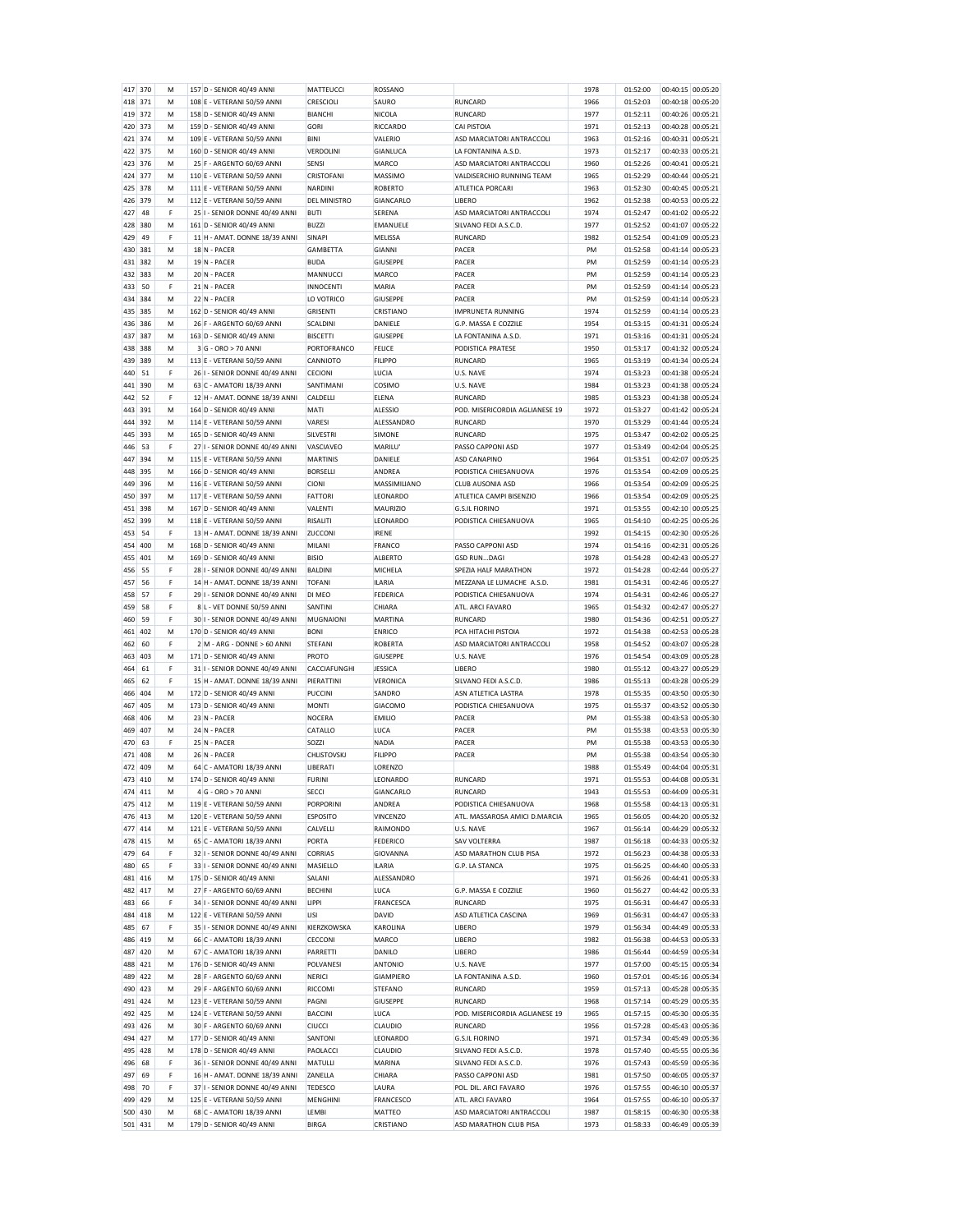| 417     | 370 | м | 157 D - SENIOR 40/49 ANN       | MATTEUCCI        | ROSSANO         |                                | 1978 | 01:52:00 | 00:40:15 00:05:20 |
|---------|-----|---|--------------------------------|------------------|-----------------|--------------------------------|------|----------|-------------------|
| 418     | 371 | M | 108 E - VETERANI 50/59 ANNI    | CRESCIOLI        | SAURO           | <b>RUNCARD</b>                 | 1966 | 01:52:03 | 00:40:18 00:05:20 |
| 419     | 372 | M | 158 D - SENIOR 40/49 ANNI      | <b>BIANCHI</b>   | NICOLA          | <b>RUNCARD</b>                 | 1977 | 01:52:11 | 00:40:26 00:05:21 |
|         | 373 | M |                                | GORI             |                 | <b>CAI PISTOIA</b>             |      |          |                   |
| 420     |     |   | 159 D - SENIOR 40/49 ANNI      |                  | RICCARDO        |                                | 1971 | 01:52:13 | 00:40:28 00:05:21 |
| 421     | 374 | M | 109 E - VETERANI 50/59 ANNI    | <b>BINI</b>      | VALERIO         | ASD MARCIATORI ANTRACCOLI      | 1963 | 01:52:16 | 00:40:31 00:05:21 |
| 422     | 375 | M | 160 D - SENIOR 40/49 ANNI      | VERDOLINI        | GIANLUCA        | LA FONTANINA A.S.D.            | 1973 | 01:52:17 | 00:40:33 00:05:21 |
| 423     | 376 | M | 25 F - ARGENTO 60/69 ANNI      | SENSI            | MARCO           | ASD MARCIATORI ANTRACCOLI      | 1960 | 01:52:26 | 00:40:41 00:05:21 |
| 424     | 377 | M | 110 E - VETERANI 50/59 ANNI    | CRISTOFANI       | MASSIMO         | VALDISERCHIO RUNNING TEAM      | 1965 | 01:52:29 | 00:40:44 00:05:21 |
|         | 378 |   | 111 F - VETFRANI 50/59 ANN     |                  |                 |                                |      |          | 00:40:45 00:05:21 |
| 425     |     | M |                                | NARDINI          | <b>ROBERTO</b>  | <b>ATLETICA PORCARI</b>        | 1963 | 01:52:30 |                   |
| 426     | 379 | M | 112 E - VETERANI 50/59 ANNI    | DEL MINISTRO     | GIANCARLO       | LIBERO                         | 1962 | 01:52:38 | 00:40:53 00:05:22 |
| 427     | 48  | F | 25 I - SENIOR DONNE 40/49 ANNI | <b>BUTI</b>      | SERENA          | ASD MARCIATORI ANTRACCOLI      | 1974 | 01:52:47 | 00:41:02 00:05:22 |
| 428     | 380 | M | 161 D - SENIOR 40/49 ANNI      | <b>BUZZI</b>     | EMANUELE        | SILVANO FEDI A.S.C.D.          | 1977 | 01:52:52 | 00:41:07 00:05:22 |
| 429     | 49  | F | 11 H - AMAT. DONNE 18/39 ANNI  | SINAPI           | MELISSA         | <b>RUNCARD</b>                 | 1982 | 01:52:54 | 00:41:09 00:05:23 |
|         |     |   |                                |                  |                 |                                |      |          | 00:41:14 00:05:23 |
| 430     | 381 | M | 18 N - PACER                   | GAMBETTA         | <b>GIANNI</b>   | PACER                          | PM   | 01:52:58 |                   |
| 431     | 382 | м | 19 N - PACER                   | <b>BUDA</b>      | GIUSEPPE        | PACER                          | PM   | 01:52:59 | 00:41:14 00:05:23 |
| 432     | 383 | м | 20 N - PACER                   | MANNUCCI         | MARCO           | PACER                          | PM   | 01:52:59 | 00:41:14 00:05:23 |
| 433     | 50  | F | 21 N - PACER                   | <b>INNOCENTI</b> | MARIA           | PACER                          | PM   | 01:52:59 | 00:41:14 00:05:23 |
| 434     | 384 | M | 22 N - PACER                   | LO VOTRICO       | GIUSEPPE        | PACER                          | PM   | 01:52:59 | 00:41:14 00:05:23 |
| 435     | 385 | M | 162 D - SENIOR 40/49 ANNI      | <b>GRISENTI</b>  | CRISTIANO       | <b>IMPRUNETA RUNNING</b>       | 1974 | 01:52:59 | 00:41:14 00:05:23 |
|         |     |   |                                |                  |                 |                                |      |          |                   |
| 436     | 386 | M | 26 F - ARGENTO 60/69 ANNI      | <b>SCALDINI</b>  | DANIELE         | G.P. MASSA E COZZILE           | 1954 | 01:53:15 | 00:41:31 00:05:24 |
| 437     | 387 | M | 163 D - SENIOR 40/49 ANNI      | <b>BISCETTI</b>  | GIUSEPPE        | LA FONTANINA A.S.D.            | 1971 | 01:53:16 | 00:41:31 00:05:24 |
| 438     | 388 | M | 3 G - ORO > 70 ANNI            | PORTOFRANCO      | <b>FELICE</b>   | PODISTICA PRATESE              | 1950 | 01:53:17 | 00:41:32 00:05:24 |
| 439     | 389 | M | 113 E - VETERANI 50/59 ANNI    | CANNIOTO         | <b>FILIPPO</b>  | <b>RUNCARD</b>                 | 1965 | 01:53:19 | 00:41:34 00:05:24 |
| 440     | 51  | F | 26 I - SENIOR DONNE 40/49 ANNI | CECIONI          | LUCIA           | U.S. NAVE                      | 1974 | 01:53:23 | 00:41:38 00:05:24 |
|         |     |   |                                |                  |                 |                                |      |          |                   |
| 441     | 390 | M | 63 C - AMATORI 18/39 ANNI      | <b>SANTIMAN</b>  | COSIMO          | U.S. NAVE                      | 1984 | 01:53:23 | 00:41:38 00:05:24 |
| 442     | 52  | F | 12 H - AMAT. DONNE 18/39 ANNI  | CALDELLI         | ELENA           | <b>RUNCARD</b>                 | 1985 | 01:53:23 | 00:41:38 00:05:24 |
| 443     | 391 | M | 164 D - SENIOR 40/49 ANNI      | <b>MATI</b>      | <b>ALESSIO</b>  | POD. MISERICORDIA AGLIANESE 19 | 1972 | 01:53:27 | 00:41:42 00:05:24 |
| 444     | 392 | M | 114 E - VETERANI 50/59 ANNI    | VARESI           | ALESSANDRO      | <b>RUNCARD</b>                 | 1970 | 01:53:29 | 00:41:44 00:05:24 |
| 445     | 393 | M | 165 D - SENIOR 40/49 ANNI      | SILVESTRI        | SIMONE          | RUNCARD                        | 1975 | 01:53:47 | 00:42:02 00:05:25 |
|         |     |   |                                |                  |                 |                                |      |          |                   |
| 446     | 53  | F | 27 I - SENIOR DONNE 40/49 ANNI | VASCIAVEO        | MARILU'         | PASSO CAPPONI ASD              | 1977 | 01:53:49 | 00:42:04 00:05:25 |
| 447     | 394 | M | 115 E - VETERANI 50/59 ANNI    | MARTINIS         | DANIELE         | ASD CANAPINO                   | 1964 | 01:53:51 | 00:42:07 00:05:25 |
| 448     | 395 | M | 166 D - SENIOR 40/49 ANNI      | <b>BORSELLI</b>  | ANDREA          | PODISTICA CHIESANUOVA          | 1976 | 01:53:54 | 00:42:09 00:05:25 |
| 449     | 396 | M | 116 E - VETERANI 50/59 ANN     | CIONI            | MASSIMILIANO    | CLUB AUSONIA ASD               | 1966 | 01:53:54 | 00:42:09 00:05:25 |
| 450     | 397 | M | 117 E - VETERANI 50/59 ANNI    | <b>FATTORI</b>   | LEONARDO        | ATLETICA CAMPI BISENZIO        | 1966 | 01:53:54 | 00:42:09 00:05:25 |
|         |     |   |                                |                  |                 |                                |      |          |                   |
| 451     | 398 | M | 167 D - SENIOR 40/49 ANNI      | VALENTI          | <b>MAURIZIO</b> | <b>G.S.IL FIORINO</b>          | 1971 | 01:53:55 | 00:42:10 00:05:25 |
| 452     | 399 | M | 118 E - VETERANI 50/59 ANNI    | <b>RISALITI</b>  | LEONARDO        | PODISTICA CHIESANUOVA          | 1965 | 01:54:10 | 00:42:25 00:05:26 |
| 453     | 54  | F | 13 H - AMAT. DONNE 18/39 ANNI  | ZUCCONI          | <b>IRENE</b>    |                                | 1992 | 01:54:15 | 00:42:30 00:05:26 |
| 454     | 400 | M | 168 D - SENIOR 40/49 ANNI      | MILANI           | FRANCO          | PASSO CAPPONI ASD              | 1974 | 01:54:16 | 00:42:31 00:05:26 |
| 455     | 401 | M | 169 D - SENIOR 40/49 ANNI      | <b>BISIO</b>     | <b>ALBERTO</b>  | <b>GSD RUNDAGI</b>             | 1978 | 01:54:28 | 00:42:43 00:05:27 |
|         |     |   |                                |                  |                 |                                |      |          |                   |
| 456     | 55  | F | 28 I - SENIOR DONNE 40/49 ANNI | <b>BALDINI</b>   | MICHELA         | SPEZIA HALF MARATHON           | 1972 | 01:54:28 | 00:42:44 00:05:27 |
| 457     | 56  | F | 14 H - AMAT. DONNE 18/39 ANNI  | <b>TOFANI</b>    | <b>ILARIA</b>   | MEZZANA LE LUMACHE A.S.D       | 1981 | 01:54:31 | 00:42:46 00:05:27 |
| 458     | 57  | F | 29 I - SENIOR DONNE 40/49 ANNI | DI MEO           | <b>FEDERICA</b> | PODISTICA CHIESANUOVA          | 1974 | 01:54:31 | 00:42:46 00:05:27 |
|         |     |   |                                |                  |                 |                                |      |          |                   |
|         | 58  | F |                                | SANTINI          |                 |                                | 1965 |          |                   |
| 459     |     |   | 8 L - VET DONNE 50/59 ANNI     |                  | CHIARA          | ATL. ARCI FAVARO               |      | 01:54:32 | 00:42:47 00:05:27 |
| 460     | 59  | F | 30 I - SENIOR DONNE 40/49 ANNI | <b>MUGNAIONI</b> | <b>MARTINA</b>  | <b>RUNCARD</b>                 | 1980 | 01:54:36 | 00:42:51 00:05:27 |
| 461     | 402 | M | 170 D - SENIOR 40/49 ANNI      | <b>BONI</b>      | <b>ENRICO</b>   | PCA HITACHI PISTOIA            | 1972 | 01:54:38 | 00:42:53 00:05:28 |
| 462     | 60  | F | 2 M - ARG - DONNE > 60 ANNI    | <b>STEFANI</b>   | <b>ROBERTA</b>  | ASD MARCIATORI ANTRACCOLI      | 1958 | 01:54:52 | 00:43:07 00:05:28 |
| 463     | 403 | M | 171 D - SENIOR 40/49 ANNI      | PROTO            | GIUSEPPE        | U.S. NAVE                      | 1976 | 01:54:54 | 00:43:09 00:05:28 |
| 464     | 61  | F | 31 I - SENIOR DONNE 40/49 ANNI | CACCIAFUNGHI     | <b>JESSICA</b>  | LIBERO                         |      | 01:55:12 | 00:43:27 00:05:29 |
|         |     |   |                                |                  |                 |                                | 1980 |          |                   |
| 465     | 62  | F | 15 H - AMAT. DONNE 18/39 ANNI  | PIERATTINI       | <b>VERONICA</b> | SILVANO FEDI A.S.C.D.          | 1986 | 01:55:13 | 00:43:28 00:05:29 |
| 466     | 404 | M | 172 D - SENIOR 40/49 ANNI      | PUCCINI          | SANDRO          | ASN ATLETICA LASTRA            | 1978 | 01:55:35 | 00:43:50 00:05:30 |
| 467     | 405 | M | 173 D - SENIOR 40/49 ANNI      | <b>MONTI</b>     | <b>GIACOMO</b>  | PODISTICA CHIESANUOVA          | 1975 | 01:55:37 | 00:43:52 00:05:30 |
| 468     | 406 | M | 23 N - PACER                   | <b>NOCERA</b>    | <b>EMILIO</b>   | PACER                          | PM   | 01:55:38 | 00:43:53 00:05:30 |
| 469     | 407 | M | 24 N - PACER                   | CATALLO          | LUCA            | PACER                          | PM   | 01:55:38 | 00:43:53 00:05:30 |
| 470     | 63  | F | 25 N - PACER                   |                  |                 |                                | PM   |          |                   |
|         |     |   |                                | SOZZI            | <b>NADIA</b>    | PACER                          |      | 01:55:38 | 00:43:53 00:05:30 |
| 471     | 408 | м | 26 N - PACER                   | CHLISTOVSKJ      | <b>FILIPPO</b>  | PACER                          | PM   | 01:55:38 | 00:43:54 00:05:30 |
| 472     | 409 | M | 64 C - AMATORI 18/39 ANNI      | LIBERATI         | LORENZO         |                                | 1988 | 01:55:49 | 00:44:04 00:05:31 |
| 473     | 410 | M | 174 D - SENIOR 40/49 ANNI      | <b>FURINI</b>    | LEONARDO        | <b>RUNCARD</b>                 | 1971 | 01:55:53 | 00:44:08 00:05:31 |
| 474     | 411 | M | 4 G - ORO > 70 ANNI            | SECCI            | GIANCARLO       | <b>RUNCARD</b>                 | 1943 | 01:55:53 | 00:44:09 00:05:31 |
| 475     | 412 | M | 119 E - VETERANI 50/59 ANNI    | <b>PORPORINI</b> |                 |                                |      |          |                   |
|         |     |   |                                |                  | ANDREA          | PODISTICA CHIESANUOVA          | 1968 | 01:55:58 | 00:44:13 00:05:31 |
| 476     | 413 | M | 120 E - VETERANI 50/59 ANNI    | <b>ESPOSITO</b>  | <b>VINCENZO</b> | ATL. MASSAROSA AMICI D.MARCIA  | 1965 | 01:56:05 | 00:44:20 00:05:32 |
| 477     | 414 | M | 121 E - VETERANI 50/59 ANNI    | CALVELLI         | RAIMONDO        | U.S. NAVE                      | 1967 | 01:56:14 | 00:44:29 00:05:32 |
| 478     | 415 | M | 65 C - AMATORI 18/39 ANNI      | PORTA            | <b>FEDERICO</b> | <b>SAV VOLTERRA</b>            | 1987 | 01:56:18 | 00:44:33 00:05:32 |
| 479     | 64  | F | 32 I - SENIOR DONNE 40/49 ANNI | <b>CORRIAS</b>   | GIOVANNA        | ASD MARATHON CLUB PISA         | 1972 | 01:56:23 | 00:44:38 00:05:33 |
| 480     | 65  | F | 33 I - SENIOR DONNE 40/49 ANNI | MASIELLO         | <b>ILARIA</b>   | G.P. LA STANCA                 | 1975 | 01:56:25 | 00:44:40 00:05:33 |
| 481     | 416 | M | 175 D - SENIOR 40/49 ANNI      | SALANI           | ALESSANDRO      |                                | 1971 | 01:56:26 | 00:44:41 00:05:33 |
|         |     |   |                                |                  |                 |                                |      |          |                   |
| 482     | 417 | M | 27 F - ARGENTO 60/69 ANNI      | <b>BECHINI</b>   | LUCA            | G.P. MASSA E COZZILE           | 1960 | 01:56:27 | 00:44:42 00:05:33 |
| 483     | 66  | F | 34 I - SENIOR DONNE 40/49 ANNI | LIPPI            | FRANCESCA       | <b>RUNCARD</b>                 | 1975 | 01:56:31 | 00:44:47 00:05:33 |
| 484     | 418 | M | 122 E - VETERANI 50/59 ANNI    | LISI             | DAVID           | ASD ATLETICA CASCINA           | 1969 | 01:56:31 | 00:44:47 00:05:33 |
| 485     | 67  | F | 35 I - SENIOR DONNE 40/49 ANNI | KIERZKOWSKA      | KAROLINA        | LIBERO                         | 1979 | 01:56:34 | 00:44:49 00:05:33 |
| 486     | 419 | M | 66 C - AMATORI 18/39 ANNI      | CECCONI          | <b>MARCO</b>    | LIBERO                         |      |          |                   |
|         |     |   |                                |                  |                 |                                | 1982 | 01:56:38 | 00:44:53 00:05:33 |
| 487     | 420 | M | 67 C - AMATORI 18/39 ANNI      | PARRETTI         | DANILO          | <b>LIBERO</b>                  | 1986 | 01:56:44 | 00:44:59 00:05:34 |
| 488     | 421 | M | 176 D - SENIOR 40/49 ANNI      | POLVANESI        | <b>ANTONIO</b>  | U.S. NAVE                      | 1977 | 01:57:00 | 00:45:15 00:05:34 |
| 489     | 422 | M | 28 F - ARGENTO 60/69 ANNI      | <b>NERICI</b>    | GIAMPIERO       | LA FONTANINA A.S.D.            | 1960 | 01:57:01 | 00:45:16 00:05:34 |
| 490     | 423 | M | 29 F - ARGENTO 60/69 ANNI      | RICCOMI          | <b>STEFANO</b>  | <b>RUNCARD</b>                 | 1959 | 01:57:13 | 00:45:28 00:05:35 |
|         | 424 | M |                                |                  |                 |                                |      |          |                   |
| 491     |     |   | 123 E - VETERANI 50/59 ANNI    | PAGNI            | <b>GIUSEPPE</b> | RUNCARD                        | 1968 | 01:57:14 | 00:45:29 00:05:35 |
| 492     | 425 | M | 124 E - VETERANI 50/59 ANNI    | <b>BACCINI</b>   | LUCA            | POD. MISERICORDIA AGLIANESE 19 | 1965 | 01:57:15 | 00:45:30 00:05:35 |
| 493     | 426 | M | 30 F - ARGENTO 60/69 ANNI      | <b>CIUCCI</b>    | <b>CLAUDIO</b>  | <b>RUNCARD</b>                 | 1956 | 01:57:28 | 00:45:43 00:05:36 |
| 494     | 427 | M | 177 D - SENIOR 40/49 ANNI      | SANTONI          | LEONARDO        | <b>G.S.IL FIORINO</b>          | 1971 | 01:57:34 | 00:45:49 00:05:36 |
| 495     | 428 | M | 178 D - SENIOR 40/49 ANNI      | PAOLACCI         | <b>CLAUDIO</b>  | SILVANO FEDI A.S.C.D.          | 1978 | 01:57:40 | 00:45:55 00:05:36 |
|         |     |   |                                |                  |                 |                                |      |          |                   |
| 496     | 68  | F | 36 I - SENIOR DONNE 40/49 ANNI | MATULLI          | MARINA          | SILVANO FEDI A.S.C.D.          | 1976 | 01:57:43 | 00:45:59 00:05:36 |
| 497     | 69  | F | 16 H - AMAT. DONNE 18/39 ANNI  | ZANELLA          | CHIARA          | PASSO CAPPONI ASD              | 1981 | 01:57:50 | 00:46:05 00:05:37 |
| 498     | 70  | F | 37 I - SENIOR DONNE 40/49 ANNI | <b>TEDESCO</b>   | LAURA           | POL. DIL. ARCI FAVARO          | 1976 | 01:57:55 | 00:46:10 00:05:37 |
| 499     | 429 | M | 125 E - VETERANI 50/59 ANNI    | MENGHINI         | FRANCESCO       | ATL. ARCI FAVARO               | 1964 | 01:57:55 | 00:46:10 00:05:37 |
| 500     | 430 | M | 68 C - AMATORI 18/39 ANNI      | LEMBI            | MATTEO          | ASD MARCIATORI ANTRACCOLI      | 1987 | 01:58:15 | 00:46:30 00:05:38 |
| 501 431 |     | M | 179 D - SENIOR 40/49 ANNI      | <b>BIRGA</b>     | CRISTIANO       | ASD MARATHON CLUB PISA         | 1973 | 01:58:33 | 00:46:49 00:05:39 |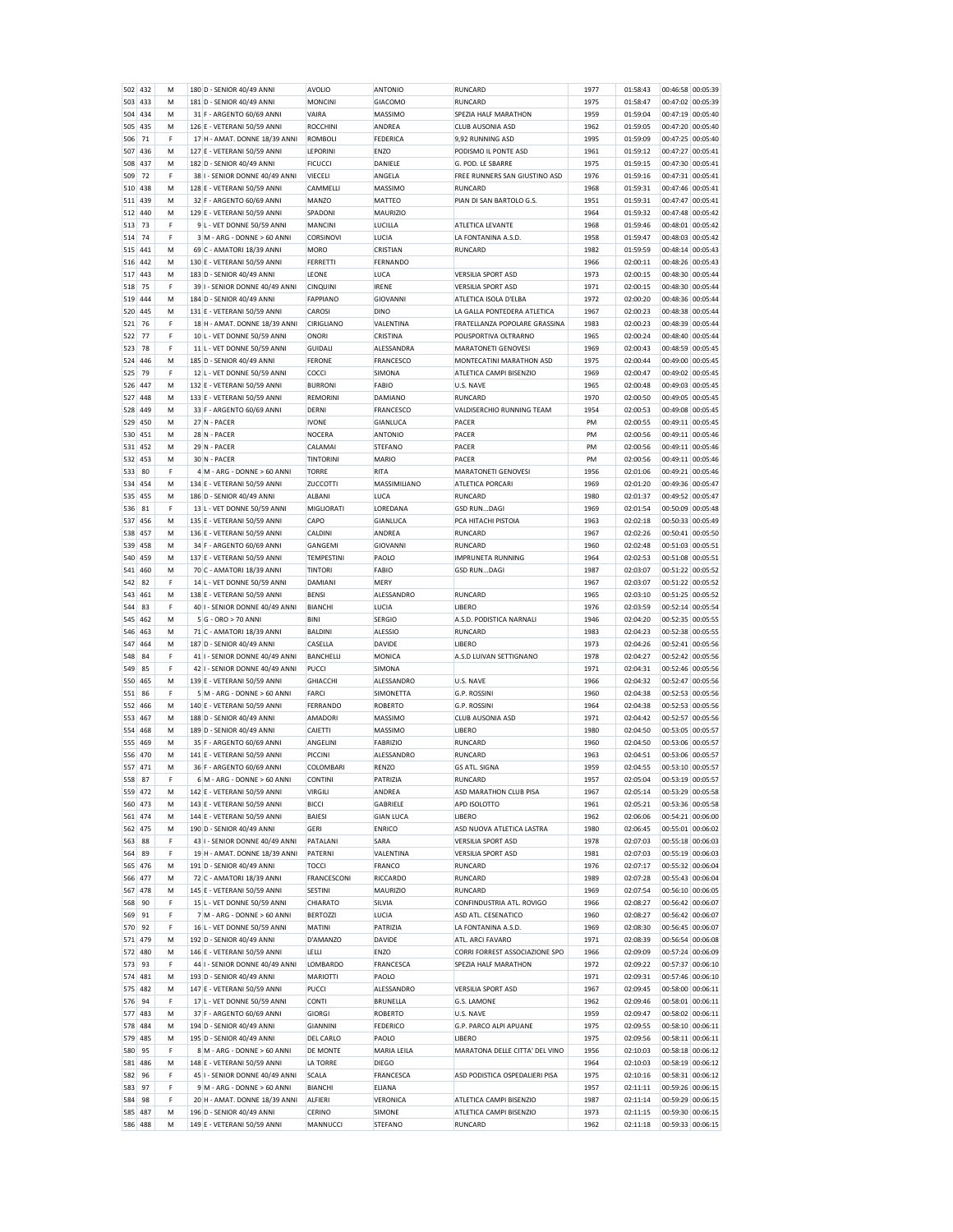| 502            | 432 | M      | 180 D - SENIOR 40/49 ANNI                                | AVOLIO             | ANTONIO                  | RUNCARD                            | 1977         | 01:58:43             | 00:46:58 00:05:39                         |
|----------------|-----|--------|----------------------------------------------------------|--------------------|--------------------------|------------------------------------|--------------|----------------------|-------------------------------------------|
| 503            | 433 | М      | 181 D - SENIOR 40/49 ANNI                                | <b>MONCINI</b>     | <b>GIACOMO</b>           | RUNCARD                            | 1975         | 01:58:47             | 00:47:02 00:05:39                         |
| 504            | 434 | M      | 31 F - ARGENTO 60/69 ANNI                                | VAIRA              | MASSIMO                  | SPEZIA HALF MARATHON               | 1959         | 01:59:04             | 00:05:40<br>00:47:19                      |
| 505            | 435 | M      | 126 E - VETERANI 50/59 ANNI                              | <b>ROCCHINI</b>    | ANDREA                   | <b>CLUB AUSONIA ASD</b>            | 1962         | 01:59:05             | 00:47:20 00:05:40                         |
| 506            | 71  | F      | 17 H - AMAT. DONNE 18/39 ANNI                            | <b>ROMBOLI</b>     | FEDERICA                 | 9,92 RUNNING ASD                   | 1995         | 01:59:09             | 00:47:25 00:05:40                         |
| 507            | 436 | M      | 127 E - VETERANI 50/59 ANNI                              | LEPORINI           | <b>ENZO</b>              | PODISMO IL PONTE ASD               | 1961         | 01:59:12             | 00:05:41<br>00:47:27                      |
| 508            | 437 | M      | 182 D - SENIOR 40/49 ANNI                                | <b>FICUCCI</b>     | DANIELE                  | G. POD. LE SBARRE                  | 1975         | 01:59:15             | 00:47:30<br>00:05:41                      |
| 509            | 72  | F      | 38 I - SENIOR DONNE 40/49 ANNI                           | VIECELI            | ANGELA                   | FREE RUNNERS SAN GIUSTINO ASD      | 1976         | 01:59:16             | 00:47:31 00:05:41                         |
|                |     |        | 128 E - VETERANI 50/59 ANNI                              |                    |                          | RUNCARD                            |              |                      |                                           |
| 510            | 438 | М      |                                                          | CAMMELLI           | <b>MASSIMO</b>           |                                    | 1968         | 01:59:31             | 00:47:46<br>00:05:41                      |
| 511            | 439 | M      | 32 F - ARGENTO 60/69 ANNI                                | MANZO              | MATTEO                   | PIAN DI SAN BARTOLO G.S.           | 1951         | 01:59:31             | 00:05:41<br>00:47:47                      |
| 512            | 440 | M      | 129 E - VETERANI 50/59 ANNI                              | SPADONI            | <b>MAURIZIO</b>          |                                    | 1964         | 01:59:32             | 00:47:48 00:05:42                         |
| 513            | 73  | F      | 9 L - VET DONNE 50/59 ANNI                               | MANCINI            | LUCILLA                  | ATLETICA LEVANTE                   | 1968         | 01:59:46             | 00:48:01 00:05:42                         |
| 514            | 74  | F      | 3 M - ARG - DONNE > 60 ANNI                              | CORSINOVI          | LUCIA                    | LA FONTANINA A.S.D                 | 1958         | 01:59:47             | 00:48:03 00:05:42                         |
| 515            | 441 | M      | 69 C - AMATORI 18/39 ANNI                                | <b>MORO</b>        | CRISTIAN                 | <b>RUNCARD</b>                     | 1982         | 01:59:59             | 00:48:14<br>00:05:43                      |
| 516            | 442 | M      | 130 E - VETERANI 50/59 ANNI                              | FERRETTI           | FERNANDO                 |                                    | 1966         | 02:00:11             | 00:48:26<br>00:05:43                      |
| 517            | 443 | M      | 183 D - SENIOR 40/49 ANNI                                | LEONE              | LUCA                     | <b>VERSILIA SPORT ASD</b>          | 1973         | 02:00:15             | 00:48:30<br>00:05:44                      |
|                | 75  | F      |                                                          |                    | <b>IRENE</b>             | <b>VERSILIA SPORT ASD</b>          |              |                      | 00:05:44                                  |
| 518            |     |        | 39 I - SENIOR DONNE 40/49 ANNI                           | CINQUINI           |                          |                                    | 1971         | 02:00:15             | 00:48:30                                  |
| 519            | 444 | M      | 184 D - SENIOR 40/49 ANNI                                | FAPPIANO           | <b>GIOVANNI</b>          | ATLETICA ISOLA D'ELBA              | 1972         | 02:00:20             | 00:48:36 00:05:44                         |
| 520            | 445 | M      | 131 E - VETERANI 50/59 ANNI                              | CAROSI             | <b>DINO</b>              | LA GALLA PONTEDERA ATLETICA        | 1967         | 02:00:23             | 00:48:38<br>00:05:44                      |
| 521            | 76  | F      | 18 H - AMAT. DONNE 18/39 ANNI                            | CIRIGLIANO         | VALENTINA                | FRATELLANZA POPOLARE GRASSINA      | 1983         | 02:00:23             | 00:48:39<br>00:05:44                      |
| 522            | 77  | F      | 10 L - VET DONNE 50/59 ANNI                              | <b>ONORI</b>       | CRISTINA                 | POLISPORTIVA OLTRARNO              | 1965         | 02:00:24             | 00:48:40<br>00:05:44                      |
| 523            | 78  | F      | 11 L - VET DONNE 50/59 ANNI                              | <b>GUIDALI</b>     | ALESSANDRA               | MARATONETI GENOVESI                | 1969         | 02:00:43             | 00:05:45<br>00:48:59                      |
| 524            | 446 | М      | 185 D - SENIOR 40/49 ANNI                                | <b>FERONE</b>      | FRANCESCO                | MONTECATINI MARATHON ASD           | 1975         | 02:00:44             | 00:49:00<br>00:05:45                      |
| 525            | 79  | F      | 12 L - VET DONNE 50/59 ANNI                              | COCCI              | SIMONA                   | ATLETICA CAMPI BISENZIO            | 1969         | 02:00:47             | 00:49:02<br>00:05:45                      |
|                |     |        |                                                          |                    |                          |                                    |              |                      |                                           |
| 526            | 447 | M      | 132 E - VETERANI 50/59 ANNI                              | <b>BURRONI</b>     | <b>FABIO</b>             | U.S. NAVE                          | 1965         | 02:00:48             | 00:49:03<br>00:05:45                      |
| 527            | 448 | M      | 133 E - VETERANI 50/59 ANNI                              | REMORINI           | DAMIANO                  | RUNCARD                            | 1970         | 02:00:50             | 00:49:05<br>00:05:45                      |
| 528            | 449 | М      | 33 F - ARGENTO 60/69 ANNI                                | DERNI              | <b>FRANCESCO</b>         | VALDISERCHIO RUNNING TEAM          | 1954         | 02:00:53             | 00:49:08 00:05:45                         |
| 529            | 450 | M      | 27 N - PACER                                             | <b>IVONE</b>       | GIANLUCA                 | PACER                              | PM           | 02:00:55             | 00:49:11<br>00:05:45                      |
| 530            | 451 | M      | 28 N - PACER                                             | NOCERA             | <b>ANTONIO</b>           | PACER                              | PM           | 02:00:56             | 00:49:11 00:05:46                         |
| 531            | 452 | М      | 29 N - PACER                                             | CALAMAI            | <b>STEFANO</b>           | PACER                              | PM           | 02:00:56             | 00:49:11 00:05:46                         |
| 532            | 453 | M      | 30 N - PACER                                             | <b>TINTORINI</b>   | MARIO                    | PACER                              | PM           | 02:00:56             | 00:05:46<br>00:49:11                      |
|                |     |        |                                                          |                    |                          | <b>MARATONETI GENOVESI</b>         |              | 02:01:06             |                                           |
| 533            | 80  | F      | 4 M - ARG - DONNE > 60 ANNI                              | <b>TORRE</b>       | RITA                     |                                    | 1956         |                      | 00:49:21 00:05:46                         |
| 534            | 454 | M      | 134 E - VETERANI 50/59 ANNI                              | ZUCCOTTI           | <b>MASSIMILIANO</b>      | <b>ATI FTICA PORCARI</b>           | 1969         | 02:01:20             | 00:49:36 00:05:47                         |
| 535            | 455 | М      | 186 D - SENIOR 40/49 ANNI                                | ALBANI             | LUCA                     | <b>RUNCARD</b>                     | 1980         | 02:01:37             | 00:49:52<br>00:05:47                      |
| 536            | 81  | F      | 13 L - VET DONNE 50/59 ANNI                              | MIGLIORATI         | LOREDANA                 | <b>GSD RUNDAGI</b>                 | 1969         | 02:01:54             | 00:05:48<br>00:50:09                      |
| 537            | 456 | M      | 135 E - VETERANI 50/59 ANNI                              | CAPO               | GIANLUCA                 | PCA HITACHI PISTOIA                | 1963         | 02:02:18             | 00:50:33 00:05:49                         |
| 538            | 457 | M      | 136 E - VETERANI 50/59 ANNI                              | CALDINI            | ANDREA                   | RUNCARD                            | 1967         | 02:02:26             | 00:50:41<br>00:05:50                      |
| 539            | 458 | M      | 34 F - ARGENTO 60/69 ANNI                                | GANGEMI            | GIOVANNI                 | <b>RUNCARD</b>                     | 1960         | 02:02:48             | 00:51:03 00:05:51                         |
|                |     |        |                                                          |                    |                          |                                    |              |                      |                                           |
| 540            | 459 | M      | 137 E - VETERANI 50/59 ANNI                              | <b>TEMPESTINI</b>  | PAOLO                    | <b>IMPRUNETA RUNNING</b>           | 1964         | 02:02:53             | 00:51:08<br>00:05:51                      |
| 541            | 460 | M      | 70 C - AMATORI 18/39 ANNI                                | <b>TINTORI</b>     | <b>FABIO</b>             | <b>GSD RUNDAGI</b>                 | 1987         | 02:03:07             | 00:51:22<br>00:05:52                      |
| 542            | 82  | F      | 14 L - VET DONNE 50/59 ANNI                              | DAMIANI            | MERY                     |                                    | 1967         | 02:03:07             | 00:51:22<br>00:05:52                      |
| 543            | 461 | M      | 138 E - VETERANI 50/59 ANNI                              | <b>BENSI</b>       | ALESSANDRO               | RUNCARD                            | 1965         | 02:03:10             | 00:51:25<br>00:05:52                      |
|                |     |        |                                                          |                    |                          |                                    |              |                      |                                           |
| 544            | 83  | F      | 40 I - SENIOR DONNE 40/49 ANNI                           | <b>BIANCHI</b>     | LUCIA                    | LIBERO                             | 1976         | 02:03:59             | 00:52:14 00:05:54                         |
| 545            | 462 | M      | 5 G - ORO > 70 ANN                                       | <b>BINI</b>        |                          |                                    |              | 02:04:20             | 00:05:55<br>00:52:35                      |
|                |     |        |                                                          |                    | <b>SERGIO</b>            | A.S.D. PODISTICA NARNALI           | 1946         |                      |                                           |
| 546            | 463 | М      | 71 C - AMATORI 18/39 ANNI                                | BALDINI            | ALESSIO                  | <b>RUNCARD</b>                     | 1983         | 02:04:23             | 00:52:38<br>00:05:55                      |
| 547            | 464 | M      | 187 D - SENIOR 40/49 ANNI                                | CASELLA            | DAVIDE                   | <b>LIBERO</b>                      | 1973         | 02:04:26             | 00:52:41<br>00:05:56                      |
| 548            | 84  | F      | 41 I - SENIOR DONNE 40/49 ANNI                           | BANCHELLI          | MONICA                   | A.S.D LUIVAN SETTIGNANO            | 1978         | 02:04:27             | 00:05:56<br>00:52:42                      |
| 549            | 85  | F      | 42 I - SENIOR DONNE 40/49 ANNI                           | <b>PUCCI</b>       | SIMONA                   |                                    | 1971         | 02:04:31             | 00:52:46<br>00:05:56                      |
| 550            | 465 | M      | 139 E - VETERANI 50/59 ANNI                              | <b>GHIACCHI</b>    | ALESSANDRO               | U.S. NAVE                          | 1966         | 02:04:32             | 00:52:47<br>00:05:56                      |
| 551            | 86  | F      | 5 M - ARG - DONNE > 60 ANNI                              | FARCI              | SIMONETTA                | G.P. ROSSINI                       | 1960         | 02:04:38             | 00:05:56<br>00:52:53                      |
| 552            | 466 | M      | 140 E - VETERANI 50/59 ANNI                              | FERRANDO           | <b>ROBERTO</b>           | G.P. ROSSINI                       | 1964         | 02:04:38             | 00:52:53 00:05:56                         |
|                |     |        |                                                          |                    |                          |                                    |              |                      | 00:05:56                                  |
| 553            | 467 | М      | 188 D - SENIOR 40/49 ANNI                                | AMADORI            | <b>MASSIMO</b>           | <b>CLUB AUSONIA ASD</b>            | 1971         | 02:04:42             | 00:52:57                                  |
| 554            | 468 | M      | 189 D - SENIOR 40/49 ANNI                                | CAIETTI            | MASSIMO                  | LIBERO                             | 1980         | 02:04:50             | 00:53:05<br>00:05:57                      |
| 555            | 469 | M      | 35 F - ARGENTO 60/69 ANNI                                | ANGELINI           | <b>FABRIZIO</b>          | RUNCARD                            | 1960         | 02:04:50             | 00:53:06 00:05:57                         |
| 556            | 470 | M      | 141 E - VETERANI 50/59 ANNI                              | <b>PICCINI</b>     | ALESSANDRO               | <b>RUNCARD</b>                     | 1963         | 02:04:51             | 00:53:06 00:05:57                         |
| 557            | 471 | M      | 36 F - ARGENTO 60/69 ANNI                                | COLOMBARI          | <b>RENZO</b>             | <b>GS ATL. SIGNA</b>               | 1959         | 02:04:55             | 00:53:10 00:05:57                         |
| 558            | 87  | F      | 6 M - ARG - DONNE > 60 ANNI                              | CONTINI            | PATRIZIA                 | <b>RUNCARD</b>                     | 1957         | 02:05:04             | 00:53:19 00:05:57                         |
| 559            | 472 | M      | 142 E - VETERANI 50/59 ANNI                              | <b>VIRGILI</b>     | ANDREA                   | ASD MARATHON CLUB PISA             | 1967         | 02:05:14             | 00:53:29 00:05:58                         |
| 560            | 473 | М      | 143 E - VETERANI 50/59 ANNI                              | <b>BICCI</b>       | GABRIELE                 | APD ISOLOTTO                       | 1961         | 02:05:21             | 00:53:36 00:05:58                         |
| 561            | 474 | M      | 144 E - VETERANI 50/59 ANNI                              | <b>BAIESI</b>      | <b>GIAN LUCA</b>         | LIBERO                             | 1962         | 02:06:06             | 00:54:21 00:06:00                         |
| 562            | 475 | M      | 190 D - SENIOR 40/49 ANNI                                | GERI               | <b>ENRICO</b>            | ASD NUOVA ATLETICA LASTRA          | 1980         | 02:06:45             | 00:55:01 00:06:02                         |
|                | 88  | F      |                                                          |                    |                          |                                    |              |                      |                                           |
| 563            |     |        | 43 I - SENIOR DONNE 40/49 ANNI                           | PATALANI           | SARA                     | <b>VERSILIA SPORT ASD</b>          | 1978         | 02:07:03             | 00:55:18 00:06:03                         |
| 564            | 89  | F      | 19 H - AMAT. DONNE 18/39 ANNI                            | PATERNI            | VALENTINA                | <b>VERSILIA SPORT ASD</b>          | 1981         | 02:07:03             | 00:55:19 00:06:03                         |
| 565            | 476 | M      | 191 D - SENIOR 40/49 ANNI                                | TOCCI              | FRANCO                   | <b>RUNCARD</b>                     | 1976         | 02:07:17             | 00:55:32 00:06:04                         |
| 566            | 477 | M      | 72 C - AMATORI 18/39 ANNI                                | FRANCESCONI        | RICCARDO                 | RUNCARD                            | 1989         | 02:07:28             | 00:55:43 00:06:04                         |
| 567            | 478 | М      | 145 E - VETERANI 50/59 ANNI                              | SESTINI            | <b>MAURIZIO</b>          | <b>RUNCARD</b>                     | 1969         | 02:07:54             | 00:56:10 00:06:05                         |
| 568            | 90  | F      | 15 L - VET DONNE 50/59 ANNI                              | CHIARATO           | SILVIA                   | CONFINDUSTRIA ATL. ROVIGO          | 1966         | 02:08:27             | 00:56:42 00:06:07                         |
| 569            | 91  | F      | 7 M - ARG - DONNE > 60 ANNI                              | <b>BERTOZZI</b>    | LUCIA                    | ASD ATL. CESENATICO                | 1960         | 02:08:27             | 00:56:42 00:06:07                         |
| 570            | 92  | F      |                                                          | MATINI             |                          | LA FONTANINA A.S.D.                |              | 02:08:30             | 00:56:45 00:06:07                         |
|                |     |        | 16 L - VET DONNE 50/59 ANNI                              |                    | PATRIZIA                 |                                    | 1969         |                      |                                           |
| 571            | 479 | М      | 192 D - SENIOR 40/49 ANNI                                | D'AMANZO           | DAVIDE                   | ATL. ARCI FAVARO                   | 1971         | 02:08:39             | 00:56:54 00:06:08                         |
| 572            | 480 | M      | 146 E - VETERANI 50/59 ANNI                              | LELLI              | <b>ENZO</b>              | CORRI FORREST ASSOCIAZIONE SPO     | 1966         | 02:09:09             | 00:57:24 00:06:09                         |
| 573            | 93  | F      | 44 I - SENIOR DONNE 40/49 ANNI                           | LOMBARDO           | FRANCESCA                | SPEZIA HALF MARATHON               | 1972         | 02:09:22             | 00:57:37 00:06:10                         |
| 574            | 481 | М      | 193 D - SENIOR 40/49 ANNI                                | MARIOTTI           | PAOLO                    |                                    | 1971         | 02:09:31             | 00:57:46 00:06:10                         |
| 575            | 482 | M      | 147 E - VETERANI 50/59 ANNI                              | PUCCI              | ALESSANDRO               | <b>VERSILIA SPORT ASD</b>          | 1967         | 02:09:45             | 00:58:00 00:06:11                         |
| 576            | 94  | F      | 17 L - VET DONNE 50/59 ANNI                              | <b>CONTI</b>       | <b>BRUNELLA</b>          | G.S. LAMONE                        | 1962         | 02:09:46             | 00:58:01 00:06:11                         |
| 577            | 483 | M      | 37 F - ARGENTO 60/69 ANNI                                | <b>GIORGI</b>      | <b>ROBERTO</b>           | U.S. NAVE                          | 1959         | 02:09:47             | 00:58:02 00:06:11                         |
|                |     |        |                                                          |                    |                          |                                    |              |                      |                                           |
| 578            | 484 | М      | 194 D - SENIOR 40/49 ANNI                                | <b>GIANNINI</b>    | <b>FEDERICO</b>          | G.P. PARCO ALPI APUANE             | 1975         | 02:09:55             | 00:58:10 00:06:11                         |
| 579            | 485 | M      | 195 D - SENIOR 40/49 ANNI                                | DEL CARLO          | PAOLO                    | LIBERO                             | 1975         | 02:09:56             | 00:58:11 00:06:11                         |
| 580            | 95  | F      | 8 M - ARG - DONNE > 60 ANNI                              | DE MONTE           | MARIA LEILA              | MARATONA DELLE CITTA' DEL VINO     | 1956         | 02:10:03             | 00:58:18 00:06:12                         |
| 581            | 486 | М      | 148 E - VETERANI 50/59 ANNI                              | LA TORRE           | <b>DIEGO</b>             |                                    | 1964         | 02:10:03             | 00:58:19 00:06:12                         |
| 582            | 96  | F      | 45 I - SENIOR DONNE 40/49 ANNI                           | <b>SCALA</b>       | FRANCESCA                | ASD PODISTICA OSPEDALIERI PISA     | 1975         | 02:10:16             | 00:58:31 00:06:12                         |
| 583            | 97  | F      | 9 M - ARG - DONNE > 60 ANNI                              | <b>BIANCHI</b>     | <b>ELIANA</b>            |                                    | 1957         | 02:11:11             | 00:59:26 00:06:15                         |
| 584            | 98  | F      | 20 H - AMAT. DONNE 18/39 ANNI                            | ALFIERI            | VERONICA                 | ATLETICA CAMPI BISENZIO            | 1987         | 02:11:14             | 00:59:29 00:06:15                         |
|                |     |        |                                                          |                    |                          |                                    |              |                      |                                           |
| 585<br>586 488 | 487 | M<br>M | 196 D - SENIOR 40/49 ANNI<br>149 E - VETERANI 50/59 ANNI | CERINO<br>MANNUCCI | SIMONE<br><b>STEFANO</b> | ATLETICA CAMPI BISENZIO<br>RUNCARD | 1973<br>1962 | 02:11:15<br>02:11:18 | 00:59:30<br>00:06:15<br>00:59:33 00:06:15 |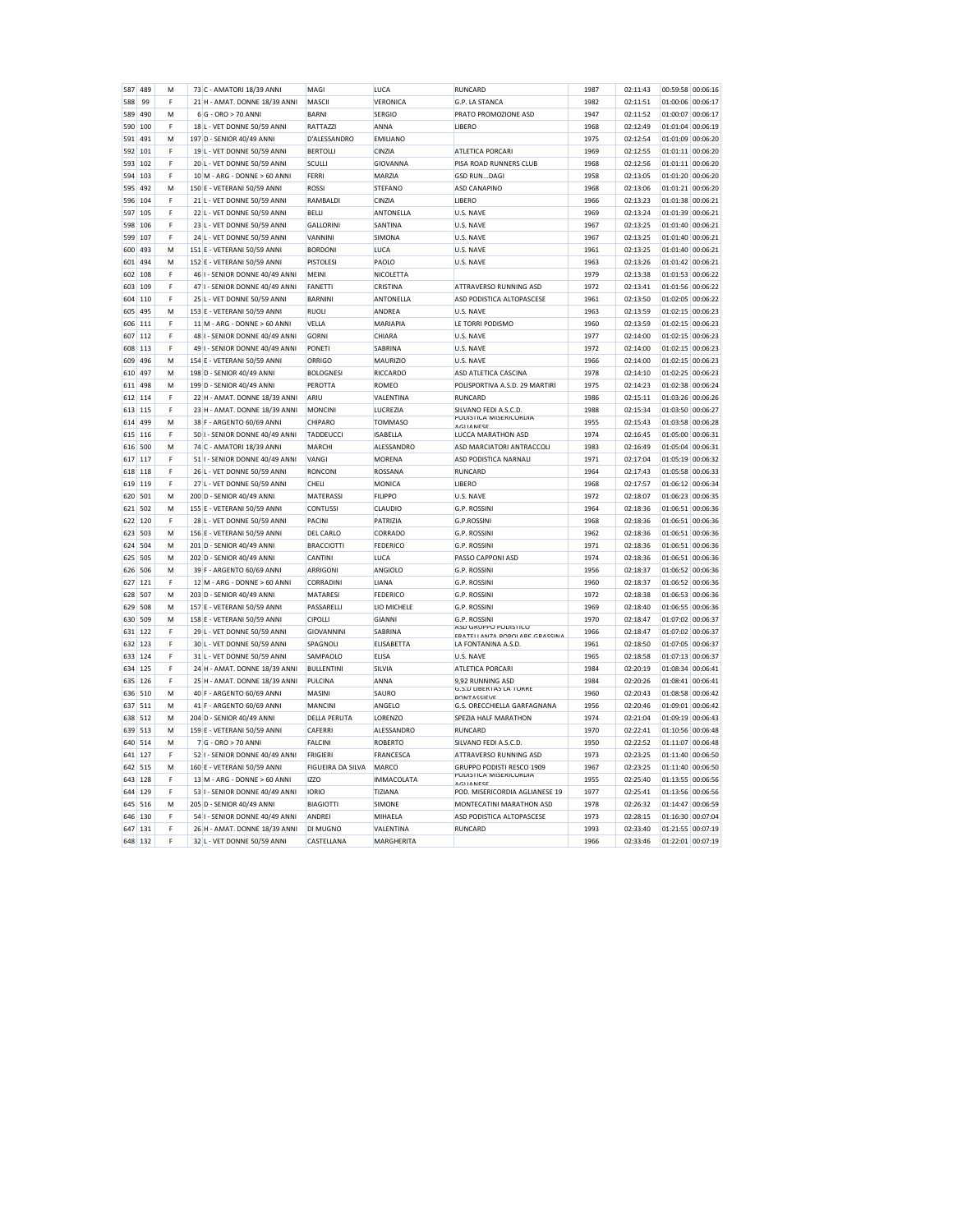| 587     | 489 | M | 73 C - AMATORI 18/39 ANNI      | MAGI              | LUCA              | <b>RUNCARD</b>                                      | 1987 | 02:11:43 | 00:59:58 00:06:16    |
|---------|-----|---|--------------------------------|-------------------|-------------------|-----------------------------------------------------|------|----------|----------------------|
| 588     | 99  | F | 21 H - AMAT, DONNE 18/39 ANNI  | MASCII            | VERONICA          | G.P. LA STANCA                                      | 1982 | 02:11:51 | 01:00:06 00:06:17    |
| 589     | 490 | M | 6 G - ORO > 70 ANN             | <b>BARNI</b>      | <b>SERGIO</b>     | PRATO PROMOZIONE ASD                                | 1947 | 02:11:52 | 01:00:07<br>00:06:17 |
| 590     | 100 | F | 18 L - VET DONNE 50/59 ANNI    | RATTAZZI          | ANNA              | LIBERO                                              | 1968 | 02:12:49 | 01:01:04<br>00:06:19 |
| 591     | 491 | М | 197 D - SENIOR 40/49 ANNI      | D'ALESSANDRO      | <b>EMILIANO</b>   |                                                     | 1975 | 02:12:54 | 01:01:09<br>00:06:20 |
| 592     | 101 | F | 19 L - VET DONNE 50/59 ANNI    | <b>BERTOLLI</b>   | CINZIA            | <b>ATLETICA PORCARI</b>                             | 1969 | 02:12:55 | 01:01:11 00:06:20    |
| 593     | 102 | F | 20 L - VET DONNE 50/59 ANNI    | SCULLI            | GIOVANNA          | PISA ROAD RUNNERS CLUB                              | 1968 | 02:12:56 | 01:01:11 00:06:20    |
| 594     | 103 | F | 10 M - ARG - DONNE > 60 ANNI   | FERRI             | MARZIA            | <b>GSD RUNDAGI</b>                                  | 1958 | 02:13:05 | 01:01:20<br>00:06:20 |
| 595     | 492 | M | 150 E - VETERANI 50/59 ANNI    | ROSSI             | <b>STEFANO</b>    | <b>ASD CANAPINO</b>                                 | 1968 | 02:13:06 | 01:01:21 00:06:20    |
| 596     | 104 | F | 21 L - VET DONNE 50/59 ANNI    | RAMBALDI          | CINZIA            | <b>LIBERO</b>                                       | 1966 | 02:13:23 | 01:01:38 00:06:21    |
| 597     | 105 | F | 22 L - VET DONNE 50/59 ANNI    | <b>BELLI</b>      | ANTONELLA         | U.S. NAVE                                           | 1969 | 02:13:24 | 01:01:39 00:06:21    |
| 598     | 106 | F | 23 L - VET DONNE 50/59 ANNI    | <b>GALLORINI</b>  | SANTINA           | U.S. NAVE                                           | 1967 | 02:13:25 | 01:01:40<br>00:06:21 |
| 599     | 107 | F | 24 L - VET DONNE 50/59 ANNI    | VANNINI           | SIMONA            | U.S. NAVE                                           | 1967 | 02:13:25 | 01:01:40<br>00:06:21 |
| 600     | 493 | M | 151 E - VETERANI 50/59 ANNI    | <b>BORDONI</b>    | LUCA              | U.S. NAVE                                           | 1961 | 02:13:25 | 01:01:40<br>00:06:21 |
| 601     | 494 | M | 152 E - VETERANI 50/59 ANNI    | <b>PISTOLESI</b>  | PAOLO             | U.S. NAVE                                           | 1963 | 02:13:26 | 01:01:42 00:06:21    |
| 602     | 108 | F | 46 I - SENIOR DONNE 40/49 ANNI | <b>MFINI</b>      | NICOLETTA         |                                                     | 1979 | 02:13:38 | 01:01:53 00:06:22    |
| 603     | 109 | F | 47 I - SENIOR DONNE 40/49 ANNI | <b>FANETTI</b>    | CRISTINA          | ATTRAVERSO RUNNING ASD                              | 1972 | 02:13:41 | 01:01:56<br>00:06:22 |
| 604     | 110 | F | 25 L - VET DONNE 50/59 ANNI    | <b>BARNINI</b>    | ANTONELLA         | ASD PODISTICA ALTOPASCESE                           | 1961 | 02:13:50 | 01:02:05<br>00:06:22 |
| 605     | 495 | M | 153 E - VETERANI 50/59 ANNI    | <b>RUOLI</b>      | ANDREA            | U.S. NAVE                                           | 1963 | 02:13:59 | 01:02:15<br>00:06:23 |
| 606     | 111 | F | 11 M - ARG - DONNE > 60 ANNI   | VELLA             | MARIAPIA          | LE TORRI PODISMO                                    | 1960 | 02:13:59 | 01:02:15<br>00:06:23 |
| 607     | 112 | F | 48 I - SENIOR DONNE 40/49 ANNI | <b>GORNI</b>      | CHIARA            | U.S. NAVE                                           | 1977 | 02:14:00 | 01:02:15 00:06:23    |
| 608     | 113 | F | 49 I - SENIOR DONNE 40/49 ANNI | <b>PONETI</b>     | SABRINA           | U.S. NAVE                                           | 1972 | 02:14:00 | 01:02:15<br>00:06:23 |
| 609     | 496 | M | 154 E - VETERANI 50/59 ANNI    | ORRIGO            | <b>MAURIZIO</b>   | U.S. NAVE                                           | 1966 | 02:14:00 | 01:02:15<br>00:06:23 |
| 610     | 497 | M | 198 D - SENIOR 40/49 ANNI      | <b>BOLOGNESI</b>  | RICCARDO          | ASD ATLETICA CASCINA                                | 1978 | 02:14:10 | 01:02:25<br>00:06:23 |
| 611     | 498 | M | 199 D - SENIOR 40/49 ANNI      | PEROTTA           | <b>ROMEO</b>      | POLISPORTIVA A.S.D. 29 MARTIRI                      | 1975 | 02:14:23 | 00:06:24<br>01:02:38 |
| 612     | 114 | F | 22 H - AMAT, DONNE 18/39 ANNI  | ARIU              | VALENTINA         | <b>RUNCARD</b>                                      | 1986 | 02:15:11 | 01:03:26 00:06:26    |
| 613     | 115 | F | 23 H - AMAT, DONNE 18/39 ANNI  | <b>MONCINI</b>    | LUCREZIA          | SILVANO FEDI A.S.C.D.                               | 1988 | 02:15:34 | 01:03:50<br>00:06:27 |
| 614     | 499 | M | 38 F - ARGENTO 60/69 ANNI      | CHIPARO           | <b>TOMMASO</b>    | PODISTICA MISERICORDIA<br><b>AGUANESE</b>           | 1955 | 02:15:43 | 01:03:58<br>00:06:28 |
| 615     | 116 | F | 50 I - SENIOR DONNE 40/49 ANNI | TADDEUCCI         | <b>ISABELLA</b>   | LUCCA MARATHON ASD                                  | 1974 | 02:16:45 | 00:06:31<br>01:05:00 |
| 616     | 500 | M | 74 C - AMATORI 18/39 ANNI      | MARCHI            | ALESSANDRO        | ASD MARCIATORI ANTRACCOLI                           | 1983 | 02:16:49 | 01:05:04<br>00:06:31 |
| 617     | 117 | F | 51 I - SENIOR DONNE 40/49 ANNI | VANGI             | <b>MORENA</b>     | ASD PODISTICA NARNALI                               | 1971 | 02:17:04 | 01:05:19 00:06:32    |
| 618     | 118 | F | 26 L - VET DONNE 50/59 ANNI    | <b>RONCONI</b>    | ROSSANA           | RUNCARD                                             | 1964 | 02:17:43 | 01:05:58<br>00:06:33 |
| 619     | 119 | F | L - VET DONNE 50/59 ANNI<br>27 | CHELI             | MONICA            | LIBERO                                              | 1968 | 02:17:57 | 01:06:12<br>00:06:34 |
| 620     | 501 | M | 200 D - SENIOR 40/49 ANNI      | MATERASSI         | <b>FILIPPO</b>    | U.S. NAVE                                           | 1972 | 02:18:07 | 01:06:23 00:06:35    |
| 621     | 502 | M | 155 E - VETERANI 50/59 ANNI    | <b>CONTUSS</b>    | CLAUDIO           | G.P. ROSSINI                                        | 1964 | 02:18:36 | 01:06:51 00:06:36    |
| 622     | 120 | F | 28 L - VET DONNE 50/59 ANNI    | PACINI            | PATRIZIA          | G.P.ROSSINI                                         | 1968 | 02:18:36 | 01:06:51 00:06:36    |
| 623     | 503 | M | 156 E - VETERANI 50/59 ANNI    | DEL CARLO         | CORRADO           | G.P. ROSSINI                                        | 1962 | 02:18:36 | 01:06:51<br>00:06:36 |
| 624     | 504 | M | 201 D - SENIOR 40/49 ANNI      | <b>BRACCIOTTI</b> | FEDERICO          | G.P. ROSSINI                                        | 1971 | 02:18:36 | 01:06:51<br>00:06:36 |
| 625     | 505 | M | 202 D - SENIOR 40/49 ANNI      | CANTINI           | LUCA              | PASSO CAPPONI ASD                                   | 1974 | 02:18:36 | 01:06:51 00:06:36    |
| 626     | 506 | M | 39 F - ARGENTO 60/69 ANNI      | <b>ARRIGONI</b>   | ANGIOLO           | G.P. ROSSINI                                        | 1956 | 02:18:37 | 01:06:52 00:06:36    |
| 627     | 121 | F | 12 M - ARG - DONNE > 60 ANNI   | CORRADINI         | LIANA             | G.P. ROSSINI                                        | 1960 | 02:18:37 | 01:06:52 00:06:36    |
| 628     | 507 | M | 203 D - SENIOR 40/49 ANNI      | MATARES           | <b>FEDERICO</b>   | G.P. ROSSINI                                        | 1972 | 02:18:38 | 00:06:36<br>01:06:53 |
| 629     | 508 | M | 157 E - VETERANI 50/59 ANNI    | PASSARELLI        | LIO MICHELE       | G.P. ROSSINI                                        | 1969 | 02:18:40 | 01:06:55<br>00:06:36 |
| 630     | 509 | м | 158 F - VETERANI 50/59 ANNI    | <b>CIPOLLI</b>    | <b>GIANNI</b>     | <b>G.P. ROSSINI</b><br>ASD GRUPPO PODISTICO         | 1970 | 02:18:47 | 00:06:37<br>01:07:02 |
| 631     | 122 | F | 29 L - VET DONNE 50/59 ANN     | GIOVANNINI        | SABRINA           | <b>EDATELLANZA DODOLADE GRASSINA</b>                | 1966 | 02:18:47 | 01:07:02<br>00:06:37 |
| 632     | 123 | F | 30 L - VET DONNE 50/59 ANN     | SPAGNOLI          | <b>ELISABETTA</b> | LA FONTANINA A.S.D                                  | 1961 | 02:18:50 | 01:07:05<br>00:06:37 |
| 633     | 124 | F | 31 L - VET DONNE 50/59 ANN     | SAMPAOLO          | ELISA             | U.S. NAVE                                           | 1965 | 02:18:58 | 01:07:13<br>00:06:37 |
| 634     | 125 | F | 24 H - AMAT. DONNE 18/39 ANNI  | <b>BULLENTINI</b> | SILVIA            | ATLETICA PORCARI                                    | 1984 | 02:20:19 | 01:08:34<br>00:06:41 |
| 635     | 126 | F | 25 H - AMAT, DONNE 18/39 ANNI  | PULCINA           | ANNA              | 9.92 RUNNING ASD<br>G.S.D LIBERTAS LA TORRE         | 1984 | 02:20:26 | 00:06:41<br>01:08:41 |
| 636     | 510 | M | 40 F - ARGENTO 60/69 ANN       | MASINI            | SAURO             | <b>PONTASSIEVE</b>                                  | 1960 | 02:20:43 | 01:08:58<br>00:06:42 |
| 637     | 511 | M | 41 F - ARGENTO 60/69 ANNI      | MANCINI           | ANGELO            | G.S. ORECCHIELLA GARFAGNANA                         | 1956 | 02:20:46 | 01:09:01<br>00:06:42 |
| 638     | 512 | M | 204 D - SENIOR 40/49 ANNI      | DELLA PERUTA      | LORENZO           | SPEZIA HALF MARATHON                                | 1974 | 02:21:04 | 01:09:19<br>00:06:43 |
| 639     | 513 | M | 159 E - VETERANI 50/59 ANNI    | CAFERRI           | ALESSANDRO        | <b>RUNCARD</b>                                      | 1970 | 02:22:41 | 01:10:56<br>00:06:48 |
| 640     | 514 | M | 7 G - ORO > 70 ANNI            | <b>FALCINI</b>    | <b>ROBERTO</b>    | SILVANO FEDI A.S.C.D.                               | 1950 | 02:22:52 | 01:11:07<br>00:06:48 |
| 641     | 127 | F | 52 I - SENIOR DONNE 40/49 ANNI | <b>FRIGIER</b>    | FRANCESCA         | ATTRAVERSO RUNNING ASD                              | 1973 | 02:23:25 | 01:11:40<br>00:06:50 |
| 642     | 515 | М | 160 E - VETERANI 50/59 ANNI    | FIGUEIRA DA SILVA | MARCO             | GRUPPO PODISTI RESCO 1909<br>PODISTICA MISERICORDIA | 1967 | 02:23:25 | 01:11:40<br>00:06:50 |
| 643     | 128 | F | 13 M - ARG - DONNE > 60 ANNI   | <b>IZZC</b>       | <b>IMMACOLATA</b> | <b>AGUANESE</b>                                     | 1955 | 02:25:40 | 01:13:55<br>00:06:56 |
| 644     | 129 | F | 53 I - SENIOR DONNE 40/49 ANNI | <b>IORIO</b>      | TIZIANA           | POD, MISERICORDIA AGLIANESE 19                      | 1977 | 02:25:41 | 01:13:56<br>00:06:56 |
| 645     | 516 | M | 205 D - SENIOR 40/49 ANNI      | <b>BIAGIOTTI</b>  | <b>SIMONE</b>     | MONTECATINI MARATHON ASD                            | 1978 | 02:26:32 | 01:14:47<br>00:06:59 |
| 646     | 130 | F | 54 I - SENIOR DONNE 40/49 ANNI | <b>ANDRE</b>      | MIHAELA           | ASD PODISTICA ALTOPASCESE                           | 1973 | 02:28:15 | 01:16:30 00:07:04    |
| 647     | 131 | F | 26 H - AMAT. DONNE 18/39 ANNI  | DI MUGNO          | VALENTINA         | RUNCARD                                             | 1993 | 02:33:40 | 01:21:55 00:07:19    |
| 648 132 |     | F | 32 L - VET DONNE 50/59 ANNI    | CASTELLANA        | <b>MARGHERITA</b> |                                                     | 1966 | 02:33:46 | 01:22:01 00:07:19    |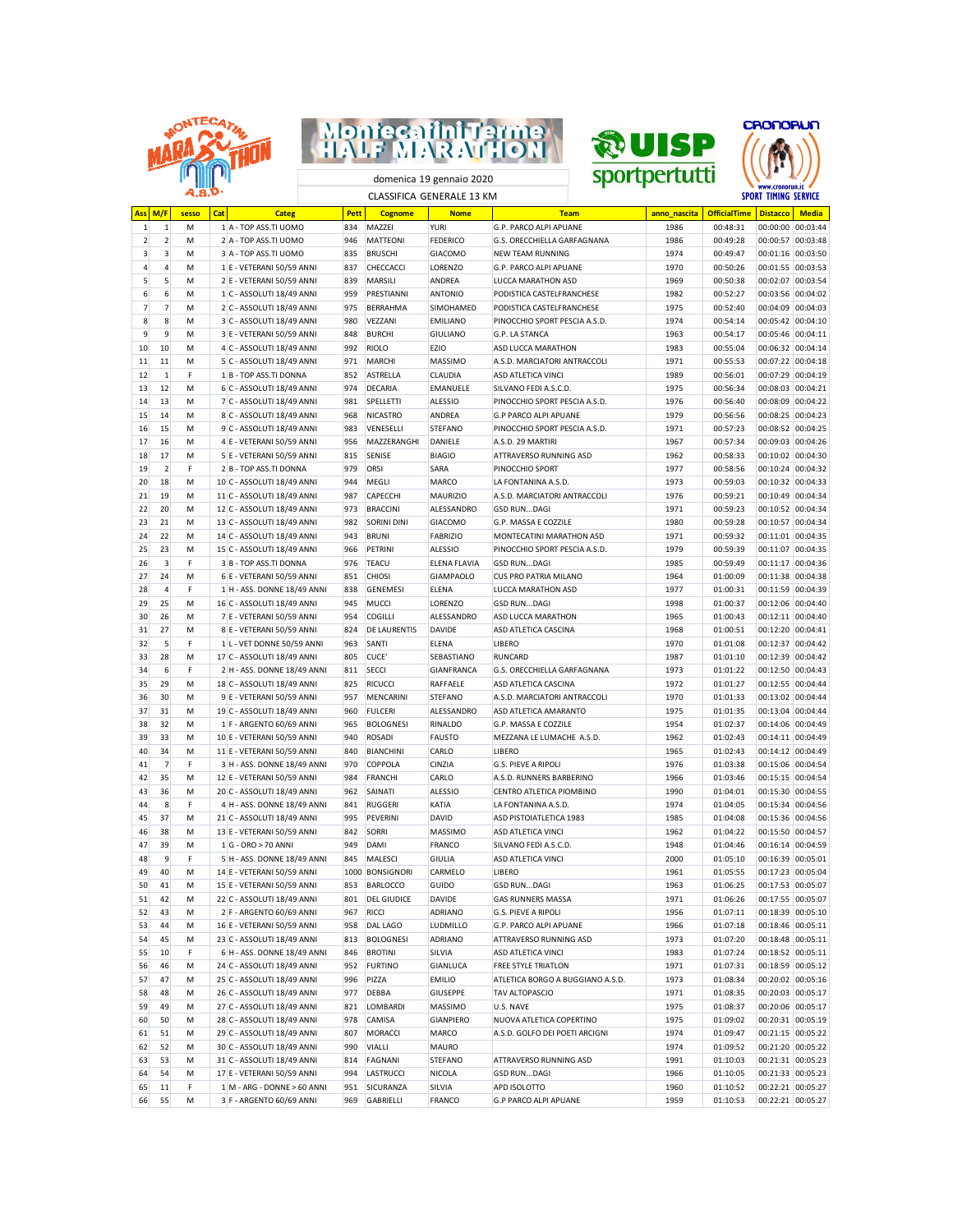







domenica 19 gennaio 2020 CLASSIFICA GENERALE 13 KM

| <b>Ass</b>     | M/F            | sesso | Cat | <b>Categ</b>                  | Pett | <b>Cognome</b>      | <b>Nome</b>       | <b>Team</b>                      | anno nascita | <b>OfficialTime</b> | <b>Distacco</b>   | <b>Media</b>      |
|----------------|----------------|-------|-----|-------------------------------|------|---------------------|-------------------|----------------------------------|--------------|---------------------|-------------------|-------------------|
| $\mathbf{1}$   | 1              | M     |     | 1 A - TOP ASS.TI UOMO         | 834  | MAZZEI              | <b>YURI</b>       | G.P. PARCO ALPI APUANE           | 1986         | 00:48:31            | 00:00:00          | 00:03:44          |
| $\overline{2}$ | $\overline{2}$ | M     |     | 2 A - TOP ASS.TI UOMO         | 946  | <b>MATTEONI</b>     | <b>FEDERICO</b>   | G.S. ORECCHIELLA GARFAGNANA      | 1986         | 00:49:28            |                   | 00:00:57 00:03:48 |
| 3              | 3              | M     |     | 3 A - TOP ASS.TI UOMO         | 835  | <b>BRUSCHI</b>      | <b>GIACOMO</b>    | <b>NEW TEAM RUNNING</b>          | 1974         | 00:49:47            | 00:01:16 00:03:50 |                   |
| 4              | 4              | М     |     | 1 E - VETERANI 50/59 ANNI     | 837  | CHECCACCI           | LORENZO           | G.P. PARCO ALPI APUANE           | 1970         | 00:50:26            | 00:01:55 00:03:53 |                   |
| 5              | 5              | M     |     | 2 E - VETERANI 50/59 ANNI     | 839  | MARSILI             | ANDREA            | LUCCA MARATHON ASD               | 1969         | 00:50:38            | 00:02:07 00:03:54 |                   |
| 6              | 6              | М     |     | 1 C - ASSOLUTI 18/49 ANNI     | 959  | PRESTIANNI          | <b>ANTONIO</b>    | PODISTICA CASTELFRANCHESE        | 1982         | 00:52:27            | 00:03:56 00:04:02 |                   |
| $\overline{7}$ | $\overline{7}$ | M     |     | 2 C - ASSOLUTI 18/49 ANNI     | 975  | <b>BERRAHMA</b>     | SIMOHAMED         | PODISTICA CASTELFRANCHESE        | 1975         | 00:52:40            | 00:04:09 00:04:03 |                   |
| 8              | 8              | M     |     | 3 C - ASSOLUTI 18/49 ANNI     | 980  | VEZZANI             | <b>EMILIANO</b>   | PINOCCHIO SPORT PESCIA A.S.D.    | 1974         | 00:54:14            | 00:05:42 00:04:10 |                   |
| 9              | 9              |       |     | 3 E - VETERANI 50/59 ANNI     |      | <b>BURCHI</b>       | <b>GIULIANO</b>   |                                  | 1963         | 00:54:17            | 00:05:46 00:04:11 |                   |
|                |                | M     |     |                               | 848  |                     |                   | G.P. LA STANCA                   |              |                     |                   |                   |
| 10             | 10             | M     |     | 4 C - ASSOLUTI 18/49 ANNI     | 992  | <b>RIOLO</b>        | <b>EZIO</b>       | ASD LUCCA MARATHON               | 1983         | 00:55:04            | 00:06:32 00:04:14 |                   |
| 11             | 11             | M     |     | 5 C - ASSOLUTI 18/49 ANNI     | 971  | <b>MARCHI</b>       | MASSIMO           | A.S.D. MARCIATORI ANTRACCOLI     | 1971         | 00:55:53            | 00:07:22 00:04:18 |                   |
| 12             | $\mathbf{1}$   | F     |     | 1 B - TOP ASS.TI DONNA        | 852  | <b>ASTRELLA</b>     | CLAUDIA           | ASD ATLETICA VINCI               | 1989         | 00:56:01            | 00:07:29 00:04:19 |                   |
| 13             | 12             | М     |     | 6 C - ASSOLUTI 18/49 ANNI     | 974  | <b>DECARIA</b>      | <b>EMANUELE</b>   | SILVANO FEDI A.S.C.D.            | 1975         | 00:56:34            | 00:08:03 00:04:21 |                   |
| 14             | 13             | M     |     | 7 C - ASSOLUTI 18/49 ANNI     | 981  | SPELLETTI           | <b>ALESSIO</b>    | PINOCCHIO SPORT PESCIA A.S.D.    | 1976         | 00:56:40            | 00:08:09 00:04:22 |                   |
| 15             | 14             | М     |     | 8 C - ASSOLUTI 18/49 ANNI     | 968  | <b>NICASTRO</b>     | ANDREA            | <b>G.P PARCO ALPI APUANE</b>     | 1979         | 00:56:56            | 00:08:25 00:04:23 |                   |
| 16             | 15             | M     |     | 9 C - ASSOLUTI 18/49 ANNI     | 983  | VENESELLI           | <b>STEFANO</b>    | PINOCCHIO SPORT PESCIA A.S.D.    | 1971         | 00:57:23            | 00:08:52 00:04:25 |                   |
| 17             | 16             | М     |     | 4 E - VETERANI 50/59 ANNI     | 956  | MAZZERANGHI         | DANIELE           | A.S.D. 29 MARTIRI                | 1967         | 00:57:34            | 00:09:03 00:04:26 |                   |
| 18             | 17             | M     |     | 5 E - VETERANI 50/59 ANNI     | 815  | <b>SENISE</b>       | <b>BIAGIO</b>     | ATTRAVERSO RUNNING ASD           | 1962         | 00:58:33            | 00:10:02 00:04:30 |                   |
| 19             | $\overline{2}$ | F     |     | 2 B - TOP ASS.TI DONNA        | 979  | ORSI                | SARA              | PINOCCHIO SPORT                  | 1977         | 00:58:56            |                   | 00:10:24 00:04:32 |
| 20             | 18             | M     |     | 10 C - ASSOLUTI 18/49 ANNI    | 944  | MEGLI               | <b>MARCO</b>      | LA FONTANINA A.S.D.              | 1973         | 00:59:03            | 00:10:32 00:04:33 |                   |
|                | 19             |       |     | 11 C - ASSOLUTI 18/49 ANNI    |      | CAPECCHI            | <b>MAURIZIO</b>   | A.S.D. MARCIATORI ANTRACCOLI     | 1976         | 00:59:21            | 00:10:49 00:04:34 |                   |
| 21             |                | М     |     |                               | 987  |                     |                   |                                  |              |                     |                   |                   |
| 22             | 20             | М     |     | 12 C - ASSOLUTI 18/49 ANNI    | 973  | <b>BRACCINI</b>     | ALESSANDRO        | GSD RUNDAGI                      | 1971         | 00:59:23            | 00:10:52 00:04:34 |                   |
| 23             | 21             | M     |     | 13 C - ASSOLUTI 18/49 ANNI    | 982  | <b>SORINI DINI</b>  | <b>GIACOMO</b>    | G.P. MASSA E COZZILE             | 1980         | 00:59:28            | 00:10:57 00:04:34 |                   |
| 24             | 22             | M     |     | 14 C - ASSOLUTI 18/49 ANNI    | 943  | <b>BRUNI</b>        | <b>FABRIZIO</b>   | MONTECATINI MARATHON ASD         | 1971         | 00:59:32            | 00:11:01 00:04:35 |                   |
| 25             | 23             | M     |     | 15 C - ASSOLUTI 18/49 ANNI    | 966  | PETRINI             | <b>ALESSIO</b>    | PINOCCHIO SPORT PESCIA A.S.D.    | 1979         | 00:59:39            | 00:11:07 00:04:35 |                   |
| 26             | 3              | F     |     | 3 B - TOP ASS.TI DONNA        | 976  | <b>TEACU</b>        | ELENA FLAVIA      | <b>GSD RUNDAGI</b>               | 1985         | 00:59:49            | 00:11:17 00:04:36 |                   |
| 27             | 24             | M     |     | 6 E - VETERANI 50/59 ANNI     | 851  | <b>CHIOSI</b>       | <b>GIAMPAOLO</b>  | <b>CUS PRO PATRIA MILANO</b>     | 1964         | 01:00:09            |                   | 00:11:38 00:04:38 |
| 28             | $\overline{4}$ | F     |     | 1 H - ASS. DONNE 18/49 ANNI   | 838  | <b>GENEMESI</b>     | <b>ELENA</b>      | LUCCA MARATHON ASD               | 1977         | 01:00:31            | 00:11:59 00:04:39 |                   |
| 29             | 25             | M     |     | 16 C - ASSOLUTI 18/49 ANNI    | 945  | MUCCI               | LORENZO           | <b>GSD RUNDAGI</b>               | 1998         | 01:00:37            | 00:12:06 00:04:40 |                   |
| 30             | 26             | M     |     | 7 E - VETERANI 50/59 ANNI     | 954  | <b>COGILLI</b>      | ALESSANDRO        | ASD LUCCA MARATHON               | 1965         | 01:00:43            | 00:12:11 00:04:40 |                   |
| 31             | 27             | M     |     | 8 E - VETERANI 50/59 ANNI     | 824  | <b>DE LAURENTIS</b> | <b>DAVIDE</b>     | ASD ATLETICA CASCINA             | 1968         | 01:00:51            | 00:12:20 00:04:41 |                   |
| 32             | 5              | F     |     | 1 L - VET DONNE 50/59 ANNI    | 963  | SANTI               | <b>ELENA</b>      | <b>LIBERO</b>                    | 1970         | 01:01:08            | 00:12:37 00:04:42 |                   |
|                | 28             |       |     |                               | 805  | CUCE'               |                   | <b>RUNCARD</b>                   |              |                     |                   |                   |
| 33             |                | М     |     | 17 C - ASSOLUTI 18/49 ANNI    |      |                     | SEBASTIANO        |                                  | 1987         | 01:01:10            | 00:12:39 00:04:42 |                   |
| 34             | 6              | F     |     | 2 H - ASS. DONNE 18/49 ANNI   | 811  | <b>SECCI</b>        | <b>GIANFRANCA</b> | G.S. ORECCHIELLA GARFAGNANA      | 1973         | 01:01:22            | 00:12:50 00:04:43 |                   |
| 35             | 29             | М     |     | 18 C - ASSOLUTI 18/49 ANNI    | 825  | <b>RICUCCI</b>      | RAFFAELE          | ASD ATLETICA CASCINA             | 1972         | 01:01:27            | 00:12:55 00:04:44 |                   |
| 36             | 30             | М     |     | 9 E - VETERANI 50/59 ANNI     | 957  | <b>MENCARINI</b>    | <b>STEFANO</b>    | A.S.D. MARCIATORI ANTRACCOLI     | 1970         | 01:01:33            | 00:13:02 00:04:44 |                   |
| 37             | 31             | M     |     | 19 C - ASSOLUTI 18/49 ANNI    | 960  | <b>FULCERI</b>      | ALESSANDRO        | ASD ATLETICA AMARANTO            | 1975         | 01:01:35            | 00:13:04 00:04:44 |                   |
| 38             | 32             | М     |     | 1 F - ARGENTO 60/69 ANNI      | 965  | <b>BOLOGNESI</b>    | RINALDO           | G.P. MASSA E COZZILE             | 1954         | 01:02:37            | 00:14:06 00:04:49 |                   |
| 39             | 33             | М     |     | 10 E - VETERANI 50/59 ANNI    | 940  | <b>ROSADI</b>       | <b>FAUSTO</b>     | MEZZANA LE LUMACHE A.S.D.        | 1962         | 01:02:43            | 00:14:11 00:04:49 |                   |
| 40             | 34             | М     |     | 11 E - VETERANI 50/59 ANNI    | 840  | <b>BIANCHINI</b>    | CARLO             | <b>LIBERO</b>                    | 1965         | 01:02:43            | 00:14:12 00:04:49 |                   |
| 41             | $\overline{7}$ | F     |     | 3 H - ASS. DONNE 18/49 ANNI   | 970  | COPPOLA             | CINZIA            | <b>G.S. PIEVE A RIPOLI</b>       | 1976         | 01:03:38            | 00:15:06 00:04:54 |                   |
| 42             | 35             | M     |     | 12 E - VETERANI 50/59 ANNI    | 984  | <b>FRANCHI</b>      | CARLO             | A.S.D. RUNNERS BARBERINO         | 1966         | 01:03:46            | 00:15:15 00:04:54 |                   |
| 43             | 36             | М     |     | 20 C - ASSOLUTI 18/49 ANNI    | 962  | SAINATI             | <b>ALESSIO</b>    | CENTRO ATLETICA PIOMBINO         | 1990         | 01:04:01            | 00:15:30 00:04:55 |                   |
| 44             | 8              | F     |     | 4 H - ASS. DONNE 18/49 ANNI   | 841  | <b>RUGGERI</b>      | KATIA             | LA FONTANINA A.S.D.              | 1974         | 01:04:05            |                   | 00:15:34 00:04:56 |
| 45             | 37             | M     |     | 21 C - ASSOLUTI 18/49 ANNI    | 995  | PEVERINI            | DAVID             | ASD PISTOIATLETICA 1983          | 1985         | 01:04:08            | 00:15:36 00:04:56 |                   |
|                |                |       |     |                               |      |                     |                   |                                  |              |                     | 00:15:50 00:04:57 |                   |
| 46             | 38             | М     |     | 13 E - VETERANI 50/59 ANNI    | 842  | <b>SORRI</b>        | MASSIMO           | ASD ATLETICA VINCI               | 1962         | 01:04:22            |                   |                   |
| 47             | 39             | М     |     | 1 G - ORO > 70 ANNI           | 949  | <b>DAMI</b>         | <b>FRANCO</b>     | SILVANO FEDI A.S.C.D.            | 1948         | 01:04:46            | 00:16:14 00:04:59 |                   |
| 48             | 9              | F     |     | 5 H - ASS. DONNE 18/49 ANNI   | 845  | <b>MALESCI</b>      | <b>GIULIA</b>     | ASD ATLETICA VINCI               | 2000         | 01:05:10            | 00:16:39 00:05:01 |                   |
| 49             | 40             | М     |     | 14 E - VETERANI 50/59 ANNI    | 1000 | <b>BONSIGNORI</b>   | CARMELO           | LIBERO                           | 1961         | 01:05:55            | 00:17:23 00:05:04 |                   |
| 50             | 41             | M     |     | 15 E - VETERANI 50/59 ANNI    | 853  | <b>BARLOCCO</b>     | GUIDO             | <b>GSD RUNDAGI</b>               | 1963         | 01:06:25            | 00:17:53 00:05:07 |                   |
| 51             | 42             | М     |     | 22 C - ASSOLUTI 18/49 ANNI    | 801  | <b>DEL GIUDICE</b>  | DAVIDE            | GAS RUNNERS MASSA                | 1971         | 01:06:26            |                   | 00:17:55 00:05:07 |
| 52             | 43             | М     |     | 2 F - ARGENTO 60/69 ANNI      | 967  | <b>RICCI</b>        | <b>ADRIANO</b>    | <b>G.S. PIEVE A RIPOLI</b>       | 1956         | 01:07:11            |                   | 00:18:39 00:05:10 |
| 53             | 44             | М     |     | 16 E - VETERANI 50/59 ANNI    | 958  | DAL LAGO            | LUDMILLO          | G.P. PARCO ALPI APUANE           | 1966         | 01:07:18            |                   | 00:18:46 00:05:11 |
| 54             | 45             | М     |     | 23 C - ASSOLUTI 18/49 ANNI    | 813  | <b>BOLOGNESI</b>    | <b>ADRIANO</b>    | ATTRAVERSO RUNNING ASD           | 1973         | 01:07:20            |                   | 00:18:48 00:05:11 |
| 55             | 10             | F     |     | 6 H - ASS. DONNE 18/49 ANNI   | 846  | <b>BROTINI</b>      | SILVIA            | ASD ATLETICA VINCI               | 1983         | 01:07:24            |                   | 00:18:52 00:05:11 |
| 56             | 46             | М     |     | 24 C - ASSOLUTI 18/49 ANNI    | 952  | <b>FURTINO</b>      | GIANLUCA          | <b>FREE STYLE TRIATLON</b>       | 1971         | 01:07:31            |                   | 00:18:59 00:05:12 |
|                | 47             |       |     |                               |      |                     |                   |                                  |              |                     |                   |                   |
| 57             |                | М     |     | 25 C - ASSOLUTI 18/49 ANNI    | 996  | PIZZA               | <b>EMILIO</b>     | ATLETICA BORGO A BUGGIANO A.S.D. | 1973         | 01:08:34            |                   | 00:20:02 00:05:16 |
| 58             | 48             | М     |     | 26 C - ASSOLUTI 18/49 ANNI    | 977  | DEBBA               | GIUSEPPE          | <b>TAV ALTOPASCIO</b>            | 1971         | 01:08:35            |                   | 00:20:03 00:05:17 |
| 59             | 49             | М     |     | 27 C - ASSOLUTI 18/49 ANNI    | 821  | LOMBARDI            | MASSIMO           | U.S. NAVE                        | 1975         | 01:08:37            |                   | 00:20:06 00:05:17 |
| 60             | 50             | М     |     | 28 C - ASSOLUTI 18/49 ANNI    | 978  | CAMISA              | <b>GIANPIERO</b>  | NUOVA ATLETICA COPERTINO         | 1975         | 01:09:02            |                   | 00:20:31 00:05:19 |
| 61             | 51             | М     |     | 29 C - ASSOLUTI 18/49 ANNI    | 807  | <b>MORACCI</b>      | MARCO             | A.S.D. GOLFO DEI POETI ARCIGNI   | 1974         | 01:09:47            |                   | 00:21:15 00:05:22 |
| 62             | 52             | М     |     | 30 C - ASSOLUTI 18/49 ANNI    | 990  | <b>VIALLI</b>       | MAURO             |                                  | 1974         | 01:09:52            |                   | 00:21:20 00:05:22 |
| 63             | 53             | М     |     | 31 C - ASSOLUTI 18/49 ANNI    | 814  | FAGNANI             | <b>STEFANO</b>    | ATTRAVERSO RUNNING ASD           | 1991         | 01:10:03            |                   | 00:21:31 00:05:23 |
| 64             | 54             | М     |     | 17 E - VETERANI 50/59 ANNI    | 994  | LASTRUCCI           | NICOLA            | <b>GSD RUNDAGI</b>               | 1966         | 01:10:05            |                   | 00:21:33 00:05:23 |
| 65             | 11             | F     |     | $1$ M - ARG - DONNE > 60 ANNI | 951  | SICURANZA           | SILVIA            | APD ISOLOTTO                     | 1960         | 01:10:52            |                   | 00:22:21 00:05:27 |
| 66             | 55             | М     |     | 3 F - ARGENTO 60/69 ANNI      | 969  | GABRIELLI           | FRANCO            | <b>G.P PARCO ALPI APUANE</b>     | 1959         | 01:10:53            |                   | 00:22:21 00:05:27 |